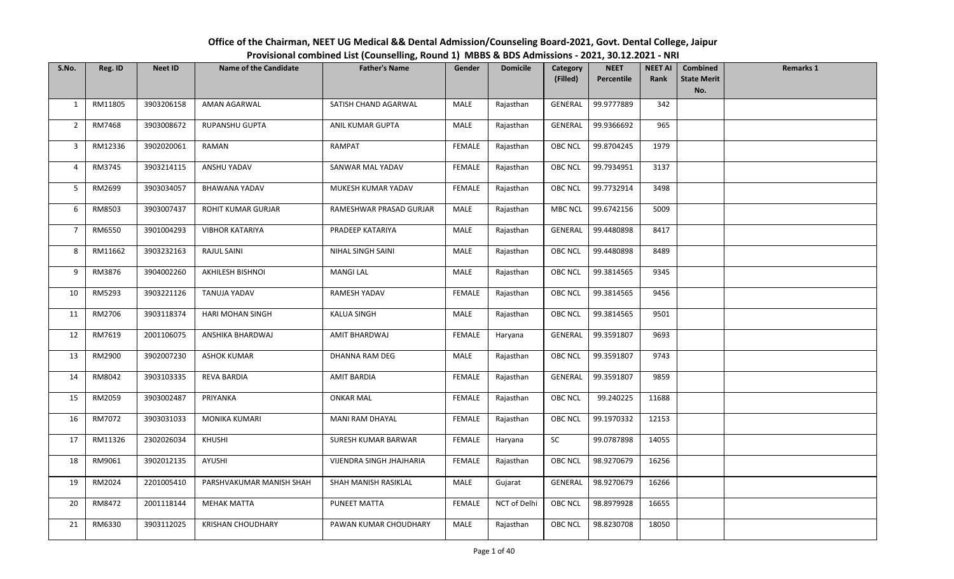| S.No.          | Reg. ID | <b>Neet ID</b> | <b>Name of the Candidate</b> | <b>Father's Name</b>     | Gender        | <b>Domicile</b> | Category       | <b>NEET</b> | <b>NEET AI</b> | <b>Combined</b>           | <b>Remarks 1</b> |
|----------------|---------|----------------|------------------------------|--------------------------|---------------|-----------------|----------------|-------------|----------------|---------------------------|------------------|
|                |         |                |                              |                          |               |                 | (Filled)       | Percentile  | Rank           | <b>State Merit</b><br>No. |                  |
| $\mathbf{1}$   | RM11805 | 3903206158     | AMAN AGARWAL                 | SATISH CHAND AGARWAL     | MALE          | Rajasthan       | GENERAL        | 99.9777889  | 342            |                           |                  |
|                |         |                |                              |                          |               |                 |                |             |                |                           |                  |
| $\overline{2}$ | RM7468  | 3903008672     | RUPANSHU GUPTA               | ANIL KUMAR GUPTA         | MALE          | Rajasthan       | GENERAL        | 99.9366692  | 965            |                           |                  |
| 3              | RM12336 | 3902020061     | RAMAN                        | RAMPAT                   | FEMALE        | Rajasthan       | <b>OBC NCL</b> | 99.8704245  | 1979           |                           |                  |
| 4              | RM3745  | 3903214115     | ANSHU YADAV                  | SANWAR MAL YADAV         | <b>FEMALE</b> | Rajasthan       | <b>OBC NCL</b> | 99.7934951  | 3137           |                           |                  |
| 5              | RM2699  | 3903034057     | <b>BHAWANA YADAV</b>         | MUKESH KUMAR YADAV       | FEMALE        | Rajasthan       | OBC NCL        | 99.7732914  | 3498           |                           |                  |
| 6              | RM8503  | 3903007437     | ROHIT KUMAR GURJAR           | RAMESHWAR PRASAD GURJAR  | MALE          | Rajasthan       | <b>MBC NCL</b> | 99.6742156  | 5009           |                           |                  |
| $\overline{7}$ | RM6550  | 3901004293     | <b>VIBHOR KATARIYA</b>       | PRADEEP KATARIYA         | MALE          | Rajasthan       | <b>GENERAL</b> | 99.4480898  | 8417           |                           |                  |
| 8              | RM11662 | 3903232163     | RAJUL SAINI                  | NIHAL SINGH SAINI        | MALE          | Rajasthan       | <b>OBC NCL</b> | 99.4480898  | 8489           |                           |                  |
| 9              | RM3876  | 3904002260     | AKHILESH BISHNOI             | <b>MANGI LAL</b>         | MALE          | Rajasthan       | <b>OBC NCL</b> | 99.3814565  | 9345           |                           |                  |
| 10             | RM5293  | 3903221126     | <b>TANUJA YADAV</b>          | RAMESH YADAV             | <b>FEMALE</b> | Rajasthan       | <b>OBC NCL</b> | 99.3814565  | 9456           |                           |                  |
| 11             | RM2706  | 3903118374     | HARI MOHAN SINGH             | <b>KALUA SINGH</b>       | MALE          | Rajasthan       | OBC NCL        | 99.3814565  | 9501           |                           |                  |
| 12             | RM7619  | 2001106075     | ANSHIKA BHARDWAJ             | AMIT BHARDWAJ            | FEMALE        | Haryana         | GENERAL        | 99.3591807  | 9693           |                           |                  |
| 13             | RM2900  | 3902007230     | ASHOK KUMAR                  | DHANNA RAM DEG           | MALE          | Rajasthan       | OBC NCL        | 99.3591807  | 9743           |                           |                  |
| 14             | RM8042  | 3903103335     | <b>REVA BARDIA</b>           | AMIT BARDIA              | FEMALE        | Rajasthan       | <b>GENERAL</b> | 99.3591807  | 9859           |                           |                  |
| 15             | RM2059  | 3903002487     | PRIYANKA                     | <b>ONKAR MAL</b>         | FEMALE        | Rajasthan       | OBC NCL        | 99.240225   | 11688          |                           |                  |
| 16             | RM7072  | 3903031033     | <b>MONIKA KUMARI</b>         | MANI RAM DHAYAL          | FEMALE        | Rajasthan       | OBC NCL        | 99.1970332  | 12153          |                           |                  |
| 17             | RM11326 | 2302026034     | KHUSHI                       | SURESH KUMAR BARWAR      | <b>FEMALE</b> | Haryana         | SC             | 99.0787898  | 14055          |                           |                  |
| 18             | RM9061  | 3902012135     | AYUSHI                       | VIJENDRA SINGH JHAJHARIA | FEMALE        | Rajasthan       | <b>OBC NCL</b> | 98.9270679  | 16256          |                           |                  |
| 19             | RM2024  | 2201005410     | PARSHVAKUMAR MANISH SHAH     | SHAH MANISH RASIKLAL     | MALE          | Gujarat         | GENERAL        | 98.9270679  | 16266          |                           |                  |
| 20             | RM8472  | 2001118144     | <b>MEHAK MATTA</b>           | PUNEET MATTA             | <b>FEMALE</b> | NCT of Delhi    | OBC NCL        | 98.8979928  | 16655          |                           |                  |
| 21             | RM6330  | 3903112025     | KRISHAN CHOUDHARY            | PAWAN KUMAR CHOUDHARY    | MALE          | Rajasthan       | OBC NCL        | 98.8230708  | 18050          |                           |                  |

## Office of the Chairman, NEET UG Medical && Dental Admission/Counseling Board-2021, Govt. Dental College, JaipurProvisional combined List (Counselling, Round 1) MBBS & BDS Admissions - 2021, 30.12.2021 - NRI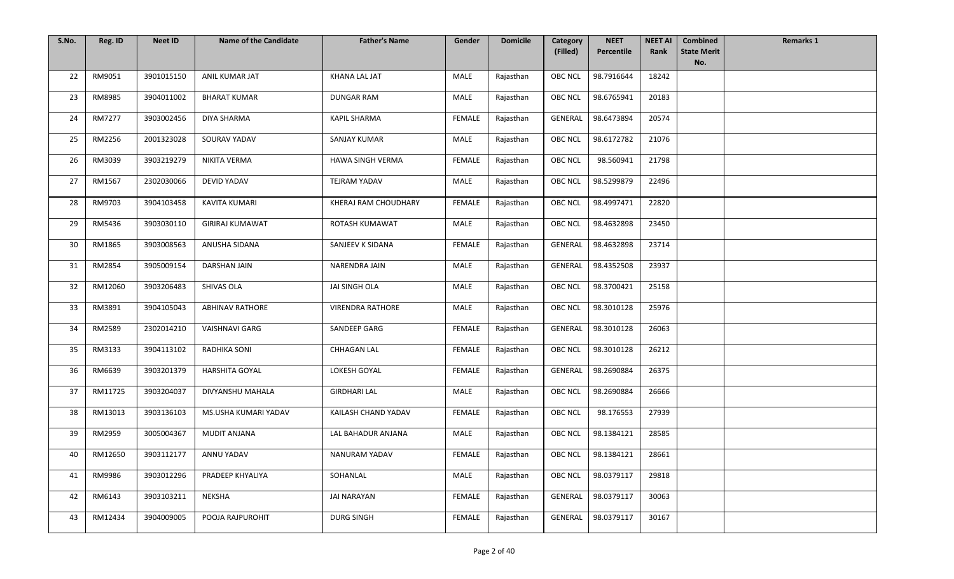| S.No. | Reg. ID | <b>Neet ID</b> | <b>Name of the Candidate</b> | <b>Father's Name</b>    | Gender        | <b>Domicile</b> | Category       | <b>NEET</b> | <b>NEET AI</b> | <b>Combined</b>           | <b>Remarks 1</b> |
|-------|---------|----------------|------------------------------|-------------------------|---------------|-----------------|----------------|-------------|----------------|---------------------------|------------------|
|       |         |                |                              |                         |               |                 | (Filled)       | Percentile  | Rank           | <b>State Merit</b><br>No. |                  |
| 22    | RM9051  | 3901015150     | ANIL KUMAR JAT               | KHANA LAL JAT           | MALE          | Rajasthan       | OBC NCL        | 98.7916644  | 18242          |                           |                  |
| 23    | RM8985  | 3904011002     | <b>BHARAT KUMAR</b>          | <b>DUNGAR RAM</b>       | MALE          | Rajasthan       | OBC NCL        | 98.6765941  | 20183          |                           |                  |
| 24    | RM7277  | 3903002456     | DIYA SHARMA                  | <b>KAPIL SHARMA</b>     | FEMALE        | Rajasthan       | GENERAL        | 98.6473894  | 20574          |                           |                  |
| 25    | RM2256  | 2001323028     | SOURAV YADAV                 | SANJAY KUMAR            | MALE          | Rajasthan       | <b>OBC NCL</b> | 98.6172782  | 21076          |                           |                  |
| 26    | RM3039  | 3903219279     | NIKITA VERMA                 | HAWA SINGH VERMA        | FEMALE        | Rajasthan       | <b>OBC NCL</b> | 98.560941   | 21798          |                           |                  |
| 27    | RM1567  | 2302030066     | <b>DEVID YADAV</b>           | <b>TEJRAM YADAV</b>     | MALE          | Rajasthan       | OBC NCL        | 98.5299879  | 22496          |                           |                  |
| 28    | RM9703  | 3904103458     | KAVITA KUMARI                | KHERAJ RAM CHOUDHARY    | FEMALE        | Rajasthan       | <b>OBC NCL</b> | 98.4997471  | 22820          |                           |                  |
| 29    | RM5436  | 3903030110     | <b>GIRIRAJ KUMAWAT</b>       | ROTASH KUMAWAT          | MALE          | Rajasthan       | OBC NCL        | 98.4632898  | 23450          |                           |                  |
| 30    | RM1865  | 3903008563     | ANUSHA SIDANA                | SANJEEV K SIDANA        | <b>FEMALE</b> | Rajasthan       | GENERAL        | 98.4632898  | 23714          |                           |                  |
| 31    | RM2854  | 3905009154     | <b>DARSHAN JAIN</b>          | NARENDRA JAIN           | MALE          | Rajasthan       | GENERAL        | 98.4352508  | 23937          |                           |                  |
| 32    | RM12060 | 3903206483     | SHIVAS OLA                   | JAI SINGH OLA           | MALE          | Rajasthan       | <b>OBC NCL</b> | 98.3700421  | 25158          |                           |                  |
| 33    | RM3891  | 3904105043     | <b>ABHINAV RATHORE</b>       | <b>VIRENDRA RATHORE</b> | MALE          | Rajasthan       | OBC NCL        | 98.3010128  | 25976          |                           |                  |
| 34    | RM2589  | 2302014210     | <b>VAISHNAVI GARG</b>        | SANDEEP GARG            | FEMALE        | Rajasthan       | <b>GENERAL</b> | 98.3010128  | 26063          |                           |                  |
| 35    | RM3133  | 3904113102     | <b>RADHIKA SONI</b>          | <b>CHHAGAN LAL</b>      | FEMALE        | Rajasthan       | <b>OBC NCL</b> | 98.3010128  | 26212          |                           |                  |
| 36    | RM6639  | 3903201379     | <b>HARSHITA GOYAL</b>        | LOKESH GOYAL            | FEMALE        | Rajasthan       | GENERAL        | 98.2690884  | 26375          |                           |                  |
| 37    | RM11725 | 3903204037     | DIVYANSHU MAHALA             | <b>GIRDHARI LAL</b>     | MALE          | Rajasthan       | <b>OBC NCL</b> | 98.2690884  | 26666          |                           |                  |
| 38    | RM13013 | 3903136103     | MS.USHA KUMARI YADAV         | KAILASH CHAND YADAV     | FEMALE        | Rajasthan       | <b>OBC NCL</b> | 98.176553   | 27939          |                           |                  |
| 39    | RM2959  | 3005004367     | MUDIT ANJANA                 | LAL BAHADUR ANJANA      | MALE          | Rajasthan       | <b>OBC NCL</b> | 98.1384121  | 28585          |                           |                  |
| 40    | RM12650 | 3903112177     | ANNU YADAV                   | <b>NANURAM YADAV</b>    | FEMALE        | Rajasthan       | OBC NCL        | 98.1384121  | 28661          |                           |                  |
| 41    | RM9986  | 3903012296     | PRADEEP KHYALIYA             | SOHANLAL                | MALE          | Rajasthan       | <b>OBC NCL</b> | 98.0379117  | 29818          |                           |                  |
| 42    | RM6143  | 3903103211     | NEKSHA                       | <b>JAI NARAYAN</b>      | FEMALE        | Rajasthan       | <b>GENERAL</b> | 98.0379117  | 30063          |                           |                  |
| 43    | RM12434 | 3904009005     | POOJA RAJPUROHIT             | <b>DURG SINGH</b>       | FEMALE        | Rajasthan       | GENERAL        | 98.0379117  | 30167          |                           |                  |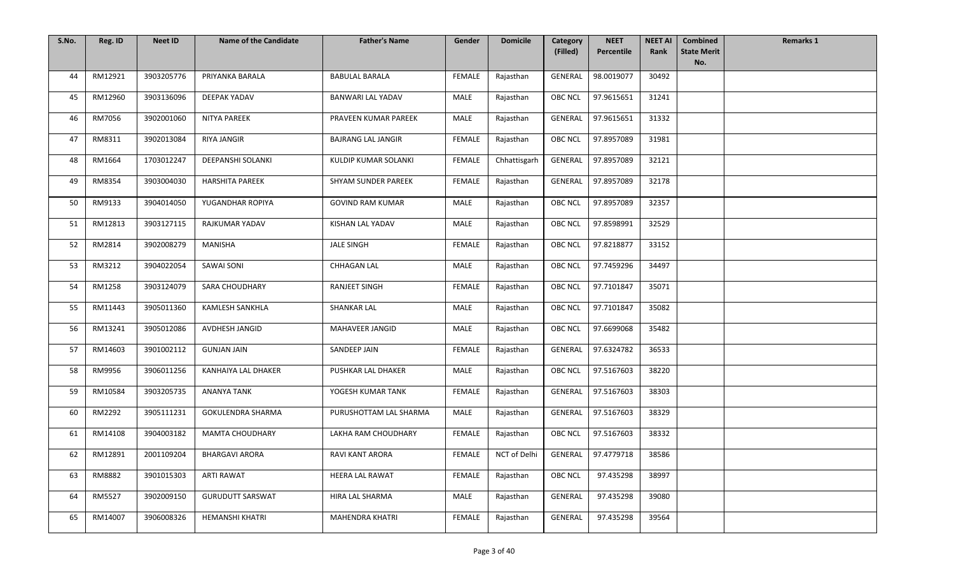| S.No. | Reg. ID | <b>Neet ID</b> | <b>Name of the Candidate</b> | <b>Father's Name</b>      | Gender        | <b>Domicile</b> | Category       | <b>NEET</b> | <b>NEET AI</b> | <b>Combined</b>           | <b>Remarks 1</b> |
|-------|---------|----------------|------------------------------|---------------------------|---------------|-----------------|----------------|-------------|----------------|---------------------------|------------------|
|       |         |                |                              |                           |               |                 | (Filled)       | Percentile  | Rank           | <b>State Merit</b><br>No. |                  |
| 44    | RM12921 | 3903205776     | PRIYANKA BARALA              | <b>BABULAL BARALA</b>     | FEMALE        | Rajasthan       | GENERAL        | 98.0019077  | 30492          |                           |                  |
| 45    | RM12960 | 3903136096     | DEEPAK YADAV                 | <b>BANWARI LAL YADAV</b>  | MALE          | Rajasthan       | OBC NCL        | 97.9615651  | 31241          |                           |                  |
| 46    | RM7056  | 3902001060     | NITYA PAREEK                 | PRAVEEN KUMAR PAREEK      | MALE          | Rajasthan       | GENERAL        | 97.9615651  | 31332          |                           |                  |
| 47    | RM8311  | 3902013084     | RIYA JANGIR                  | <b>BAJRANG LAL JANGIR</b> | <b>FEMALE</b> | Rajasthan       | <b>OBC NCL</b> | 97.8957089  | 31981          |                           |                  |
| 48    | RM1664  | 1703012247     | <b>DEEPANSHI SOLANKI</b>     | KULDIP KUMAR SOLANKI      | FEMALE        | Chhattisgarh    | <b>GENERAL</b> | 97.8957089  | 32121          |                           |                  |
| 49    | RM8354  | 3903004030     | <b>HARSHITA PAREEK</b>       | SHYAM SUNDER PAREEK       | <b>FEMALE</b> | Rajasthan       | <b>GENERAL</b> | 97.8957089  | 32178          |                           |                  |
| 50    | RM9133  | 3904014050     | YUGANDHAR ROPIYA             | <b>GOVIND RAM KUMAR</b>   | MALE          | Rajasthan       | <b>OBC NCL</b> | 97.8957089  | 32357          |                           |                  |
| 51    | RM12813 | 3903127115     | <b>RAJKUMAR YADAV</b>        | KISHAN LAL YADAV          | MALE          | Rajasthan       | OBC NCL        | 97.8598991  | 32529          |                           |                  |
| 52    | RM2814  | 3902008279     | MANISHA                      | <b>JALE SINGH</b>         | <b>FEMALE</b> | Rajasthan       | <b>OBC NCL</b> | 97.8218877  | 33152          |                           |                  |
| 53    | RM3212  | 3904022054     | <b>SAWAI SONI</b>            | <b>CHHAGAN LAL</b>        | MALE          | Rajasthan       | <b>OBC NCL</b> | 97.7459296  | 34497          |                           |                  |
| 54    | RM1258  | 3903124079     | <b>SARA CHOUDHARY</b>        | RANJEET SINGH             | <b>FEMALE</b> | Rajasthan       | <b>OBC NCL</b> | 97.7101847  | 35071          |                           |                  |
| 55    | RM11443 | 3905011360     | KAMLESH SANKHLA              | <b>SHANKAR LAL</b>        | MALE          | Rajasthan       | <b>OBC NCL</b> | 97.7101847  | 35082          |                           |                  |
| 56    | RM13241 | 3905012086     | AVDHESH JANGID               | MAHAVEER JANGID           | MALE          | Rajasthan       | <b>OBC NCL</b> | 97.6699068  | 35482          |                           |                  |
| 57    | RM14603 | 3901002112     | <b>GUNJAN JAIN</b>           | SANDEEP JAIN              | <b>FEMALE</b> | Rajasthan       | <b>GENERAL</b> | 97.6324782  | 36533          |                           |                  |
| 58    | RM9956  | 3906011256     | KANHAIYA LAL DHAKER          | PUSHKAR LAL DHAKER        | MALE          | Rajasthan       | <b>OBC NCL</b> | 97.5167603  | 38220          |                           |                  |
| 59    | RM10584 | 3903205735     | <b>ANANYA TANK</b>           | YOGESH KUMAR TANK         | FEMALE        | Rajasthan       | <b>GENERAL</b> | 97.5167603  | 38303          |                           |                  |
| 60    | RM2292  | 3905111231     | GOKULENDRA SHARMA            | PURUSHOTTAM LAL SHARMA    | MALE          | Rajasthan       | GENERAL        | 97.5167603  | 38329          |                           |                  |
| 61    | RM14108 | 3904003182     | MAMTA CHOUDHARY              | LAKHA RAM CHOUDHARY       | FEMALE        | Rajasthan       | <b>OBC NCL</b> | 97.5167603  | 38332          |                           |                  |
| 62    | RM12891 | 2001109204     | <b>BHARGAVI ARORA</b>        | <b>RAVI KANT ARORA</b>    | FEMALE        | NCT of Delhi    | GENERAL        | 97.4779718  | 38586          |                           |                  |
| 63    | RM8882  | 3901015303     | ARTI RAWAT                   | <b>HEERA LAL RAWAT</b>    | <b>FEMALE</b> | Rajasthan       | <b>OBC NCL</b> | 97.435298   | 38997          |                           |                  |
| 64    | RM5527  | 3902009150     | <b>GURUDUTT SARSWAT</b>      | HIRA LAL SHARMA           | MALE          | Rajasthan       | <b>GENERAL</b> | 97.435298   | 39080          |                           |                  |
| 65    | RM14007 | 3906008326     | HEMANSHI KHATRI              | MAHENDRA KHATRI           | FEMALE        | Rajasthan       | GENERAL        | 97.435298   | 39564          |                           |                  |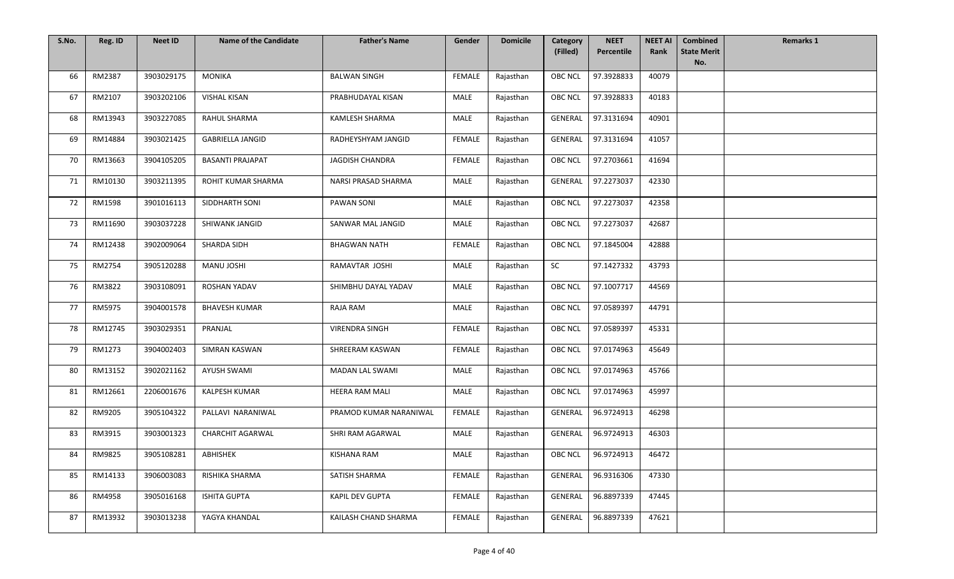| S.No. | Reg. ID | <b>Neet ID</b> | <b>Name of the Candidate</b> | <b>Father's Name</b>   | Gender        | <b>Domicile</b> | Category<br>(Filled) | <b>NEET</b><br>Percentile | <b>NEET AI</b><br>Rank | <b>Combined</b><br><b>State Merit</b> | <b>Remarks 1</b> |
|-------|---------|----------------|------------------------------|------------------------|---------------|-----------------|----------------------|---------------------------|------------------------|---------------------------------------|------------------|
|       |         |                |                              |                        |               |                 |                      |                           |                        | No.                                   |                  |
| 66    | RM2387  | 3903029175     | <b>MONIKA</b>                | <b>BALWAN SINGH</b>    | FEMALE        | Rajasthan       | OBC NCL              | 97.3928833                | 40079                  |                                       |                  |
| 67    | RM2107  | 3903202106     | VISHAL KISAN                 | PRABHUDAYAL KISAN      | MALE          | Rajasthan       | OBC NCL              | 97.3928833                | 40183                  |                                       |                  |
| 68    | RM13943 | 3903227085     | RAHUL SHARMA                 | <b>KAMLESH SHARMA</b>  | MALE          | Rajasthan       | GENERAL              | 97.3131694                | 40901                  |                                       |                  |
| 69    | RM14884 | 3903021425     | <b>GABRIELLA JANGID</b>      | RADHEYSHYAM JANGID     | FEMALE        | Rajasthan       | GENERAL              | 97.3131694                | 41057                  |                                       |                  |
| 70    | RM13663 | 3904105205     | <b>BASANTI PRAJAPAT</b>      | JAGDISH CHANDRA        | FEMALE        | Rajasthan       | <b>OBC NCL</b>       | 97.2703661                | 41694                  |                                       |                  |
| 71    | RM10130 | 3903211395     | ROHIT KUMAR SHARMA           | NARSI PRASAD SHARMA    | <b>MALE</b>   | Rajasthan       | <b>GENERAL</b>       | 97.2273037                | 42330                  |                                       |                  |
| 72    | RM1598  | 3901016113     | SIDDHARTH SONI               | PAWAN SONI             | MALE          | Rajasthan       | <b>OBC NCL</b>       | 97.2273037                | 42358                  |                                       |                  |
| 73    | RM11690 | 3903037228     | SHIWANK JANGID               | SANWAR MAL JANGID      | MALE          | Rajasthan       | OBC NCL              | 97.2273037                | 42687                  |                                       |                  |
| 74    | RM12438 | 3902009064     | SHARDA SIDH                  | <b>BHAGWAN NATH</b>    | FEMALE        | Rajasthan       | <b>OBC NCL</b>       | 97.1845004                | 42888                  |                                       |                  |
| 75    | RM2754  | 3905120288     | <b>MANU JOSHI</b>            | RAMAVTAR JOSHI         | MALE          | Rajasthan       | SC                   | 97.1427332                | 43793                  |                                       |                  |
| 76    | RM3822  | 3903108091     | <b>ROSHAN YADAV</b>          | SHIMBHU DAYAL YADAV    | MALE          | Rajasthan       | <b>OBC NCL</b>       | 97.1007717                | 44569                  |                                       |                  |
| 77    | RM5975  | 3904001578     | <b>BHAVESH KUMAR</b>         | RAJA RAM               | MALE          | Rajasthan       | <b>OBC NCL</b>       | 97.0589397                | 44791                  |                                       |                  |
| 78    | RM12745 | 3903029351     | PRANJAL                      | <b>VIRENDRA SINGH</b>  | FEMALE        | Rajasthan       | <b>OBC NCL</b>       | 97.0589397                | 45331                  |                                       |                  |
| 79    | RM1273  | 3904002403     | <b>SIMRAN KASWAN</b>         | SHREERAM KASWAN        | FEMALE        | Rajasthan       | <b>OBC NCL</b>       | 97.0174963                | 45649                  |                                       |                  |
| 80    | RM13152 | 3902021162     | AYUSH SWAMI                  | MADAN LAL SWAMI        | MALE          | Rajasthan       | <b>OBC NCL</b>       | 97.0174963                | 45766                  |                                       |                  |
| 81    | RM12661 | 2206001676     | KALPESH KUMAR                | HEERA RAM MALI         | MALE          | Rajasthan       | <b>OBC NCL</b>       | 97.0174963                | 45997                  |                                       |                  |
| 82    | RM9205  | 3905104322     | PALLAVI NARANIWAL            | PRAMOD KUMAR NARANIWAL | FEMALE        | Rajasthan       | GENERAL              | 96.9724913                | 46298                  |                                       |                  |
| 83    | RM3915  | 3903001323     | CHARCHIT AGARWAL             | SHRI RAM AGARWAL       | MALE          | Rajasthan       | <b>GENERAL</b>       | 96.9724913                | 46303                  |                                       |                  |
| 84    | RM9825  | 3905108281     | ABHISHEK                     | <b>KISHANA RAM</b>     | MALE          | Rajasthan       | OBC NCL              | 96.9724913                | 46472                  |                                       |                  |
| 85    | RM14133 | 3906003083     | RISHIKA SHARMA               | SATISH SHARMA          | <b>FEMALE</b> | Rajasthan       | <b>GENERAL</b>       | 96.9316306                | 47330                  |                                       |                  |
| 86    | RM4958  | 3905016168     | <b>ISHITA GUPTA</b>          | KAPIL DEV GUPTA        | FEMALE        | Rajasthan       | <b>GENERAL</b>       | 96.8897339                | 47445                  |                                       |                  |
| 87    | RM13932 | 3903013238     | YAGYA KHANDAL                | KAILASH CHAND SHARMA   | FEMALE        | Rajasthan       | GENERAL              | 96.8897339                | 47621                  |                                       |                  |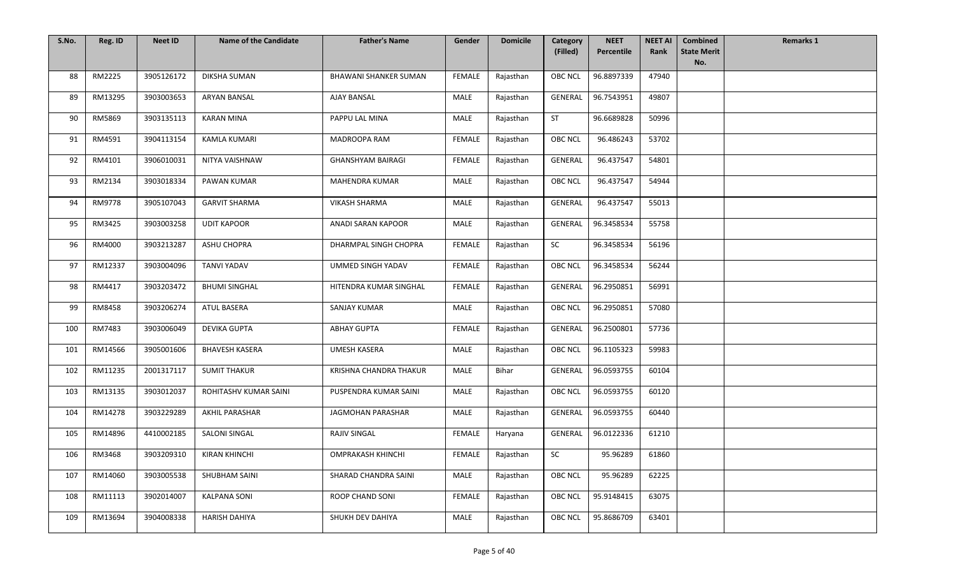| S.No. | Reg. ID | <b>Neet ID</b> | <b>Name of the Candidate</b> | <b>Father's Name</b>         | Gender        | <b>Domicile</b> | Category       | <b>NEET</b><br>Percentile | <b>NEET AI</b><br>Rank | <b>Combined</b><br><b>State Merit</b> | <b>Remarks 1</b> |
|-------|---------|----------------|------------------------------|------------------------------|---------------|-----------------|----------------|---------------------------|------------------------|---------------------------------------|------------------|
|       |         |                |                              |                              |               |                 | (Filled)       |                           |                        | No.                                   |                  |
| 88    | RM2225  | 3905126172     | <b>DIKSHA SUMAN</b>          | <b>BHAWANI SHANKER SUMAN</b> | <b>FEMALE</b> | Rajasthan       | <b>OBC NCL</b> | 96.8897339                | 47940                  |                                       |                  |
| 89    | RM13295 | 3903003653     | ARYAN BANSAL                 | AJAY BANSAL                  | MALE          | Rajasthan       | GENERAL        | 96.7543951                | 49807                  |                                       |                  |
| 90    | RM5869  | 3903135113     | <b>KARAN MINA</b>            | PAPPU LAL MINA               | MALE          | Rajasthan       | ST             | 96.6689828                | 50996                  |                                       |                  |
| 91    | RM4591  | 3904113154     | <b>KAMLA KUMARI</b>          | <b>MADROOPA RAM</b>          | <b>FEMALE</b> | Rajasthan       | <b>OBC NCL</b> | 96.486243                 | 53702                  |                                       |                  |
| 92    | RM4101  | 3906010031     | NITYA VAISHNAW               | <b>GHANSHYAM BAIRAGI</b>     | <b>FEMALE</b> | Rajasthan       | <b>GENERAL</b> | 96.437547                 | 54801                  |                                       |                  |
| 93    | RM2134  | 3903018334     | <b>PAWAN KUMAR</b>           | <b>MAHENDRA KUMAR</b>        | MALE          | Rajasthan       | <b>OBC NCL</b> | 96.437547                 | 54944                  |                                       |                  |
| 94    | RM9778  | 3905107043     | <b>GARVIT SHARMA</b>         | <b>VIKASH SHARMA</b>         | MALE          | Rajasthan       | GENERAL        | 96.437547                 | 55013                  |                                       |                  |
| 95    | RM3425  | 3903003258     | <b>UDIT KAPOOR</b>           | ANADI SARAN KAPOOR           | MALE          | Rajasthan       | <b>GENERAL</b> | 96.3458534                | 55758                  |                                       |                  |
| 96    | RM4000  | 3903213287     | ASHU CHOPRA                  | DHARMPAL SINGH CHOPRA        | FEMALE        | Rajasthan       | SC             | 96.3458534                | 56196                  |                                       |                  |
| 97    | RM12337 | 3903004096     | <b>TANVI YADAV</b>           | UMMED SINGH YADAV            | FEMALE        | Rajasthan       | <b>OBC NCL</b> | 96.3458534                | 56244                  |                                       |                  |
| 98    | RM4417  | 3903203472     | <b>BHUMI SINGHAL</b>         | HITENDRA KUMAR SINGHAL       | <b>FEMALE</b> | Rajasthan       | GENERAL        | 96.2950851                | 56991                  |                                       |                  |
| 99    | RM8458  | 3903206274     | ATUL BASERA                  | <b>SANJAY KUMAR</b>          | MALE          | Rajasthan       | <b>OBC NCL</b> | 96.2950851                | 57080                  |                                       |                  |
| 100   | RM7483  | 3903006049     | <b>DEVIKA GUPTA</b>          | <b>ABHAY GUPTA</b>           | FEMALE        | Rajasthan       | GENERAL        | 96.2500801                | 57736                  |                                       |                  |
| 101   | RM14566 | 3905001606     | <b>BHAVESH KASERA</b>        | <b>UMESH KASERA</b>          | MALE          | Rajasthan       | OBC NCL        | 96.1105323                | 59983                  |                                       |                  |
| 102   | RM11235 | 2001317117     | <b>SUMIT THAKUR</b>          | KRISHNA CHANDRA THAKUR       | MALE          | Bihar           | <b>GENERAL</b> | 96.0593755                | 60104                  |                                       |                  |
| 103   | RM13135 | 3903012037     | ROHITASHV KUMAR SAINI        | PUSPENDRA KUMAR SAINI        | MALE          | Rajasthan       | <b>OBC NCL</b> | 96.0593755                | 60120                  |                                       |                  |
| 104   | RM14278 | 3903229289     | AKHIL PARASHAR               | JAGMOHAN PARASHAR            | MALE          | Rajasthan       | GENERAL        | 96.0593755                | 60440                  |                                       |                  |
| 105   | RM14896 | 4410002185     | SALONI SINGAL                | RAJIV SINGAL                 | FEMALE        | Haryana         | <b>GENERAL</b> | 96.0122336                | 61210                  |                                       |                  |
| 106   | RM3468  | 3903209310     | <b>KIRAN KHINCHI</b>         | <b>OMPRAKASH KHINCHI</b>     | FEMALE        | Rajasthan       | ${\sf SC}$     | 95.96289                  | 61860                  |                                       |                  |
| 107   | RM14060 | 3903005538     | SHUBHAM SAINI                | SHARAD CHANDRA SAINI         | MALE          | Rajasthan       | <b>OBC NCL</b> | 95.96289                  | 62225                  |                                       |                  |
| 108   | RM11113 | 3902014007     | <b>KALPANA SONI</b>          | ROOP CHAND SONI              | <b>FEMALE</b> | Rajasthan       | <b>OBC NCL</b> | 95.9148415                | 63075                  |                                       |                  |
| 109   | RM13694 | 3904008338     | <b>HARISH DAHIYA</b>         | SHUKH DEV DAHIYA             | MALE          | Rajasthan       | <b>OBC NCL</b> | 95.8686709                | 63401                  |                                       |                  |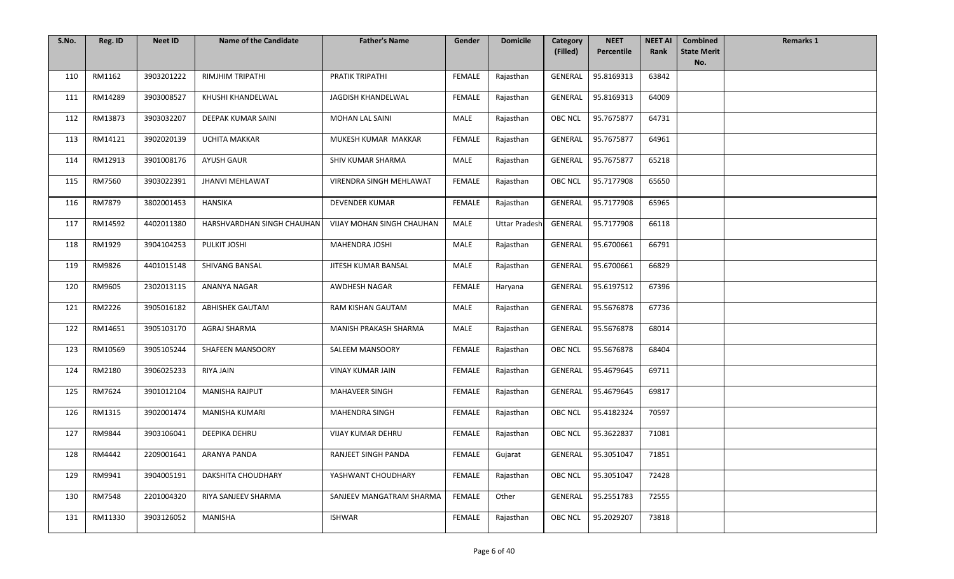| S.No. | Reg. ID | <b>Neet ID</b> | <b>Name of the Candidate</b> | <b>Father's Name</b>      | Gender        | <b>Domicile</b>      | Category<br>(Filled) | <b>NEET</b><br>Percentile | <b>NEET AI</b><br>Rank | <b>Combined</b><br><b>State Merit</b> | <b>Remarks 1</b> |
|-------|---------|----------------|------------------------------|---------------------------|---------------|----------------------|----------------------|---------------------------|------------------------|---------------------------------------|------------------|
|       |         |                |                              |                           |               |                      |                      |                           |                        | No.                                   |                  |
| 110   | RM1162  | 3903201222     | RIMJHIM TRIPATHI             | PRATIK TRIPATHI           | FEMALE        | Rajasthan            | GENERAL              | 95.8169313                | 63842                  |                                       |                  |
| 111   | RM14289 | 3903008527     | KHUSHI KHANDELWAL            | JAGDISH KHANDELWAL        | FEMALE        | Rajasthan            | GENERAL              | 95.8169313                | 64009                  |                                       |                  |
| 112   | RM13873 | 3903032207     | DEEPAK KUMAR SAINI           | <b>MOHAN LAL SAINI</b>    | MALE          | Rajasthan            | <b>OBC NCL</b>       | 95.7675877                | 64731                  |                                       |                  |
| 113   | RM14121 | 3902020139     | <b>UCHITA MAKKAR</b>         | MUKESH KUMAR MAKKAR       | <b>FEMALE</b> | Rajasthan            | GENERAL              | 95.7675877                | 64961                  |                                       |                  |
| 114   | RM12913 | 3901008176     | <b>AYUSH GAUR</b>            | SHIV KUMAR SHARMA         | MALE          | Rajasthan            | <b>GENERAL</b>       | 95.7675877                | 65218                  |                                       |                  |
| 115   | RM7560  | 3903022391     | <b>JHANVI MEHLAWAT</b>       | VIRENDRA SINGH MEHLAWAT   | <b>FEMALE</b> | Rajasthan            | OBC NCL              | 95.7177908                | 65650                  |                                       |                  |
| 116   | RM7879  | 3802001453     | HANSIKA                      | DEVENDER KUMAR            | FEMALE        | Rajasthan            | GENERAL              | 95.7177908                | 65965                  |                                       |                  |
| 117   | RM14592 | 4402011380     | HARSHVARDHAN SINGH CHAUHAN   | VIJAY MOHAN SINGH CHAUHAN | MALE          | <b>Uttar Pradesh</b> | <b>GENERAL</b>       | 95.7177908                | 66118                  |                                       |                  |
| 118   | RM1929  | 3904104253     | PULKIT JOSHI                 | MAHENDRA JOSHI            | MALE          | Rajasthan            | GENERAL              | 95.6700661                | 66791                  |                                       |                  |
| 119   | RM9826  | 4401015148     | <b>SHIVANG BANSAL</b>        | JITESH KUMAR BANSAL       | MALE          | Rajasthan            | GENERAL              | 95.6700661                | 66829                  |                                       |                  |
| 120   | RM9605  | 2302013115     | ANANYA NAGAR                 | AWDHESH NAGAR             | <b>FEMALE</b> | Haryana              | GENERAL              | 95.6197512                | 67396                  |                                       |                  |
| 121   | RM2226  | 3905016182     | ABHISHEK GAUTAM              | RAM KISHAN GAUTAM         | MALE          | Rajasthan            | <b>GENERAL</b>       | 95.5676878                | 67736                  |                                       |                  |
| 122   | RM14651 | 3905103170     | AGRAJ SHARMA                 | MANISH PRAKASH SHARMA     | MALE          | Rajasthan            | <b>GENERAL</b>       | 95.5676878                | 68014                  |                                       |                  |
| 123   | RM10569 | 3905105244     | SHAFEEN MANSOORY             | <b>SALEEM MANSOORY</b>    | <b>FEMALE</b> | Rajasthan            | <b>OBC NCL</b>       | 95.5676878                | 68404                  |                                       |                  |
| 124   | RM2180  | 3906025233     | RIYA JAIN                    | <b>VINAY KUMAR JAIN</b>   | FEMALE        | Rajasthan            | <b>GENERAL</b>       | 95.4679645                | 69711                  |                                       |                  |
| 125   | RM7624  | 3901012104     | MANISHA RAJPUT               | MAHAVEER SINGH            | <b>FEMALE</b> | Rajasthan            | GENERAL              | 95.4679645                | 69817                  |                                       |                  |
| 126   | RM1315  | 3902001474     | MANISHA KUMARI               | MAHENDRA SINGH            | FEMALE        | Rajasthan            | OBC NCL              | 95.4182324                | 70597                  |                                       |                  |
| 127   | RM9844  | 3903106041     | DEEPIKA DEHRU                | VIJAY KUMAR DEHRU         | FEMALE        | Rajasthan            | <b>OBC NCL</b>       | 95.3622837                | 71081                  |                                       |                  |
| 128   | RM4442  | 2209001641     | ARANYA PANDA                 | RANJEET SINGH PANDA       | FEMALE        | Gujarat              | GENERAL              | 95.3051047                | 71851                  |                                       |                  |
| 129   | RM9941  | 3904005191     | <b>DAKSHITA CHOUDHARY</b>    | YASHWANT CHOUDHARY        | <b>FEMALE</b> | Rajasthan            | <b>OBC NCL</b>       | 95.3051047                | 72428                  |                                       |                  |
| 130   | RM7548  | 2201004320     | RIYA SANJEEV SHARMA          | SANJEEV MANGATRAM SHARMA  | FEMALE        | Other                | <b>GENERAL</b>       | 95.2551783                | 72555                  |                                       |                  |
| 131   | RM11330 | 3903126052     | MANISHA                      | <b>ISHWAR</b>             | FEMALE        | Rajasthan            | OBC NCL              | 95.2029207                | 73818                  |                                       |                  |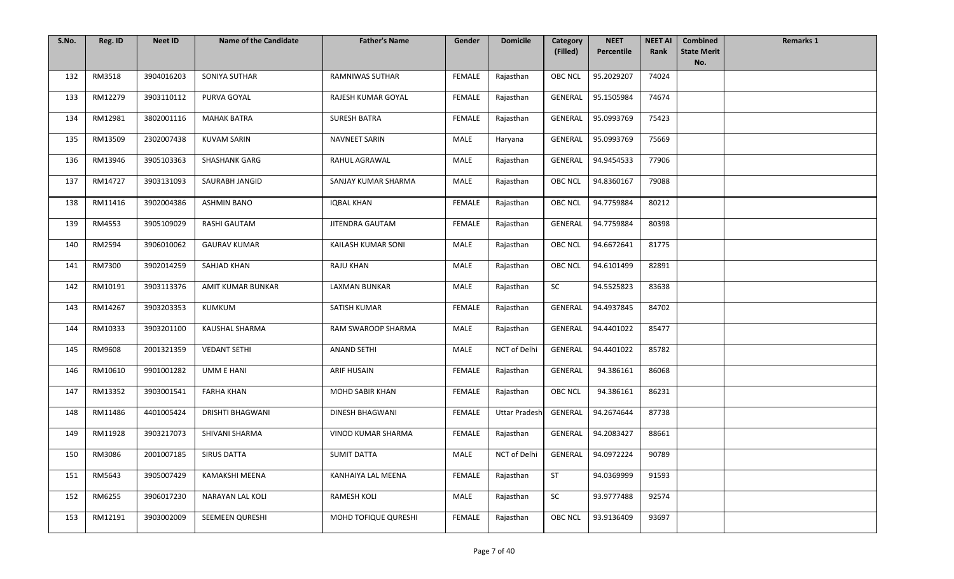| S.No. | Reg. ID | <b>Neet ID</b> | <b>Name of the Candidate</b> | <b>Father's Name</b>   | Gender        | <b>Domicile</b>      | Category<br>(Filled) | <b>NEET</b><br>Percentile | <b>NEET AI</b><br>Rank | <b>Combined</b><br><b>State Merit</b> | <b>Remarks 1</b> |
|-------|---------|----------------|------------------------------|------------------------|---------------|----------------------|----------------------|---------------------------|------------------------|---------------------------------------|------------------|
|       |         |                |                              |                        |               |                      |                      |                           |                        | No.                                   |                  |
| 132   | RM3518  | 3904016203     | SONIYA SUTHAR                | <b>RAMNIWAS SUTHAR</b> | <b>FEMALE</b> | Rajasthan            | <b>OBC NCL</b>       | 95.2029207                | 74024                  |                                       |                  |
| 133   | RM12279 | 3903110112     | PURVA GOYAL                  | RAJESH KUMAR GOYAL     | <b>FEMALE</b> | Rajasthan            | GENERAL              | 95.1505984                | 74674                  |                                       |                  |
| 134   | RM12981 | 3802001116     | <b>MAHAK BATRA</b>           | <b>SURESH BATRA</b>    | FEMALE        | Rajasthan            | <b>GENERAL</b>       | 95.0993769                | 75423                  |                                       |                  |
| 135   | RM13509 | 2302007438     | <b>KUVAM SARIN</b>           | NAVNEET SARIN          | MALE          | Haryana              | <b>GENERAL</b>       | 95.0993769                | 75669                  |                                       |                  |
| 136   | RM13946 | 3905103363     | <b>SHASHANK GARG</b>         | RAHUL AGRAWAL          | MALE          | Rajasthan            | GENERAL              | 94.9454533                | 77906                  |                                       |                  |
| 137   | RM14727 | 3903131093     | SAURABH JANGID               | SANJAY KUMAR SHARMA    | MALE          | Rajasthan            | <b>OBC NCL</b>       | 94.8360167                | 79088                  |                                       |                  |
| 138   | RM11416 | 3902004386     | <b>ASHMIN BANO</b>           | <b>IQBAL KHAN</b>      | FEMALE        | Rajasthan            | <b>OBC NCL</b>       | 94.7759884                | 80212                  |                                       |                  |
| 139   | RM4553  | 3905109029     | <b>RASHI GAUTAM</b>          | JITENDRA GAUTAM        | <b>FEMALE</b> | Rajasthan            | <b>GENERAL</b>       | 94.7759884                | 80398                  |                                       |                  |
| 140   | RM2594  | 3906010062     | <b>GAURAV KUMAR</b>          | KAILASH KUMAR SONI     | MALE          | Rajasthan            | OBC NCL              | 94.6672641                | 81775                  |                                       |                  |
| 141   | RM7300  | 3902014259     | SAHJAD KHAN                  | <b>RAJU KHAN</b>       | MALE          | Rajasthan            | <b>OBC NCL</b>       | 94.6101499                | 82891                  |                                       |                  |
| 142   | RM10191 | 3903113376     | AMIT KUMAR BUNKAR            | <b>LAXMAN BUNKAR</b>   | MALE          | Rajasthan            | SC                   | 94.5525823                | 83638                  |                                       |                  |
| 143   | RM14267 | 3903203353     | KUMKUM                       | SATISH KUMAR           | <b>FEMALE</b> | Rajasthan            | <b>GENERAL</b>       | 94.4937845                | 84702                  |                                       |                  |
| 144   | RM10333 | 3903201100     | KAUSHAL SHARMA               | RAM SWAROOP SHARMA     | MALE          | Rajasthan            | GENERAL              | 94.4401022                | 85477                  |                                       |                  |
| 145   | RM9608  | 2001321359     | <b>VEDANT SETHI</b>          | <b>ANAND SETHI</b>     | MALE          | NCT of Delhi         | GENERAL              | 94.4401022                | 85782                  |                                       |                  |
| 146   | RM10610 | 9901001282     | UMM E HANI                   | <b>ARIF HUSAIN</b>     | FEMALE        | Rajasthan            | GENERAL              | 94.386161                 | 86068                  |                                       |                  |
| 147   | RM13352 | 3903001541     | <b>FARHA KHAN</b>            | <b>MOHD SABIR KHAN</b> | FEMALE        | Rajasthan            | <b>OBC NCL</b>       | 94.386161                 | 86231                  |                                       |                  |
| 148   | RM11486 | 4401005424     | <b>DRISHTI BHAGWANI</b>      | DINESH BHAGWANI        | FEMALE        | <b>Uttar Pradesh</b> | GENERAL              | 94.2674644                | 87738                  |                                       |                  |
| 149   | RM11928 | 3903217073     | SHIVANI SHARMA               | VINOD KUMAR SHARMA     | <b>FEMALE</b> | Rajasthan            | <b>GENERAL</b>       | 94.2083427                | 88661                  |                                       |                  |
| 150   | RM3086  | 2001007185     | <b>SIRUS DATTA</b>           | <b>SUMIT DATTA</b>     | MALE          | NCT of Delhi         | GENERAL              | 94.0972224                | 90789                  |                                       |                  |
| 151   | RM5643  | 3905007429     | KAMAKSHI MEENA               | KANHAIYA LAL MEENA     | FEMALE        | Rajasthan            | <b>ST</b>            | 94.0369999                | 91593                  |                                       |                  |
| 152   | RM6255  | 3906017230     | NARAYAN LAL KOLI             | <b>RAMESH KOLI</b>     | MALE          | Rajasthan            | SC                   | 93.9777488                | 92574                  |                                       |                  |
| 153   | RM12191 | 3903002009     | SEEMEEN QURESHI              | MOHD TOFIQUE QURESHI   | <b>FEMALE</b> | Rajasthan            | <b>OBC NCL</b>       | 93.9136409                | 93697                  |                                       |                  |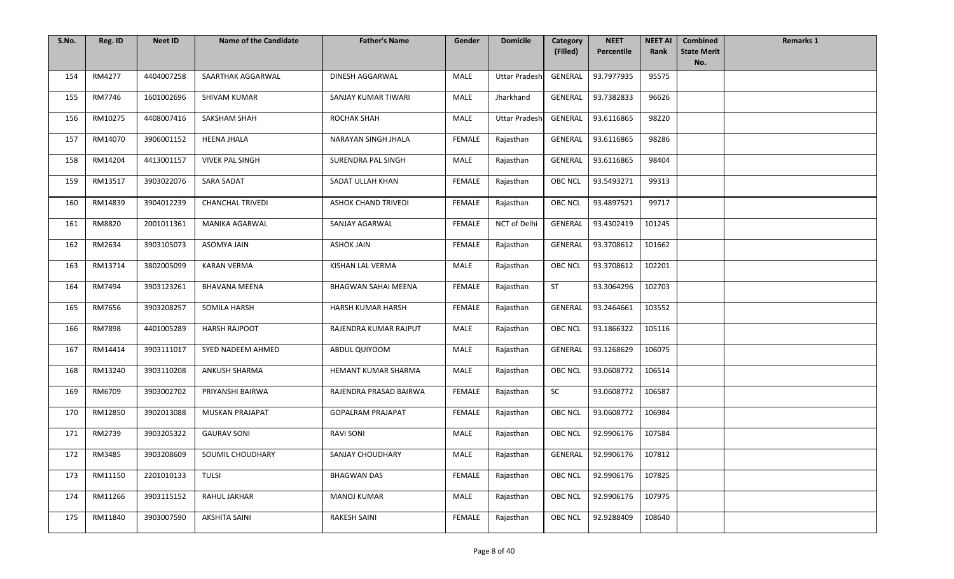| S.No. | Reg. ID | <b>Neet ID</b> | <b>Name of the Candidate</b> | <b>Father's Name</b>       | Gender        | <b>Domicile</b>      | Category<br>(Filled) | <b>NEET</b><br>Percentile | <b>NEET AI</b><br>Rank | <b>Combined</b><br><b>State Merit</b> | <b>Remarks 1</b> |
|-------|---------|----------------|------------------------------|----------------------------|---------------|----------------------|----------------------|---------------------------|------------------------|---------------------------------------|------------------|
|       |         |                |                              |                            |               |                      |                      |                           |                        | No.                                   |                  |
| 154   | RM4277  | 4404007258     | SAARTHAK AGGARWAL            | DINESH AGGARWAL            | <b>MALE</b>   | <b>Uttar Pradesh</b> | GENERAL              | 93.7977935                | 95575                  |                                       |                  |
| 155   | RM7746  | 1601002696     | SHIVAM KUMAR                 | SANJAY KUMAR TIWARI        | MALE          | Jharkhand            | GENERAL              | 93.7382833                | 96626                  |                                       |                  |
| 156   | RM10275 | 4408007416     | SAKSHAM SHAH                 | ROCHAK SHAH                | MALE          | <b>Uttar Pradesh</b> | GENERAL              | 93.6116865                | 98220                  |                                       |                  |
| 157   | RM14070 | 3906001152     | <b>HEENA JHALA</b>           | NARAYAN SINGH JHALA        | <b>FEMALE</b> | Rajasthan            | <b>GENERAL</b>       | 93.6116865                | 98286                  |                                       |                  |
| 158   | RM14204 | 4413001157     | <b>VIVEK PAL SINGH</b>       | SURENDRA PAL SINGH         | MALE          | Rajasthan            | <b>GENERAL</b>       | 93.6116865                | 98404                  |                                       |                  |
| 159   | RM13517 | 3903022076     | SARA SADAT                   | SADAT ULLAH KHAN           | <b>FEMALE</b> | Rajasthan            | OBC NCL              | 93.5493271                | 99313                  |                                       |                  |
| 160   | RM14839 | 3904012239     | <b>CHANCHAL TRIVEDI</b>      | <b>ASHOK CHAND TRIVEDI</b> | FEMALE        | Rajasthan            | OBC NCL              | 93.4897521                | 99717                  |                                       |                  |
| 161   | RM8820  | 2001011361     | MANIKA AGARWAL               | SANJAY AGARWAL             | FEMALE        | NCT of Delhi         | <b>GENERAL</b>       | 93.4302419                | 101245                 |                                       |                  |
| 162   | RM2634  | 3903105073     | <b>ASOMYA JAIN</b>           | <b>ASHOK JAIN</b>          | <b>FEMALE</b> | Rajasthan            | GENERAL              | 93.3708612                | 101662                 |                                       |                  |
| 163   | RM13714 | 3802005099     | <b>KARAN VERMA</b>           | <b>KISHAN LAL VERMA</b>    | MALE          | Rajasthan            | <b>OBC NCL</b>       | 93.3708612                | 102201                 |                                       |                  |
| 164   | RM7494  | 3903123261     | <b>BHAVANA MEENA</b>         | BHAGWAN SAHAI MEENA        | FEMALE        | Rajasthan            | ST                   | 93.3064296                | 102703                 |                                       |                  |
| 165   | RM7656  | 3903208257     | SOMILA HARSH                 | HARSH KUMAR HARSH          | FEMALE        | Rajasthan            | GENERAL              | 93.2464661                | 103552                 |                                       |                  |
| 166   | RM7898  | 4401005289     | <b>HARSH RAJPOOT</b>         | RAJENDRA KUMAR RAJPUT      | MALE          | Rajasthan            | <b>OBC NCL</b>       | 93.1866322                | 105116                 |                                       |                  |
| 167   | RM14414 | 3903111017     | SYED NADEEM AHMED            | ABDUL QUIYOOM              | MALE          | Rajasthan            | GENERAL              | 93.1268629                | 106075                 |                                       |                  |
| 168   | RM13240 | 3903110208     | <b>ANKUSH SHARMA</b>         | HEMANT KUMAR SHARMA        | MALE          | Rajasthan            | <b>OBC NCL</b>       | 93.0608772                | 106514                 |                                       |                  |
| 169   | RM6709  | 3903002702     | PRIYANSHI BAIRWA             | RAJENDRA PRASAD BAIRWA     | <b>FEMALE</b> | Rajasthan            | $\sf SC$             | 93.0608772                | 106587                 |                                       |                  |
| 170   | RM12850 | 3902013088     | MUSKAN PRAJAPAT              | <b>GOPALRAM PRAJAPAT</b>   | FEMALE        | Rajasthan            | <b>OBC NCL</b>       | 93.0608772                | 106984                 |                                       |                  |
| 171   | RM2739  | 3903205322     | <b>GAURAV SONI</b>           | <b>RAVI SONI</b>           | MALE          | Rajasthan            | <b>OBC NCL</b>       | 92.9906176                | 107584                 |                                       |                  |
| 172   | RM3485  | 3903208609     | SOUMIL CHOUDHARY             | SANJAY CHOUDHARY           | MALE          | Rajasthan            | GENERAL              | 92.9906176                | 107812                 |                                       |                  |
| 173   | RM11150 | 2201010133     | <b>TULSI</b>                 | <b>BHAGWAN DAS</b>         | <b>FEMALE</b> | Rajasthan            | <b>OBC NCL</b>       | 92.9906176                | 107825                 |                                       |                  |
| 174   | RM11266 | 3903115152     | RAHUL JAKHAR                 | <b>MANOJ KUMAR</b>         | MALE          | Rajasthan            | <b>OBC NCL</b>       | 92.9906176                | 107975                 |                                       |                  |
| 175   | RM11840 | 3903007590     | <b>AKSHITA SAINI</b>         | RAKESH SAINI               | FEMALE        | Rajasthan            | OBC NCL              | 92.9288409                | 108640                 |                                       |                  |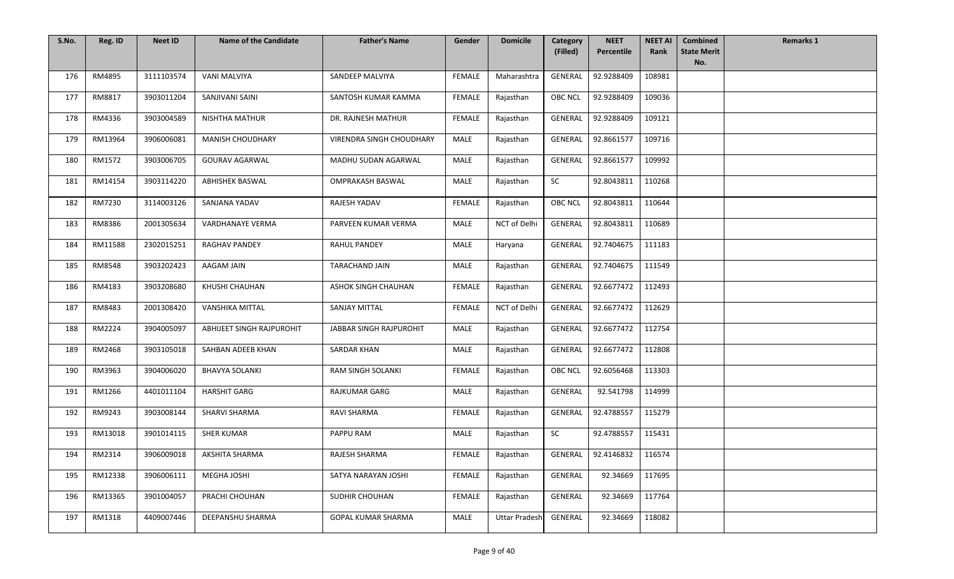| S.No. | Reg. ID | <b>Neet ID</b> | <b>Name of the Candidate</b> | <b>Father's Name</b>            | Gender        | <b>Domicile</b>      | Category<br>(Filled) | <b>NEET</b><br>Percentile | <b>NEET AI</b><br>Rank | <b>Combined</b><br><b>State Merit</b> | <b>Remarks 1</b> |
|-------|---------|----------------|------------------------------|---------------------------------|---------------|----------------------|----------------------|---------------------------|------------------------|---------------------------------------|------------------|
|       |         |                |                              |                                 |               |                      |                      |                           |                        | No.                                   |                  |
| 176   | RM4895  | 3111103574     | <b>VANI MALVIYA</b>          | SANDEEP MALVIYA                 | <b>FEMALE</b> | Maharashtra          | GENERAL              | 92.9288409                | 108981                 |                                       |                  |
| 177   | RM8817  | 3903011204     | SANJIVANI SAINI              | SANTOSH KUMAR KAMMA             | FEMALE        | Rajasthan            | OBC NCL              | 92.9288409                | 109036                 |                                       |                  |
| 178   | RM4336  | 3903004589     | <b>NISHTHA MATHUR</b>        | DR. RAJNESH MATHUR              | <b>FEMALE</b> | Rajasthan            | GENERAL              | 92.9288409                | 109121                 |                                       |                  |
| 179   | RM13964 | 3906006081     | MANISH CHOUDHARY             | <b>VIRENDRA SINGH CHOUDHARY</b> | MALE          | Rajasthan            | <b>GENERAL</b>       | 92.8661577                | 109716                 |                                       |                  |
| 180   | RM1572  | 3903006705     | <b>GOURAV AGARWAL</b>        | MADHU SUDAN AGARWAL             | MALE          | Rajasthan            | <b>GENERAL</b>       | 92.8661577                | 109992                 |                                       |                  |
| 181   | RM14154 | 3903114220     | <b>ABHISHEK BASWAL</b>       | <b>OMPRAKASH BASWAL</b>         | <b>MALE</b>   | Rajasthan            | ${\sf SC}$           | 92.8043811                | 110268                 |                                       |                  |
| 182   | RM7230  | 3114003126     | SANJANA YADAV                | RAJESH YADAV                    | <b>FEMALE</b> | Rajasthan            | <b>OBC NCL</b>       | 92.8043811                | 110644                 |                                       |                  |
| 183   | RM8386  | 2001305634     | <b>VARDHANAYE VERMA</b>      | PARVEEN KUMAR VERMA             | MALE          | NCT of Delhi         | <b>GENERAL</b>       | 92.8043811                | 110689                 |                                       |                  |
| 184   | RM11588 | 2302015251     | <b>RAGHAV PANDEY</b>         | <b>RAHUL PANDEY</b>             | MALE          | Haryana              | GENERAL              | 92.7404675                | 111183                 |                                       |                  |
| 185   | RM8548  | 3903202423     | AAGAM JAIN                   | TARACHAND JAIN                  | MALE          | Rajasthan            | GENERAL              | 92.7404675                | 111549                 |                                       |                  |
| 186   | RM4183  | 3903208680     | KHUSHI CHAUHAN               | ASHOK SINGH CHAUHAN             | FEMALE        | Rajasthan            | <b>GENERAL</b>       | 92.6677472                | 112493                 |                                       |                  |
| 187   | RM8483  | 2001308420     | VANSHIKA MITTAL              | <b>SANJAY MITTAL</b>            | FEMALE        | NCT of Delhi         | GENERAL              | 92.6677472                | 112629                 |                                       |                  |
| 188   | RM2224  | 3904005097     | ABHIJEET SINGH RAJPUROHIT    | JABBAR SINGH RAJPUROHIT         | MALE          | Rajasthan            | GENERAL              | 92.6677472                | 112754                 |                                       |                  |
| 189   | RM2468  | 3903105018     | SAHBAN ADEEB KHAN            | <b>SARDAR KHAN</b>              | MALE          | Rajasthan            | <b>GENERAL</b>       | 92.6677472                | 112808                 |                                       |                  |
| 190   | RM3963  | 3904006020     | <b>BHAVYA SOLANKI</b>        | RAM SINGH SOLANKI               | <b>FEMALE</b> | Rajasthan            | <b>OBC NCL</b>       | 92.6056468                | 113303                 |                                       |                  |
| 191   | RM1266  | 4401011104     | <b>HARSHIT GARG</b>          | RAJKUMAR GARG                   | <b>MALE</b>   | Rajasthan            | <b>GENERAL</b>       | 92.541798                 | 114999                 |                                       |                  |
| 192   | RM9243  | 3903008144     | SHARVI SHARMA                | RAVI SHARMA                     | FEMALE        | Rajasthan            | GENERAL              | 92.4788557                | 115279                 |                                       |                  |
| 193   | RM13018 | 3901014115     | <b>SHER KUMAR</b>            | PAPPU RAM                       | MALE          | Rajasthan            | SC                   | 92.4788557                | 115431                 |                                       |                  |
| 194   | RM2314  | 3906009018     | AKSHITA SHARMA               | RAJESH SHARMA                   | FEMALE        | Rajasthan            | GENERAL              | 92.4146832                | 116574                 |                                       |                  |
| 195   | RM12338 | 3906006111     | MEGHA JOSHI                  | SATYA NARAYAN JOSHI             | <b>FEMALE</b> | Rajasthan            | <b>GENERAL</b>       | 92.34669                  | 117695                 |                                       |                  |
| 196   | RM13365 | 3901004057     | PRACHI CHOUHAN               | <b>SUDHIR CHOUHAN</b>           | FEMALE        | Rajasthan            | <b>GENERAL</b>       | 92.34669                  | 117764                 |                                       |                  |
| 197   | RM1318  | 4409007446     | DEEPANSHU SHARMA             | <b>GOPAL KUMAR SHARMA</b>       | MALE          | <b>Uttar Pradesh</b> | GENERAL              | 92.34669                  | 118082                 |                                       |                  |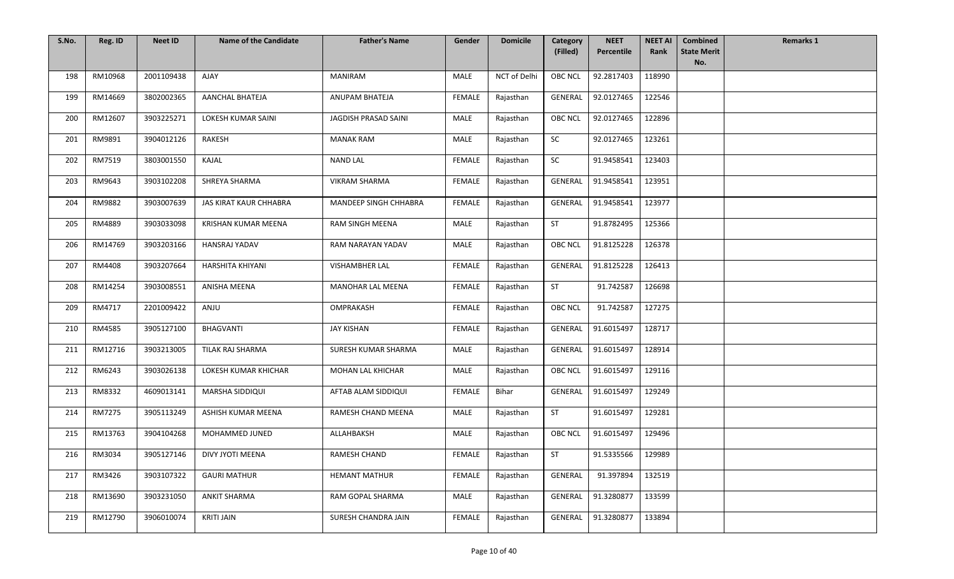| S.No. | Reg. ID | <b>Neet ID</b> | <b>Name of the Candidate</b> | <b>Father's Name</b>  | Gender        | <b>Domicile</b> | Category<br>(Filled) | <b>NEET</b><br>Percentile | <b>NEET AI</b><br>Rank | <b>Combined</b><br><b>State Merit</b> | <b>Remarks 1</b> |
|-------|---------|----------------|------------------------------|-----------------------|---------------|-----------------|----------------------|---------------------------|------------------------|---------------------------------------|------------------|
|       |         |                |                              |                       |               |                 |                      |                           |                        | No.                                   |                  |
| 198   | RM10968 | 2001109438     | <b>AJAY</b>                  | <b>MANIRAM</b>        | MALE          | NCT of Delhi    | <b>OBC NCL</b>       | 92.2817403                | 118990                 |                                       |                  |
| 199   | RM14669 | 3802002365     | <b>AANCHAL BHATEJA</b>       | ANUPAM BHATEJA        | <b>FEMALE</b> | Rajasthan       | GENERAL              | 92.0127465                | 122546                 |                                       |                  |
| 200   | RM12607 | 3903225271     | LOKESH KUMAR SAINI           | JAGDISH PRASAD SAINI  | MALE          | Rajasthan       | <b>OBC NCL</b>       | 92.0127465                | 122896                 |                                       |                  |
| 201   | RM9891  | 3904012126     | RAKESH                       | <b>MANAK RAM</b>      | MALE          | Rajasthan       | SC                   | 92.0127465                | 123261                 |                                       |                  |
| 202   | RM7519  | 3803001550     | KAJAL                        | <b>NAND LAL</b>       | <b>FEMALE</b> | Rajasthan       | SC                   | 91.9458541                | 123403                 |                                       |                  |
| 203   | RM9643  | 3903102208     | SHREYA SHARMA                | <b>VIKRAM SHARMA</b>  | <b>FEMALE</b> | Rajasthan       | GENERAL              | 91.9458541                | 123951                 |                                       |                  |
| 204   | RM9882  | 3903007639     | JAS KIRAT KAUR CHHABRA       | MANDEEP SINGH CHHABRA | FEMALE        | Rajasthan       | <b>GENERAL</b>       | 91.9458541                | 123977                 |                                       |                  |
| 205   | RM4889  | 3903033098     | KRISHAN KUMAR MEENA          | RAM SINGH MEENA       | MALE          | Rajasthan       | ST                   | 91.8782495                | 125366                 |                                       |                  |
| 206   | RM14769 | 3903203166     | HANSRAJ YADAV                | RAM NARAYAN YADAV     | MALE          | Rajasthan       | <b>OBC NCL</b>       | 91.8125228                | 126378                 |                                       |                  |
| 207   | RM4408  | 3903207664     | HARSHITA KHIYANI             | VISHAMBHER LAL        | <b>FEMALE</b> | Rajasthan       | GENERAL              | 91.8125228                | 126413                 |                                       |                  |
| 208   | RM14254 | 3903008551     | <b>ANISHA MEENA</b>          | MANOHAR LAL MEENA     | <b>FEMALE</b> | Rajasthan       | <b>ST</b>            | 91.742587                 | 126698                 |                                       |                  |
| 209   | RM4717  | 2201009422     | ANJU                         | OMPRAKASH             | FEMALE        | Rajasthan       | <b>OBC NCL</b>       | 91.742587                 | 127275                 |                                       |                  |
| 210   | RM4585  | 3905127100     | <b>BHAGVANTI</b>             | JAY KISHAN            | FEMALE        | Rajasthan       | GENERAL              | 91.6015497                | 128717                 |                                       |                  |
| 211   | RM12716 | 3903213005     | TILAK RAJ SHARMA             | SURESH KUMAR SHARMA   | MALE          | Rajasthan       | <b>GENERAL</b>       | 91.6015497                | 128914                 |                                       |                  |
| 212   | RM6243  | 3903026138     | LOKESH KUMAR KHICHAR         | MOHAN LAL KHICHAR     | MALE          | Rajasthan       | <b>OBC NCL</b>       | 91.6015497                | 129116                 |                                       |                  |
| 213   | RM8332  | 4609013141     | MARSHA SIDDIQUI              | AFTAB ALAM SIDDIQUI   | FEMALE        | Bihar           | <b>GENERAL</b>       | 91.6015497                | 129249                 |                                       |                  |
| 214   | RM7275  | 3905113249     | ASHISH KUMAR MEENA           | RAMESH CHAND MEENA    | MALE          | Rajasthan       | <b>ST</b>            | 91.6015497                | 129281                 |                                       |                  |
| 215   | RM13763 | 3904104268     | MOHAMMED JUNED               | ALLAHBAKSH            | MALE          | Rajasthan       | <b>OBC NCL</b>       | 91.6015497                | 129496                 |                                       |                  |
| 216   | RM3034  | 3905127146     | DIVY JYOTI MEENA             | RAMESH CHAND          | FEMALE        | Rajasthan       | ST                   | 91.5335566                | 129989                 |                                       |                  |
| 217   | RM3426  | 3903107322     | <b>GAURI MATHUR</b>          | <b>HEMANT MATHUR</b>  | FEMALE        | Rajasthan       | <b>GENERAL</b>       | 91.397894                 | 132519                 |                                       |                  |
| 218   | RM13690 | 3903231050     | <b>ANKIT SHARMA</b>          | RAM GOPAL SHARMA      | MALE          | Rajasthan       | <b>GENERAL</b>       | 91.3280877                | 133599                 |                                       |                  |
| 219   | RM12790 | 3906010074     | KRITI JAIN                   | SURESH CHANDRA JAIN   | FEMALE        | Rajasthan       | <b>GENERAL</b>       | 91.3280877                | 133894                 |                                       |                  |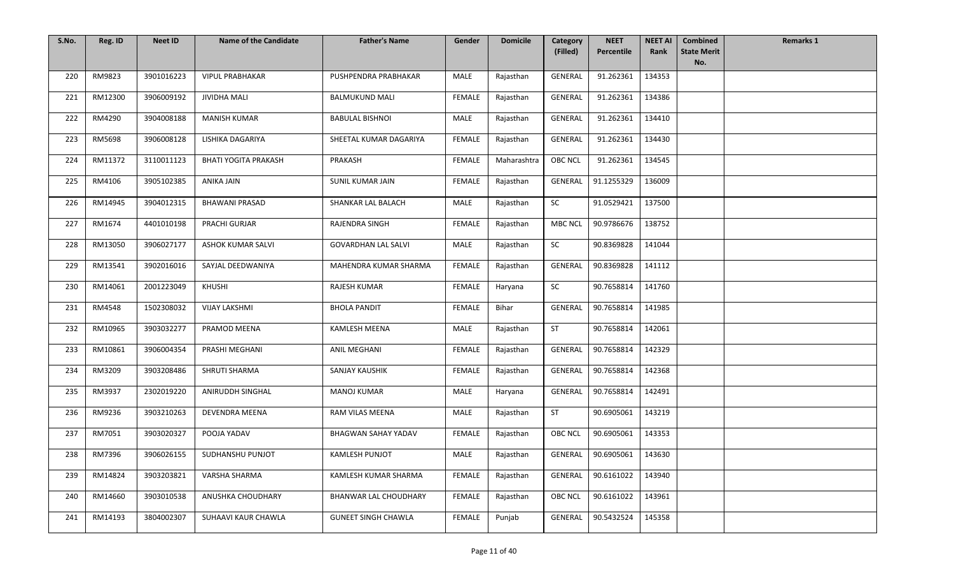| S.No. | Reg. ID | <b>Neet ID</b> | <b>Name of the Candidate</b> | <b>Father's Name</b>       | Gender        | <b>Domicile</b> | Category       | <b>NEET</b> | <b>NEET AI</b> | <b>Combined</b>           | <b>Remarks 1</b> |
|-------|---------|----------------|------------------------------|----------------------------|---------------|-----------------|----------------|-------------|----------------|---------------------------|------------------|
|       |         |                |                              |                            |               |                 | (Filled)       | Percentile  | Rank           | <b>State Merit</b><br>No. |                  |
| 220   | RM9823  | 3901016223     | <b>VIPUL PRABHAKAR</b>       | PUSHPENDRA PRABHAKAR       | MALE          | Rajasthan       | GENERAL        | 91.262361   | 134353         |                           |                  |
| 221   | RM12300 | 3906009192     | <b>JIVIDHA MALI</b>          | <b>BALMUKUND MALI</b>      | FEMALE        | Rajasthan       | GENERAL        | 91.262361   | 134386         |                           |                  |
| 222   | RM4290  | 3904008188     | <b>MANISH KUMAR</b>          | <b>BABULAL BISHNOI</b>     | MALE          | Rajasthan       | GENERAL        | 91.262361   | 134410         |                           |                  |
| 223   | RM5698  | 3906008128     | LISHIKA DAGARIYA             | SHEETAL KUMAR DAGARIYA     | <b>FEMALE</b> | Rajasthan       | <b>GENERAL</b> | 91.262361   | 134430         |                           |                  |
| 224   | RM11372 | 3110011123     | <b>BHATI YOGITA PRAKASH</b>  | PRAKASH                    | <b>FEMALE</b> | Maharashtra     | <b>OBC NCL</b> | 91.262361   | 134545         |                           |                  |
| 225   | RM4106  | 3905102385     | <b>ANIKA JAIN</b>            | SUNIL KUMAR JAIN           | FEMALE        | Rajasthan       | GENERAL        | 91.1255329  | 136009         |                           |                  |
| 226   | RM14945 | 3904012315     | <b>BHAWANI PRASAD</b>        | SHANKAR LAL BALACH         | MALE          | Rajasthan       | SC             | 91.0529421  | 137500         |                           |                  |
| 227   | RM1674  | 4401010198     | PRACHI GURJAR                | RAJENDRA SINGH             | <b>FEMALE</b> | Rajasthan       | <b>MBC NCL</b> | 90.9786676  | 138752         |                           |                  |
| 228   | RM13050 | 3906027177     | ASHOK KUMAR SALVI            | <b>GOVARDHAN LAL SALVI</b> | MALE          | Rajasthan       | SC             | 90.8369828  | 141044         |                           |                  |
| 229   | RM13541 | 3902016016     | SAYJAL DEEDWANIYA            | MAHENDRA KUMAR SHARMA      | FEMALE        | Rajasthan       | <b>GENERAL</b> | 90.8369828  | 141112         |                           |                  |
| 230   | RM14061 | 2001223049     | <b>KHUSHI</b>                | RAJESH KUMAR               | FEMALE        | Haryana         | SC             | 90.7658814  | 141760         |                           |                  |
| 231   | RM4548  | 1502308032     | <b>VIJAY LAKSHMI</b>         | <b>BHOLA PANDIT</b>        | FEMALE        | Bihar           | GENERAL        | 90.7658814  | 141985         |                           |                  |
| 232   | RM10965 | 3903032277     | PRAMOD MEENA                 | <b>KAMLESH MEENA</b>       | MALE          | Rajasthan       | ST             | 90.7658814  | 142061         |                           |                  |
| 233   | RM10861 | 3906004354     | PRASHI MEGHANI               | <b>ANIL MEGHANI</b>        | FEMALE        | Rajasthan       | <b>GENERAL</b> | 90.7658814  | 142329         |                           |                  |
| 234   | RM3209  | 3903208486     | SHRUTI SHARMA                | SANJAY KAUSHIK             | <b>FEMALE</b> | Rajasthan       | <b>GENERAL</b> | 90.7658814  | 142368         |                           |                  |
| 235   | RM3937  | 2302019220     | ANIRUDDH SINGHAL             | <b>MANOJ KUMAR</b>         | MALE          | Haryana         | <b>GENERAL</b> | 90.7658814  | 142491         |                           |                  |
| 236   | RM9236  | 3903210263     | <b>DEVENDRA MEENA</b>        | RAM VILAS MEENA            | MALE          | Rajasthan       | ST             | 90.6905061  | 143219         |                           |                  |
| 237   | RM7051  | 3903020327     | POOJA YADAV                  | <b>BHAGWAN SAHAY YADAV</b> | <b>FEMALE</b> | Rajasthan       | <b>OBC NCL</b> | 90.6905061  | 143353         |                           |                  |
| 238   | RM7396  | 3906026155     | SUDHANSHU PUNJOT             | <b>KAMLESH PUNJOT</b>      | MALE          | Rajasthan       | GENERAL        | 90.6905061  | 143630         |                           |                  |
| 239   | RM14824 | 3903203821     | VARSHA SHARMA                | KAMLESH KUMAR SHARMA       | FEMALE        | Rajasthan       | <b>GENERAL</b> | 90.6161022  | 143940         |                           |                  |
| 240   | RM14660 | 3903010538     | ANUSHKA CHOUDHARY            | BHANWAR LAL CHOUDHARY      | FEMALE        | Rajasthan       | <b>OBC NCL</b> | 90.6161022  | 143961         |                           |                  |
| 241   | RM14193 | 3804002307     | SUHAAVI KAUR CHAWLA          | <b>GUNEET SINGH CHAWLA</b> | FEMALE        | Punjab          | GENERAL        | 90.5432524  | 145358         |                           |                  |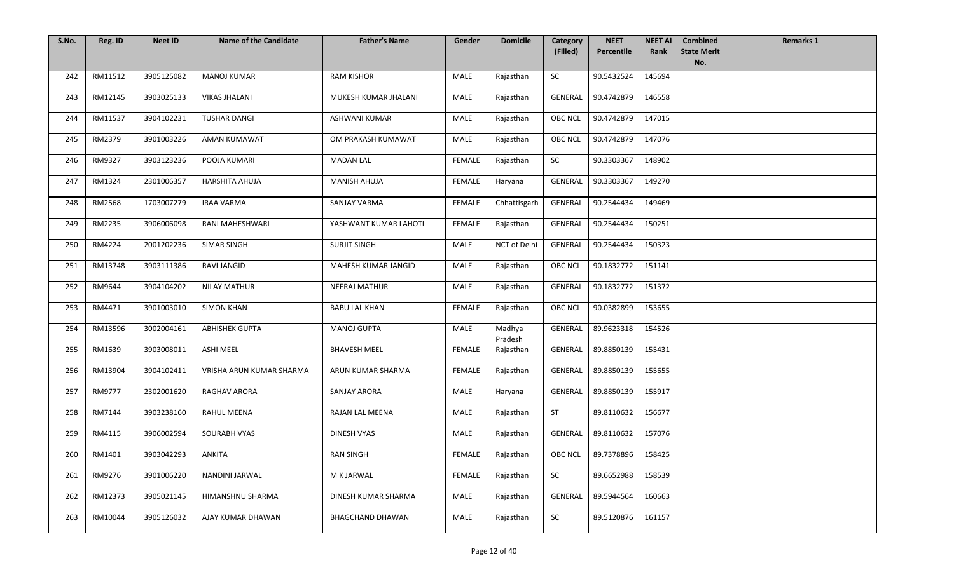| S.No. | Reg. ID | <b>Neet ID</b> | <b>Name of the Candidate</b> | <b>Father's Name</b>    | Gender        | <b>Domicile</b>   | Category<br>(Filled) | <b>NEET</b><br>Percentile | <b>NEET AI</b><br>Rank | <b>Combined</b><br><b>State Merit</b> | <b>Remarks 1</b> |
|-------|---------|----------------|------------------------------|-------------------------|---------------|-------------------|----------------------|---------------------------|------------------------|---------------------------------------|------------------|
|       |         |                |                              |                         |               |                   |                      |                           |                        | No.                                   |                  |
| 242   | RM11512 | 3905125082     | <b>MANOJ KUMAR</b>           | <b>RAM KISHOR</b>       | MALE          | Rajasthan         | SC                   | 90.5432524                | 145694                 |                                       |                  |
| 243   | RM12145 | 3903025133     | <b>VIKAS JHALANI</b>         | MUKESH KUMAR JHALANI    | <b>MALE</b>   | Rajasthan         | GENERAL              | 90.4742879                | 146558                 |                                       |                  |
| 244   | RM11537 | 3904102231     | <b>TUSHAR DANGI</b>          | <b>ASHWANI KUMAR</b>    | MALE          | Rajasthan         | <b>OBC NCL</b>       | 90.4742879                | 147015                 |                                       |                  |
| 245   | RM2379  | 3901003226     | AMAN KUMAWAT                 | OM PRAKASH KUMAWAT      | <b>MALE</b>   | Rajasthan         | <b>OBC NCL</b>       | 90.4742879                | 147076                 |                                       |                  |
| 246   | RM9327  | 3903123236     | POOJA KUMARI                 | <b>MADAN LAL</b>        | <b>FEMALE</b> | Rajasthan         | SC                   | 90.3303367                | 148902                 |                                       |                  |
| 247   | RM1324  | 2301006357     | HARSHITA AHUJA               | <b>MANISH AHUJA</b>     | FEMALE        | Haryana           | GENERAL              | 90.3303367                | 149270                 |                                       |                  |
| 248   | RM2568  | 1703007279     | <b>IRAA VARMA</b>            | <b>SANJAY VARMA</b>     | FEMALE        | Chhattisgarh      | GENERAL              | 90.2544434                | 149469                 |                                       |                  |
| 249   | RM2235  | 3906006098     | RANI MAHESHWARI              | YASHWANT KUMAR LAHOTI   | <b>FEMALE</b> | Rajasthan         | GENERAL              | 90.2544434                | 150251                 |                                       |                  |
| 250   | RM4224  | 2001202236     | <b>SIMAR SINGH</b>           | <b>SURJIT SINGH</b>     | MALE          | NCT of Delhi      | GENERAL              | 90.2544434                | 150323                 |                                       |                  |
| 251   | RM13748 | 3903111386     | <b>RAVI JANGID</b>           | MAHESH KUMAR JANGID     | MALE          | Rajasthan         | <b>OBC NCL</b>       | 90.1832772                | 151141                 |                                       |                  |
| 252   | RM9644  | 3904104202     | <b>NILAY MATHUR</b>          | <b>NEERAJ MATHUR</b>    | MALE          | Rajasthan         | GENERAL              | 90.1832772                | 151372                 |                                       |                  |
| 253   | RM4471  | 3901003010     | <b>SIMON KHAN</b>            | <b>BABU LAL KHAN</b>    | FEMALE        | Rajasthan         | <b>OBC NCL</b>       | 90.0382899                | 153655                 |                                       |                  |
| 254   | RM13596 | 3002004161     | <b>ABHISHEK GUPTA</b>        | <b>MANOJ GUPTA</b>      | MALE          | Madhya<br>Pradesh | GENERAL              | 89.9623318                | 154526                 |                                       |                  |
| 255   | RM1639  | 3903008011     | <b>ASHI MEEL</b>             | <b>BHAVESH MEEL</b>     | <b>FEMALE</b> | Rajasthan         | GENERAL              | 89.8850139                | 155431                 |                                       |                  |
| 256   | RM13904 | 3904102411     | VRISHA ARUN KUMAR SHARMA     | ARUN KUMAR SHARMA       | FEMALE        | Rajasthan         | GENERAL              | 89.8850139                | 155655                 |                                       |                  |
| 257   | RM9777  | 2302001620     | RAGHAV ARORA                 | <b>SANJAY ARORA</b>     | MALE          | Haryana           | GENERAL              | 89.8850139                | 155917                 |                                       |                  |
| 258   | RM7144  | 3903238160     | RAHUL MEENA                  | RAJAN LAL MEENA         | MALE          | Rajasthan         | ST                   | 89.8110632                | 156677                 |                                       |                  |
| 259   | RM4115  | 3906002594     | SOURABH VYAS                 | DINESH VYAS             | MALE          | Rajasthan         | GENERAL              | 89.8110632                | 157076                 |                                       |                  |
| 260   | RM1401  | 3903042293     | ANKITA                       | <b>RAN SINGH</b>        | FEMALE        | Rajasthan         | OBC NCL              | 89.7378896                | 158425                 |                                       |                  |
| 261   | RM9276  | 3901006220     | NANDINI JARWAL               | M K JARWAL              | FEMALE        | Rajasthan         | SC                   | 89.6652988                | 158539                 |                                       |                  |
| 262   | RM12373 | 3905021145     | HIMANSHNU SHARMA             | DINESH KUMAR SHARMA     | MALE          | Rajasthan         | GENERAL              | 89.5944564                | 160663                 |                                       |                  |
| 263   | RM10044 | 3905126032     | AJAY KUMAR DHAWAN            | <b>BHAGCHAND DHAWAN</b> | MALE          | Rajasthan         | SC                   | 89.5120876                | 161157                 |                                       |                  |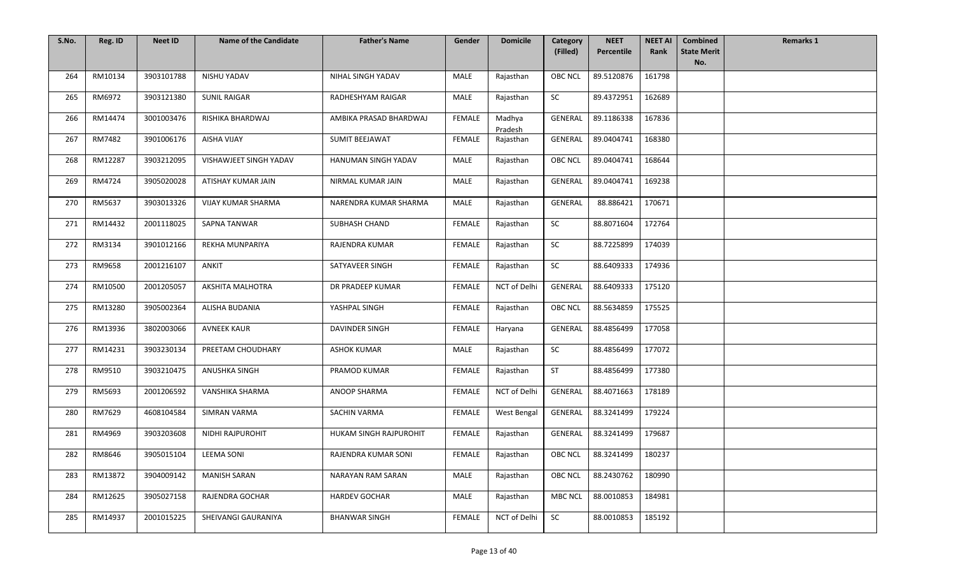| S.No. | Reg. ID | <b>Neet ID</b> | <b>Name of the Candidate</b> | <b>Father's Name</b>     | Gender        | <b>Domicile</b>   | Category<br>(Filled) | <b>NEET</b><br>Percentile | <b>NEET AI</b><br>Rank | <b>Combined</b><br><b>State Merit</b> | <b>Remarks 1</b> |
|-------|---------|----------------|------------------------------|--------------------------|---------------|-------------------|----------------------|---------------------------|------------------------|---------------------------------------|------------------|
|       |         |                |                              |                          |               |                   |                      |                           |                        | No.                                   |                  |
| 264   | RM10134 | 3903101788     | NISHU YADAV                  | NIHAL SINGH YADAV        | MALE          | Rajasthan         | <b>OBC NCL</b>       | 89.5120876                | 161798                 |                                       |                  |
| 265   | RM6972  | 3903121380     | <b>SUNIL RAIGAR</b>          | RADHESHYAM RAIGAR        | MALE          | Rajasthan         | SC                   | 89.4372951                | 162689                 |                                       |                  |
| 266   | RM14474 | 3001003476     | RISHIKA BHARDWAJ             | AMBIKA PRASAD BHARDWAJ   | FEMALE        | Madhya<br>Pradesh | <b>GENERAL</b>       | 89.1186338                | 167836                 |                                       |                  |
| 267   | RM7482  | 3901006176     | <b>AISHA VIJAY</b>           | SUMIT BEEJAWAT           | <b>FEMALE</b> | Rajasthan         | <b>GENERAL</b>       | 89.0404741                | 168380                 |                                       |                  |
| 268   | RM12287 | 3903212095     | VISHAWJEET SINGH YADAV       | HANUMAN SINGH YADAV      | MALE          | Rajasthan         | <b>OBC NCL</b>       | 89.0404741                | 168644                 |                                       |                  |
| 269   | RM4724  | 3905020028     | ATISHAY KUMAR JAIN           | NIRMAL KUMAR JAIN        | MALE          | Rajasthan         | GENERAL              | 89.0404741                | 169238                 |                                       |                  |
| 270   | RM5637  | 3903013326     | VIJAY KUMAR SHARMA           | NARENDRA KUMAR SHARMA    | <b>MALE</b>   | Rajasthan         | GENERAL              | 88.886421                 | 170671                 |                                       |                  |
| 271   | RM14432 | 2001118025     | <b>SAPNA TANWAR</b>          | SUBHASH CHAND            | FEMALE        | Rajasthan         | SC                   | 88.8071604                | 172764                 |                                       |                  |
| 272   | RM3134  | 3901012166     | REKHA MUNPARIYA              | RAJENDRA KUMAR           | FEMALE        | Rajasthan         | ${\sf SC}$           | 88.7225899                | 174039                 |                                       |                  |
| 273   | RM9658  | 2001216107     | <b>ANKIT</b>                 | SATYAVEER SINGH          | <b>FEMALE</b> | Rajasthan         | SC                   | 88.6409333                | 174936                 |                                       |                  |
| 274   | RM10500 | 2001205057     | <b>AKSHITA MALHOTRA</b>      | DR PRADEEP KUMAR         | <b>FEMALE</b> | NCT of Delhi      | GENERAL              | 88.6409333                | 175120                 |                                       |                  |
| 275   | RM13280 | 3905002364     | ALISHA BUDANIA               | YASHPAL SINGH            | FEMALE        | Rajasthan         | <b>OBC NCL</b>       | 88.5634859                | 175525                 |                                       |                  |
| 276   | RM13936 | 3802003066     | <b>AVNEEK KAUR</b>           | DAVINDER SINGH           | FEMALE        | Haryana           | GENERAL              | 88.4856499                | 177058                 |                                       |                  |
| 277   | RM14231 | 3903230134     | PREETAM CHOUDHARY            | <b>ASHOK KUMAR</b>       | MALE          | Rajasthan         | SC                   | 88.4856499                | 177072                 |                                       |                  |
| 278   | RM9510  | 3903210475     | <b>ANUSHKA SINGH</b>         | PRAMOD KUMAR             | <b>FEMALE</b> | Rajasthan         | <b>ST</b>            | 88.4856499                | 177380                 |                                       |                  |
| 279   | RM5693  | 2001206592     | VANSHIKA SHARMA              | <b>ANOOP SHARMA</b>      | FEMALE        | NCT of Delhi      | GENERAL              | 88.4071663                | 178189                 |                                       |                  |
| 280   | RM7629  | 4608104584     | <b>SIMRAN VARMA</b>          | <b>SACHIN VARMA</b>      | <b>FEMALE</b> | West Bengal       | GENERAL              | 88.3241499                | 179224                 |                                       |                  |
| 281   | RM4969  | 3903203608     | NIDHI RAJPUROHIT             | HUKAM SINGH RAJPUROHIT   | <b>FEMALE</b> | Rajasthan         | <b>GENERAL</b>       | 88.3241499                | 179687                 |                                       |                  |
| 282   | RM8646  | 3905015104     | <b>LEEMA SONI</b>            | RAJENDRA KUMAR SONI      | FEMALE        | Rajasthan         | OBC NCL              | 88.3241499                | 180237                 |                                       |                  |
| 283   | RM13872 | 3904009142     | <b>MANISH SARAN</b>          | <b>NARAYAN RAM SARAN</b> | MALE          | Rajasthan         | <b>OBC NCL</b>       | 88.2430762                | 180990                 |                                       |                  |
| 284   | RM12625 | 3905027158     | RAJENDRA GOCHAR              | <b>HARDEV GOCHAR</b>     | MALE          | Rajasthan         | <b>MBC NCL</b>       | 88.0010853                | 184981                 |                                       |                  |
| 285   | RM14937 | 2001015225     | SHEIVANGI GAURANIYA          | <b>BHANWAR SINGH</b>     | FEMALE        | NCT of Delhi      | SC                   | 88.0010853                | 185192                 |                                       |                  |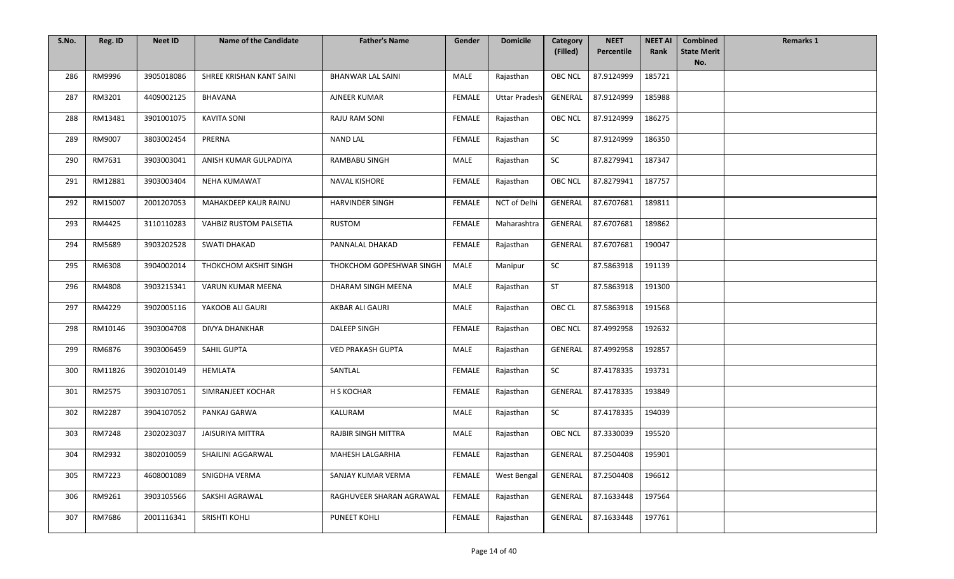| S.No. | Reg. ID | <b>Neet ID</b> | <b>Name of the Candidate</b>  | <b>Father's Name</b>       | Gender        | <b>Domicile</b>      | Category       | <b>NEET</b>        | <b>NEET AI</b> | <b>Combined</b>           | <b>Remarks 1</b> |
|-------|---------|----------------|-------------------------------|----------------------------|---------------|----------------------|----------------|--------------------|----------------|---------------------------|------------------|
|       |         |                |                               |                            |               |                      | (Filled)       | Percentile         | Rank           | <b>State Merit</b><br>No. |                  |
| 286   | RM9996  | 3905018086     | SHREE KRISHAN KANT SAINI      | <b>BHANWAR LAL SAINI</b>   | MALE          | Rajasthan            | <b>OBC NCL</b> | 87.9124999         | 185721         |                           |                  |
| 287   | RM3201  | 4409002125     | BHAVANA                       | AJNEER KUMAR               | FEMALE        | <b>Uttar Pradesh</b> | GENERAL        | 87.9124999         | 185988         |                           |                  |
| 288   | RM13481 | 3901001075     | <b>KAVITA SONI</b>            | <b>RAJU RAM SONI</b>       | FEMALE        | Rajasthan            | OBC NCL        | 87.9124999         | 186275         |                           |                  |
| 289   | RM9007  | 3803002454     | PRERNA                        | <b>NAND LAL</b>            | <b>FEMALE</b> | Rajasthan            | SC             | 87.9124999         | 186350         |                           |                  |
| 290   | RM7631  | 3903003041     | ANISH KUMAR GULPADIYA         | RAMBABU SINGH              | MALE          | Rajasthan            | SC             | 87.8279941         | 187347         |                           |                  |
| 291   | RM12881 | 3903003404     | <b>NEHA KUMAWAT</b>           | NAVAL KISHORE              | FEMALE        | Rajasthan            | <b>OBC NCL</b> | 87.8279941         | 187757         |                           |                  |
| 292   | RM15007 | 2001207053     | MAHAKDEEP KAUR RAINU          | <b>HARVINDER SINGH</b>     | FEMALE        | NCT of Delhi         | GENERAL        | 87.6707681         | 189811         |                           |                  |
| 293   | RM4425  | 3110110283     | <b>VAHBIZ RUSTOM PALSETIA</b> | RUSTOM                     | FEMALE        | Maharashtra          | GENERAL        | 87.6707681         | 189862         |                           |                  |
| 294   | RM5689  | 3903202528     | <b>SWATI DHAKAD</b>           | PANNALAL DHAKAD            | FEMALE        | Rajasthan            | GENERAL        | 87.6707681         | 190047         |                           |                  |
| 295   | RM6308  | 3904002014     | THOKCHOM AKSHIT SINGH         | THOKCHOM GOPESHWAR SINGH   | MALE          | Manipur              | SC             | 87.5863918         | 191139         |                           |                  |
| 296   | RM4808  | 3903215341     | <b>VARUN KUMAR MEENA</b>      | DHARAM SINGH MEENA         | MALE          | Rajasthan            | ST             | 87.5863918         | 191300         |                           |                  |
| 297   | RM4229  | 3902005116     | YAKOOB ALI GAURI              | AKBAR ALI GAURI            | MALE          | Rajasthan            | OBC CL         | 87.5863918         | 191568         |                           |                  |
| 298   | RM10146 | 3903004708     | DIVYA DHANKHAR                | <b>DALEEP SINGH</b>        | FEMALE        | Rajasthan            | <b>OBC NCL</b> | 87.4992958         | 192632         |                           |                  |
| 299   | RM6876  | 3903006459     | SAHIL GUPTA                   | <b>VED PRAKASH GUPTA</b>   | <b>MALE</b>   | Rajasthan            | GENERAL        | 87.4992958         | 192857         |                           |                  |
| 300   | RM11826 | 3902010149     | HEMLATA                       | SANTLAL                    | <b>FEMALE</b> | Rajasthan            | SC             | 87.4178335         | 193731         |                           |                  |
| 301   | RM2575  | 3903107051     | SIMRANJEET KOCHAR             | H S KOCHAR                 | <b>FEMALE</b> | Rajasthan            | GENERAL        | 87.4178335         | 193849         |                           |                  |
| 302   | RM2287  | 3904107052     | PANKAJ GARWA                  | KALURAM                    | MALE          | Rajasthan            | SC             | 87.4178335         | 194039         |                           |                  |
| 303   | RM7248  | 2302023037     | <b>JAISURIYA MITTRA</b>       | <b>RAJBIR SINGH MITTRA</b> | MALE          | Rajasthan            | <b>OBC NCL</b> | 87.3330039         | 195520         |                           |                  |
| 304   | RM2932  | 3802010059     | SHAILINI AGGARWAL             | <b>MAHESH LALGARHIA</b>    | FEMALE        | Rajasthan            |                | GENERAL 87.2504408 | 195901         |                           |                  |
| 305   | RM7223  | 4608001089     | SNIGDHA VERMA                 | SANJAY KUMAR VERMA         | FEMALE        | West Bengal          | GENERAL        | 87.2504408         | 196612         |                           |                  |
| 306   | RM9261  | 3903105566     | SAKSHI AGRAWAL                | RAGHUVEER SHARAN AGRAWAL   | FEMALE        | Rajasthan            | <b>GENERAL</b> | 87.1633448         | 197564         |                           |                  |
| 307   | RM7686  | 2001116341     | SRISHTI KOHLI                 | PUNEET KOHLI               | FEMALE        | Rajasthan            | GENERAL        | 87.1633448         | 197761         |                           |                  |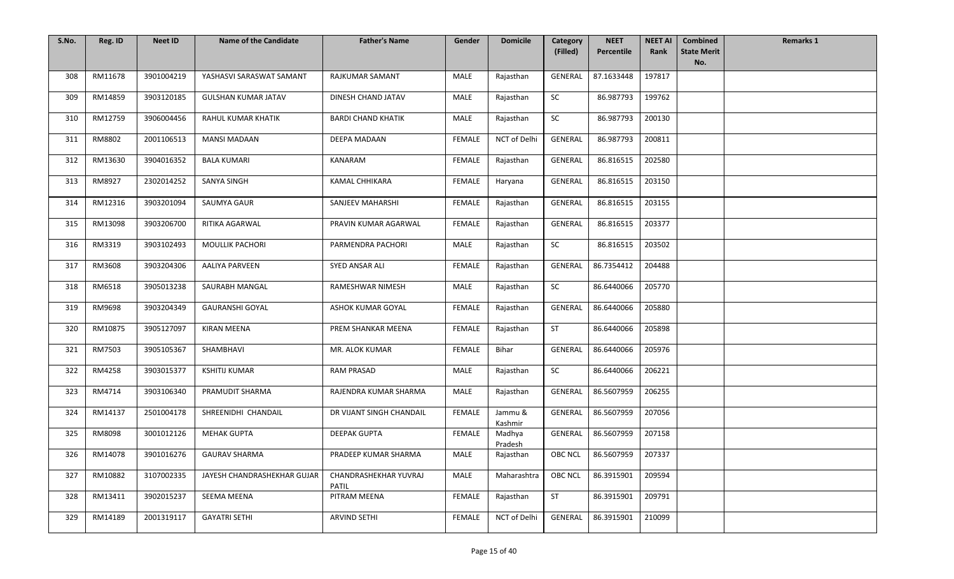| S.No. | Reg. ID | <b>Neet ID</b> | <b>Name of the Candidate</b> | <b>Father's Name</b>           | Gender        | <b>Domicile</b>    | Category<br>(Filled) | <b>NEET</b><br>Percentile | <b>NEET AI</b><br>Rank | <b>Combined</b><br><b>State Merit</b> | <b>Remarks 1</b> |
|-------|---------|----------------|------------------------------|--------------------------------|---------------|--------------------|----------------------|---------------------------|------------------------|---------------------------------------|------------------|
|       |         |                |                              |                                |               |                    |                      |                           |                        | No.                                   |                  |
| 308   | RM11678 | 3901004219     | YASHASVI SARASWAT SAMANT     | RAJKUMAR SAMANT                | MALE          | Rajasthan          | <b>GENERAL</b>       | 87.1633448                | 197817                 |                                       |                  |
| 309   | RM14859 | 3903120185     | <b>GULSHAN KUMAR JATAV</b>   | DINESH CHAND JATAV             | MALE          | Rajasthan          | <b>SC</b>            | 86.987793                 | 199762                 |                                       |                  |
| 310   | RM12759 | 3906004456     | RAHUL KUMAR KHATIK           | <b>BARDI CHAND KHATIK</b>      | MALE          | Rajasthan          | ${\sf SC}$           | 86.987793                 | 200130                 |                                       |                  |
| 311   | RM8802  | 2001106513     | <b>MANSI MADAAN</b>          | DEEPA MADAAN                   | <b>FEMALE</b> | NCT of Delhi       | GENERAL              | 86.987793                 | 200811                 |                                       |                  |
| 312   | RM13630 | 3904016352     | <b>BALA KUMARI</b>           | KANARAM                        | <b>FEMALE</b> | Rajasthan          | <b>GENERAL</b>       | 86.816515                 | 202580                 |                                       |                  |
| 313   | RM8927  | 2302014252     | <b>SANYA SINGH</b>           | <b>KAMAL CHHIKARA</b>          | FEMALE        | Haryana            | GENERAL              | 86.816515                 | 203150                 |                                       |                  |
| 314   | RM12316 | 3903201094     | SAUMYA GAUR                  | <b>SANJEEV MAHARSHI</b>        | <b>FEMALE</b> | Rajasthan          | GENERAL              | 86.816515                 | 203155                 |                                       |                  |
| 315   | RM13098 | 3903206700     | RITIKA AGARWAL               | PRAVIN KUMAR AGARWAL           | <b>FEMALE</b> | Rajasthan          | GENERAL              | 86.816515                 | 203377                 |                                       |                  |
| 316   | RM3319  | 3903102493     | <b>MOULLIK PACHORI</b>       | PARMENDRA PACHORI              | MALE          | Rajasthan          | $\sf SC$             | 86.816515                 | 203502                 |                                       |                  |
| 317   | RM3608  | 3903204306     | <b>AALIYA PARVEEN</b>        | SYED ANSAR ALI                 | <b>FEMALE</b> | Rajasthan          | <b>GENERAL</b>       | 86.7354412                | 204488                 |                                       |                  |
| 318   | RM6518  | 3905013238     | SAURABH MANGAL               | RAMESHWAR NIMESH               | MALE          | Rajasthan          | SC                   | 86.6440066                | 205770                 |                                       |                  |
| 319   | RM9698  | 3903204349     | <b>GAURANSHI GOYAL</b>       | ASHOK KUMAR GOYAL              | FEMALE        | Rajasthan          | GENERAL              | 86.6440066                | 205880                 |                                       |                  |
| 320   | RM10875 | 3905127097     | <b>KIRAN MEENA</b>           | PREM SHANKAR MEENA             | FEMALE        | Rajasthan          | <b>ST</b>            | 86.6440066                | 205898                 |                                       |                  |
| 321   | RM7503  | 3905105367     | SHAMBHAVI                    | MR. ALOK KUMAR                 | <b>FEMALE</b> | Bihar              | <b>GENERAL</b>       | 86.6440066                | 205976                 |                                       |                  |
| 322   | RM4258  | 3903015377     | <b>KSHITIJ KUMAR</b>         | <b>RAM PRASAD</b>              | MALE          | Rajasthan          | <b>SC</b>            | 86.6440066                | 206221                 |                                       |                  |
| 323   | RM4714  | 3903106340     | PRAMUDIT SHARMA              | RAJENDRA KUMAR SHARMA          | MALE          | Rajasthan          | <b>GENERAL</b>       | 86.5607959                | 206255                 |                                       |                  |
| 324   | RM14137 | 2501004178     | SHREENIDHI CHANDAIL          | DR VIJANT SINGH CHANDAIL       | <b>FEMALE</b> | Jammu &<br>Kashmir | GENERAL              | 86.5607959                | 207056                 |                                       |                  |
| 325   | RM8098  | 3001012126     | <b>MEHAK GUPTA</b>           | <b>DEEPAK GUPTA</b>            | FEMALE        | Madhya<br>Pradesh  | GENERAL              | 86.5607959                | 207158                 |                                       |                  |
| 326   | RM14078 | 3901016276     | <b>GAURAV SHARMA</b>         | PRADEEP KUMAR SHARMA           | MALE          | Rajasthan          | OBC NCL              | 86.5607959                | 207337                 |                                       |                  |
| 327   | RM10882 | 3107002335     | JAYESH CHANDRASHEKHAR GUJAR  | CHANDRASHEKHAR YUVRAJ<br>PATIL | MALE          | Maharashtra        | <b>OBC NCL</b>       | 86.3915901                | 209594                 |                                       |                  |
| 328   | RM13411 | 3902015237     | SEEMA MEENA                  | PITRAM MEENA                   | <b>FEMALE</b> | Rajasthan          | ST                   | 86.3915901                | 209791                 |                                       |                  |
| 329   | RM14189 | 2001319117     | <b>GAYATRI SETHI</b>         | <b>ARVIND SETHI</b>            | FEMALE        | NCT of Delhi       | GENERAL              | 86.3915901                | 210099                 |                                       |                  |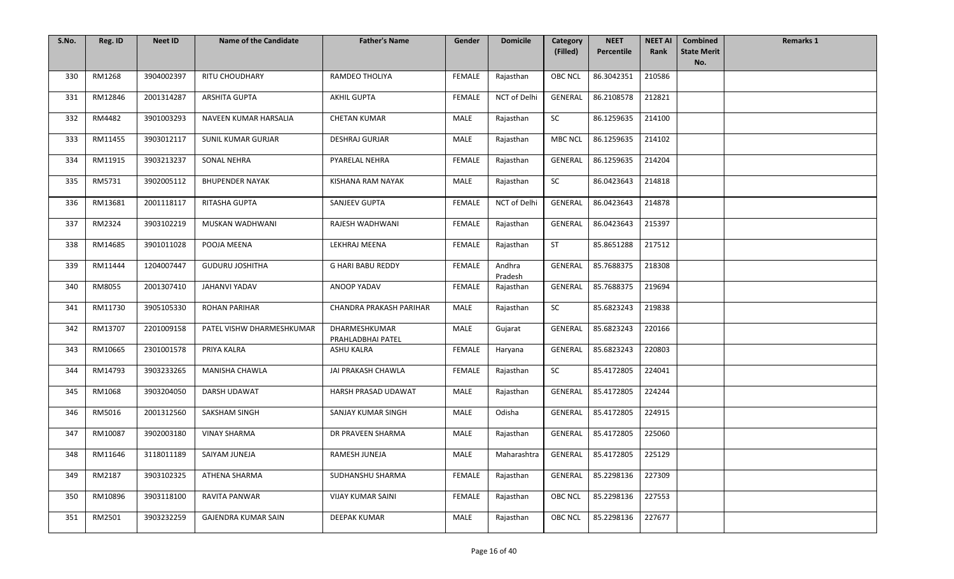| S.No. | Reg. ID | <b>Neet ID</b> | <b>Name of the Candidate</b> | <b>Father's Name</b>               | Gender        | <b>Domicile</b>   | Category       | <b>NEET</b>        | <b>NEET AI</b> | <b>Combined</b>           | <b>Remarks 1</b> |
|-------|---------|----------------|------------------------------|------------------------------------|---------------|-------------------|----------------|--------------------|----------------|---------------------------|------------------|
|       |         |                |                              |                                    |               |                   | (Filled)       | Percentile         | Rank           | <b>State Merit</b><br>No. |                  |
| 330   | RM1268  | 3904002397     | <b>RITU CHOUDHARY</b>        | RAMDEO THOLIYA                     | <b>FEMALE</b> | Rajasthan         | <b>OBC NCL</b> | 86.3042351         | 210586         |                           |                  |
| 331   | RM12846 | 2001314287     | ARSHITA GUPTA                | <b>AKHIL GUPTA</b>                 | FEMALE        | NCT of Delhi      | GENERAL        | 86.2108578         | 212821         |                           |                  |
| 332   | RM4482  | 3901003293     | NAVEEN KUMAR HARSALIA        | <b>CHETAN KUMAR</b>                | MALE          | Rajasthan         | SC             | 86.1259635         | 214100         |                           |                  |
| 333   | RM11455 | 3903012117     | <b>SUNIL KUMAR GURJAR</b>    | <b>DESHRAJ GURJAR</b>              | <b>MALE</b>   | Rajasthan         | <b>MBC NCL</b> | 86.1259635         | 214102         |                           |                  |
| 334   | RM11915 | 3903213237     | <b>SONAL NEHRA</b>           | PYARELAL NEHRA                     | <b>FEMALE</b> | Rajasthan         | GENERAL        | 86.1259635         | 214204         |                           |                  |
| 335   | RM5731  | 3902005112     | <b>BHUPENDER NAYAK</b>       | KISHANA RAM NAYAK                  | MALE          | Rajasthan         | SC             | 86.0423643         | 214818         |                           |                  |
| 336   | RM13681 | 2001118117     | RITASHA GUPTA                | SANJEEV GUPTA                      | <b>FEMALE</b> | NCT of Delhi      | <b>GENERAL</b> | 86.0423643         | 214878         |                           |                  |
| 337   | RM2324  | 3903102219     | MUSKAN WADHWANI              | RAJESH WADHWANI                    | <b>FEMALE</b> | Rajasthan         | <b>GENERAL</b> | 86.0423643         | 215397         |                           |                  |
| 338   | RM14685 | 3901011028     | POOJA MEENA                  | LEKHRAJ MEENA                      | <b>FEMALE</b> | Rajasthan         | <b>ST</b>      | 85.8651288         | 217512         |                           |                  |
| 339   | RM11444 | 1204007447     | <b>GUDURU JOSHITHA</b>       | <b>G HARI BABU REDDY</b>           | <b>FEMALE</b> | Andhra<br>Pradesh | <b>GENERAL</b> | 85.7688375         | 218308         |                           |                  |
| 340   | RM8055  | 2001307410     | <b>JAHANVI YADAV</b>         | ANOOP YADAV                        | <b>FEMALE</b> | Rajasthan         | <b>GENERAL</b> | 85.7688375         | 219694         |                           |                  |
| 341   | RM11730 | 3905105330     | ROHAN PARIHAR                | CHANDRA PRAKASH PARIHAR            | MALE          | Rajasthan         | SC             | 85.6823243         | 219838         |                           |                  |
| 342   | RM13707 | 2201009158     | PATEL VISHW DHARMESHKUMAR    | DHARMESHKUMAR<br>PRAHLADBHAI PATEL | MALE          | Gujarat           | GENERAL        | 85.6823243         | 220166         |                           |                  |
| 343   | RM10665 | 2301001578     | PRIYA KALRA                  | ASHU KALRA                         | FEMALE        | Haryana           | GENERAL        | 85.6823243         | 220803         |                           |                  |
| 344   | RM14793 | 3903233265     | MANISHA CHAWLA               | JAI PRAKASH CHAWLA                 | <b>FEMALE</b> | Rajasthan         | SC             | 85.4172805         | 224041         |                           |                  |
| 345   | RM1068  | 3903204050     | DARSH UDAWAT                 | HARSH PRASAD UDAWAT                | MALE          | Rajasthan         | <b>GENERAL</b> | 85.4172805         | 224244         |                           |                  |
| 346   | RM5016  | 2001312560     | SAKSHAM SINGH                | SANJAY KUMAR SINGH                 | MALE          | Odisha            | GENERAL        | 85.4172805         | 224915         |                           |                  |
| 347   | RM10087 | 3902003180     | <b>VINAY SHARMA</b>          | DR PRAVEEN SHARMA                  | MALE          | Rajasthan         | <b>GENERAL</b> | 85.4172805         | 225060         |                           |                  |
| 348   | RM11646 | 3118011189     | SAIYAM JUNEJA                | RAMESH JUNEJA                      | MALE          | Maharashtra       |                | GENERAL 85.4172805 | 225129         |                           |                  |
| 349   | RM2187  | 3903102325     | ATHENA SHARMA                | SUDHANSHU SHARMA                   | FEMALE        | Rajasthan         | <b>GENERAL</b> | 85.2298136         | 227309         |                           |                  |
| 350   | RM10896 | 3903118100     | RAVITA PANWAR                | <b>VIJAY KUMAR SAINI</b>           | FEMALE        | Rajasthan         | <b>OBC NCL</b> | 85.2298136         | 227553         |                           |                  |
| 351   | RM2501  | 3903232259     | GAJENDRA KUMAR SAIN          | DEEPAK KUMAR                       | MALE          | Rajasthan         | <b>OBC NCL</b> | 85.2298136         | 227677         |                           |                  |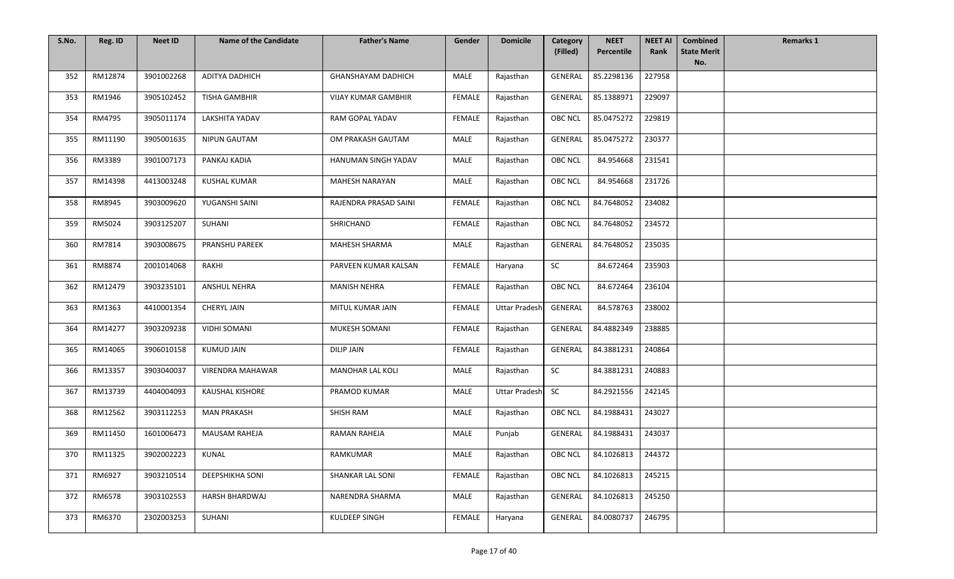| S.No. | Reg. ID | <b>Neet ID</b> | <b>Name of the Candidate</b> | <b>Father's Name</b>       | Gender        | <b>Domicile</b>      | Category<br>(Filled) | <b>NEET</b><br>Percentile | <b>NEET AI</b><br>Rank | <b>Combined</b><br><b>State Merit</b> | <b>Remarks 1</b> |
|-------|---------|----------------|------------------------------|----------------------------|---------------|----------------------|----------------------|---------------------------|------------------------|---------------------------------------|------------------|
|       |         |                |                              |                            |               |                      |                      |                           |                        | No.                                   |                  |
| 352   | RM12874 | 3901002268     | ADITYA DADHICH               | <b>GHANSHAYAM DADHICH</b>  | <b>MALE</b>   | Rajasthan            | GENERAL              | 85.2298136                | 227958                 |                                       |                  |
| 353   | RM1946  | 3905102452     | TISHA GAMBHIR                | <b>VIJAY KUMAR GAMBHIR</b> | FEMALE        | Rajasthan            | GENERAL              | 85.1388971                | 229097                 |                                       |                  |
| 354   | RM4795  | 3905011174     | LAKSHITA YADAV               | RAM GOPAL YADAV            | <b>FEMALE</b> | Rajasthan            | OBC NCL              | 85.0475272                | 229819                 |                                       |                  |
| 355   | RM11190 | 3905001635     | <b>NIPUN GAUTAM</b>          | OM PRAKASH GAUTAM          | MALE          | Rajasthan            | GENERAL              | 85.0475272                | 230377                 |                                       |                  |
| 356   | RM3389  | 3901007173     | PANKAJ KADIA                 | HANUMAN SINGH YADAV        | MALE          | Rajasthan            | <b>OBC NCL</b>       | 84.954668                 | 231541                 |                                       |                  |
| 357   | RM14398 | 4413003248     | <b>KUSHAL KUMAR</b>          | <b>MAHESH NARAYAN</b>      | <b>MALE</b>   | Rajasthan            | <b>OBC NCL</b>       | 84.954668                 | 231726                 |                                       |                  |
| 358   | RM8945  | 3903009620     | YUGANSHI SAINI               | RAJENDRA PRASAD SAINI      | FEMALE        | Rajasthan            | OBC NCL              | 84.7648052                | 234082                 |                                       |                  |
| 359   | RM5024  | 3903125207     | SUHANI                       | SHRICHAND                  | FEMALE        | Rajasthan            | OBC NCL              | 84.7648052                | 234572                 |                                       |                  |
| 360   | RM7814  | 3903008675     | PRANSHU PAREEK               | MAHESH SHARMA              | MALE          | Rajasthan            | GENERAL              | 84.7648052                | 235035                 |                                       |                  |
| 361   | RM8874  | 2001014068     | RAKHI                        | PARVEEN KUMAR KALSAN       | <b>FEMALE</b> | Haryana              | <b>SC</b>            | 84.672464                 | 235903                 |                                       |                  |
| 362   | RM12479 | 3903235101     | <b>ANSHUL NEHRA</b>          | <b>MANISH NEHRA</b>        | <b>FEMALE</b> | Rajasthan            | <b>OBC NCL</b>       | 84.672464                 | 236104                 |                                       |                  |
| 363   | RM1363  | 4410001354     | CHERYL JAIN                  | MITUL KUMAR JAIN           | FEMALE        | <b>Uttar Pradesh</b> | GENERAL              | 84.578763                 | 238002                 |                                       |                  |
| 364   | RM14277 | 3903209238     | <b>VIDHI SOMANI</b>          | MUKESH SOMANI              | FEMALE        | Rajasthan            | GENERAL              | 84.4882349                | 238885                 |                                       |                  |
| 365   | RM14065 | 3906010158     | <b>KUMUD JAIN</b>            | <b>DILIP JAIN</b>          | FEMALE        | Rajasthan            | <b>GENERAL</b>       | 84.3881231                | 240864                 |                                       |                  |
| 366   | RM13357 | 3903040037     | VIRENDRA MAHAWAR             | <b>MANOHAR LAL KOLI</b>    | MALE          | Rajasthan            | <b>SC</b>            | 84.3881231                | 240883                 |                                       |                  |
| 367   | RM13739 | 4404004093     | <b>KAUSHAL KISHORE</b>       | PRAMOD KUMAR               | MALE          | <b>Uttar Pradesh</b> | <b>SC</b>            | 84.2921556                | 242145                 |                                       |                  |
| 368   | RM12562 | 3903112253     | <b>MAN PRAKASH</b>           | SHISH RAM                  | MALE          | Rajasthan            | <b>OBC NCL</b>       | 84.1988431                | 243027                 |                                       |                  |
| 369   | RM11450 | 1601006473     | <b>MAUSAM RAHEJA</b>         | RAMAN RAHEJA               | MALE          | Punjab               | <b>GENERAL</b>       | 84.1988431                | 243037                 |                                       |                  |
| 370   | RM11325 | 3902002223     | KUNAL                        | <b>RAMKUMAR</b>            | MALE          | Rajasthan            | OBC NCL              | 84.1026813                | 244372                 |                                       |                  |
| 371   | RM6927  | 3903210514     | DEEPSHIKHA SONI              | SHANKAR LAL SONI           | <b>FEMALE</b> | Rajasthan            | <b>OBC NCL</b>       | 84.1026813                | 245215                 |                                       |                  |
| 372   | RM6578  | 3903102553     | HARSH BHARDWAJ               | NARENDRA SHARMA            | MALE          | Rajasthan            | GENERAL              | 84.1026813                | 245250                 |                                       |                  |
| 373   | RM6370  | 2302003253     | SUHANI                       | KULDEEP SINGH              | FEMALE        | Haryana              | GENERAL              | 84.0080737                | 246795                 |                                       |                  |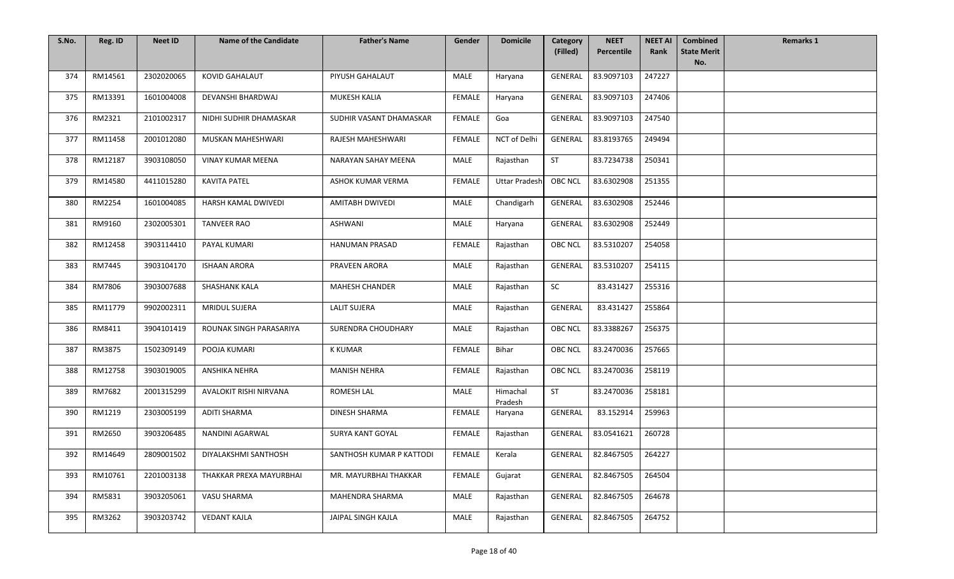| S.No. | Reg. ID | <b>Neet ID</b> | <b>Name of the Candidate</b> | <b>Father's Name</b>     | Gender        | <b>Domicile</b>      | Category<br>(Filled) | <b>NEET</b><br>Percentile | <b>NEET AI</b><br>Rank | <b>Combined</b><br><b>State Merit</b> | <b>Remarks 1</b> |
|-------|---------|----------------|------------------------------|--------------------------|---------------|----------------------|----------------------|---------------------------|------------------------|---------------------------------------|------------------|
|       |         |                |                              |                          |               |                      |                      |                           |                        | No.                                   |                  |
| 374   | RM14561 | 2302020065     | <b>KOVID GAHALAUT</b>        | PIYUSH GAHALAUT          | MALE          | Haryana              | <b>GENERAL</b>       | 83.9097103                | 247227                 |                                       |                  |
| 375   | RM13391 | 1601004008     | DEVANSHI BHARDWAJ            | MUKESH KALIA             | FEMALE        | Haryana              | GENERAL              | 83.9097103                | 247406                 |                                       |                  |
| 376   | RM2321  | 2101002317     | NIDHI SUDHIR DHAMASKAR       | SUDHIR VASANT DHAMASKAR  | <b>FEMALE</b> | Goa                  | GENERAL              | 83.9097103                | 247540                 |                                       |                  |
| 377   | RM11458 | 2001012080     | MUSKAN MAHESHWARI            | RAJESH MAHESHWARI        | <b>FEMALE</b> | NCT of Delhi         | <b>GENERAL</b>       | 83.8193765                | 249494                 |                                       |                  |
| 378   | RM12187 | 3903108050     | <b>VINAY KUMAR MEENA</b>     | NARAYAN SAHAY MEENA      | MALE          | Rajasthan            | <b>ST</b>            | 83.7234738                | 250341                 |                                       |                  |
| 379   | RM14580 | 4411015280     | <b>KAVITA PATEL</b>          | ASHOK KUMAR VERMA        | <b>FEMALE</b> | <b>Uttar Pradesh</b> | <b>OBC NCL</b>       | 83.6302908                | 251355                 |                                       |                  |
| 380   | RM2254  | 1601004085     | HARSH KAMAL DWIVEDI          | AMITABH DWIVEDI          | MALE          | Chandigarh           | <b>GENERAL</b>       | 83.6302908                | 252446                 |                                       |                  |
| 381   | RM9160  | 2302005301     | <b>TANVEER RAO</b>           | <b>ASHWANI</b>           | MALE          | Haryana              | <b>GENERAL</b>       | 83.6302908                | 252449                 |                                       |                  |
| 382   | RM12458 | 3903114410     | PAYAL KUMARI                 | HANUMAN PRASAD           | <b>FEMALE</b> | Rajasthan            | <b>OBC NCL</b>       | 83.5310207                | 254058                 |                                       |                  |
| 383   | RM7445  | 3903104170     | <b>ISHAAN ARORA</b>          | PRAVEEN ARORA            | MALE          | Rajasthan            | <b>GENERAL</b>       | 83.5310207                | 254115                 |                                       |                  |
| 384   | RM7806  | 3903007688     | <b>SHASHANK KALA</b>         | <b>MAHESH CHANDER</b>    | <b>MALE</b>   | Rajasthan            | SC                   | 83.431427                 | 255316                 |                                       |                  |
| 385   | RM11779 | 9902002311     | <b>MRIDUL SUJERA</b>         | <b>LALIT SUJERA</b>      | MALE          | Rajasthan            | GENERAL              | 83.431427                 | 255864                 |                                       |                  |
| 386   | RM8411  | 3904101419     | ROUNAK SINGH PARASARIYA      | SURENDRA CHOUDHARY       | MALE          | Rajasthan            | <b>OBC NCL</b>       | 83.3388267                | 256375                 |                                       |                  |
| 387   | RM3875  | 1502309149     | POOJA KUMARI                 | <b>K KUMAR</b>           | <b>FEMALE</b> | Bihar                | <b>OBC NCL</b>       | 83.2470036                | 257665                 |                                       |                  |
| 388   | RM12758 | 3903019005     | ANSHIKA NEHRA                | <b>MANISH NEHRA</b>      | <b>FEMALE</b> | Rajasthan            | <b>OBC NCL</b>       | 83.2470036                | 258119                 |                                       |                  |
| 389   | RM7682  | 2001315299     | AVALOKIT RISHI NIRVANA       | ROMESH LAL               | MALE          | Himachal<br>Pradesh  | ST                   | 83.2470036                | 258181                 |                                       |                  |
| 390   | RM1219  | 2303005199     | <b>ADITI SHARMA</b>          | <b>DINESH SHARMA</b>     | <b>FEMALE</b> | Haryana              | <b>GENERAL</b>       | 83.152914                 | 259963                 |                                       |                  |
| 391   | RM2650  | 3903206485     | NANDINI AGARWAL              | SURYA KANT GOYAL         | <b>FEMALE</b> | Rajasthan            | <b>GENERAL</b>       | 83.0541621                | 260728                 |                                       |                  |
| 392   | RM14649 | 2809001502     | DIYALAKSHMI SANTHOSH         | SANTHOSH KUMAR P KATTODI | FEMALE        | Kerala               |                      | GENERAL 82.8467505        | 264227                 |                                       |                  |
| 393   | RM10761 | 2201003138     | THAKKAR PREXA MAYURBHAI      | MR. MAYURBHAI THAKKAR    | <b>FEMALE</b> | Gujarat              | <b>GENERAL</b>       | 82.8467505                | 264504                 |                                       |                  |
| 394   | RM5831  | 3903205061     | VASU SHARMA                  | <b>MAHENDRA SHARMA</b>   | MALE          | Rajasthan            | <b>GENERAL</b>       | 82.8467505                | 264678                 |                                       |                  |
| 395   | RM3262  | 3903203742     | <b>VEDANT KAJLA</b>          | JAIPAL SINGH KAJLA       | MALE          | Rajasthan            | GENERAL              | 82.8467505                | 264752                 |                                       |                  |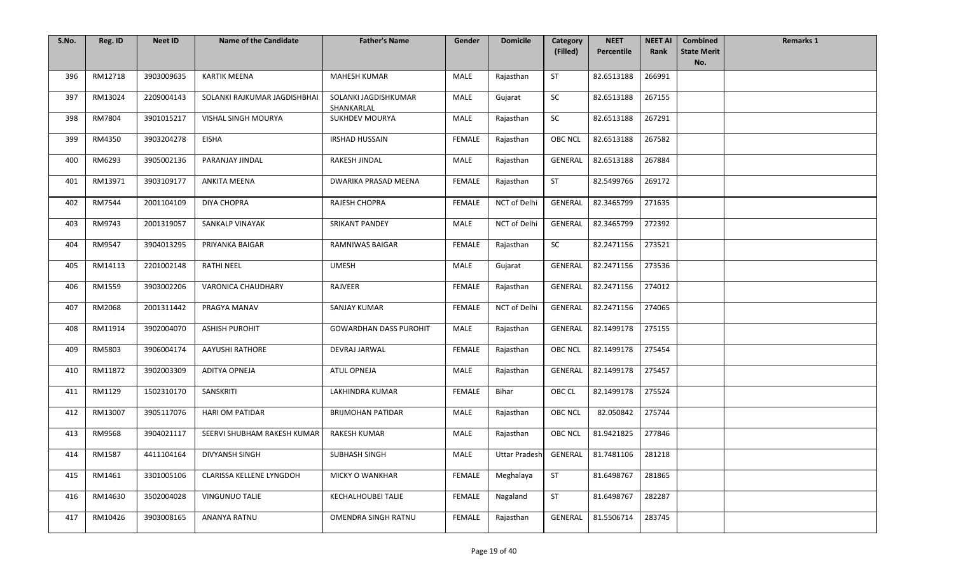| S.No. | Reg. ID | <b>Neet ID</b> | <b>Name of the Candidate</b> | <b>Father's Name</b>               | Gender        | <b>Domicile</b>     | Category<br>(Filled) | <b>NEET</b><br>Percentile | <b>NEET AI</b><br>Rank | <b>Combined</b><br><b>State Merit</b> | <b>Remarks 1</b> |
|-------|---------|----------------|------------------------------|------------------------------------|---------------|---------------------|----------------------|---------------------------|------------------------|---------------------------------------|------------------|
|       |         |                |                              |                                    |               |                     |                      |                           |                        | No.                                   |                  |
| 396   | RM12718 | 3903009635     | <b>KARTIK MEENA</b>          | <b>MAHESH KUMAR</b>                | MALE          | Rajasthan           | <b>ST</b>            | 82.6513188                | 266991                 |                                       |                  |
| 397   | RM13024 | 2209004143     | SOLANKI RAJKUMAR JAGDISHBHAI | SOLANKI JAGDISHKUMAR<br>SHANKARLAL | <b>MALE</b>   | Gujarat             | SC                   | 82.6513188                | 267155                 |                                       |                  |
| 398   | RM7804  | 3901015217     | VISHAL SINGH MOURYA          | <b>SUKHDEV MOURYA</b>              | MALE          | Rajasthan           | SC                   | 82.6513188                | 267291                 |                                       |                  |
| 399   | RM4350  | 3903204278     | <b>EISHA</b>                 | <b>IRSHAD HUSSAIN</b>              | <b>FEMALE</b> | Rajasthan           | <b>OBC NCL</b>       | 82.6513188                | 267582                 |                                       |                  |
| 400   | RM6293  | 3905002136     | PARANJAY JINDAL              | RAKESH JINDAL                      | MALE          | Rajasthan           | GENERAL              | 82.6513188                | 267884                 |                                       |                  |
| 401   | RM13971 | 3903109177     | <b>ANKITA MEENA</b>          | DWARIKA PRASAD MEENA               | FEMALE        | Rajasthan           | <b>ST</b>            | 82.5499766                | 269172                 |                                       |                  |
| 402   | RM7544  | 2001104109     | <b>DIYA CHOPRA</b>           | RAJESH CHOPRA                      | <b>FEMALE</b> | NCT of Delhi        | GENERAL              | 82.3465799                | 271635                 |                                       |                  |
| 403   | RM9743  | 2001319057     | SANKALP VINAYAK              | <b>SRIKANT PANDEY</b>              | MALE          | <b>NCT of Delhi</b> | GENERAL              | 82.3465799                | 272392                 |                                       |                  |
| 404   | RM9547  | 3904013295     | PRIYANKA BAIGAR              | <b>RAMNIWAS BAIGAR</b>             | <b>FEMALE</b> | Rajasthan           | SC                   | 82.2471156                | 273521                 |                                       |                  |
| 405   | RM14113 | 2201002148     | <b>RATHI NEEL</b>            | <b>UMESH</b>                       | MALE          | Gujarat             | GENERAL              | 82.2471156                | 273536                 |                                       |                  |
| 406   | RM1559  | 3903002206     | VARONICA CHAUDHARY           | RAJVEER                            | <b>FEMALE</b> | Rajasthan           | <b>GENERAL</b>       | 82.2471156                | 274012                 |                                       |                  |
| 407   | RM2068  | 2001311442     | PRAGYA MANAV                 | SANJAY KUMAR                       | FEMALE        | NCT of Delhi        | GENERAL              | 82.2471156                | 274065                 |                                       |                  |
| 408   | RM11914 | 3902004070     | <b>ASHISH PUROHIT</b>        | <b>GOWARDHAN DASS PUROHIT</b>      | MALE          | Rajasthan           | GENERAL              | 82.1499178                | 275155                 |                                       |                  |
| 409   | RM5803  | 3906004174     | <b>AAYUSHI RATHORE</b>       | DEVRAJ JARWAL                      | <b>FEMALE</b> | Rajasthan           | <b>OBC NCL</b>       | 82.1499178                | 275454                 |                                       |                  |
| 410   | RM11872 | 3902003309     | ADITYA OPNEJA                | ATUL OPNEJA                        | MALE          | Rajasthan           | <b>GENERAL</b>       | 82.1499178                | 275457                 |                                       |                  |
| 411   | RM1129  | 1502310170     | SANSKRITI                    | LAKHINDRA KUMAR                    | FEMALE        | Bihar               | OBC CL               | 82.1499178                | 275524                 |                                       |                  |
| 412   | RM13007 | 3905117076     | <b>HARI OM PATIDAR</b>       | <b>BRIJMOHAN PATIDAR</b>           | MALE          | Rajasthan           | <b>OBC NCL</b>       | 82.050842                 | 275744                 |                                       |                  |
| 413   | RM9568  | 3904021117     | SEERVI SHUBHAM RAKESH KUMAR  | <b>RAKESH KUMAR</b>                | MALE          | Rajasthan           | <b>OBC NCL</b>       | 81.9421825                | 277846                 |                                       |                  |
| 414   | RM1587  | 4411104164     | DIVYANSH SINGH               | SUBHASH SINGH                      | MALE          | Uttar Pradesh       |                      | GENERAL   81.7481106      | 281218                 |                                       |                  |
| 415   | RM1461  | 3301005106     | CLARISSA KELLENE LYNGDOH     | <b>MICKY O WANKHAR</b>             | FEMALE        | Meghalaya           | ST                   | 81.6498767                | 281865                 |                                       |                  |
| 416   | RM14630 | 3502004028     | <b>VINGUNUO TALIE</b>        | <b>KECHALHOUBEI TALIE</b>          | FEMALE        | Nagaland            | <b>ST</b>            | 81.6498767                | 282287                 |                                       |                  |
| 417   | RM10426 | 3903008165     | ANANYA RATNU                 | OMENDRA SINGH RATNU                | FEMALE        | Rajasthan           | GENERAL              | 81.5506714                | 283745                 |                                       |                  |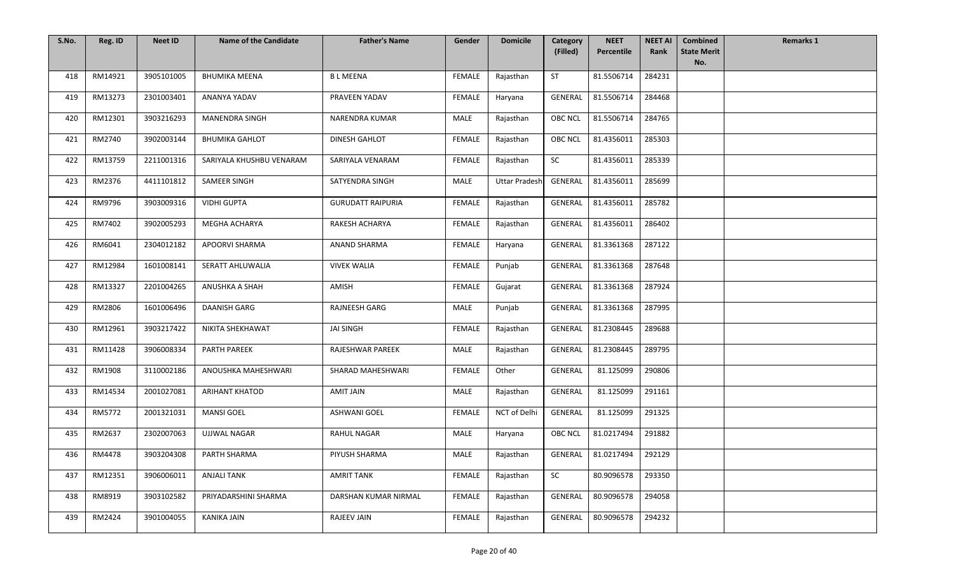| S.No. | Reg. ID | <b>Neet ID</b> | <b>Name of the Candidate</b> | <b>Father's Name</b>     | Gender        | <b>Domicile</b>      | Category<br>(Filled) | <b>NEET</b><br>Percentile | <b>NEET AI</b><br>Rank | <b>Combined</b><br><b>State Merit</b> | <b>Remarks 1</b> |
|-------|---------|----------------|------------------------------|--------------------------|---------------|----------------------|----------------------|---------------------------|------------------------|---------------------------------------|------------------|
|       |         |                |                              |                          |               |                      |                      |                           |                        | No.                                   |                  |
| 418   | RM14921 | 3905101005     | <b>BHUMIKA MEENA</b>         | <b>BLMEENA</b>           | <b>FEMALE</b> | Rajasthan            | <b>ST</b>            | 81.5506714                | 284231                 |                                       |                  |
| 419   | RM13273 | 2301003401     | ANANYA YADAV                 | PRAVEEN YADAV            | FEMALE        | Haryana              | GENERAL              | 81.5506714                | 284468                 |                                       |                  |
| 420   | RM12301 | 3903216293     | <b>MANENDRA SINGH</b>        | NARENDRA KUMAR           | MALE          | Rajasthan            | <b>OBC NCL</b>       | 81.5506714                | 284765                 |                                       |                  |
| 421   | RM2740  | 3902003144     | <b>BHUMIKA GAHLOT</b>        | <b>DINESH GAHLOT</b>     | <b>FEMALE</b> | Rajasthan            | <b>OBC NCL</b>       | 81.4356011                | 285303                 |                                       |                  |
| 422   | RM13759 | 2211001316     | SARIYALA KHUSHBU VENARAM     | SARIYALA VENARAM         | <b>FEMALE</b> | Rajasthan            | SC                   | 81.4356011                | 285339                 |                                       |                  |
| 423   | RM2376  | 4411101812     | SAMEER SINGH                 | SATYENDRA SINGH          | MALE          | <b>Uttar Pradesh</b> | GENERAL              | 81.4356011                | 285699                 |                                       |                  |
| 424   | RM9796  | 3903009316     | <b>VIDHI GUPTA</b>           | <b>GURUDATT RAIPURIA</b> | FEMALE        | Rajasthan            | GENERAL              | 81.4356011                | 285782                 |                                       |                  |
| 425   | RM7402  | 3902005293     | MEGHA ACHARYA                | RAKESH ACHARYA           | <b>FEMALE</b> | Rajasthan            | <b>GENERAL</b>       | 81.4356011                | 286402                 |                                       |                  |
| 426   | RM6041  | 2304012182     | <b>APOORVI SHARMA</b>        | <b>ANAND SHARMA</b>      | FEMALE        | Haryana              | <b>GENERAL</b>       | 81.3361368                | 287122                 |                                       |                  |
| 427   | RM12984 | 1601008141     | <b>SERATT AHLUWALIA</b>      | <b>VIVEK WALIA</b>       | FEMALE        | Punjab               | GENERAL              | 81.3361368                | 287648                 |                                       |                  |
| 428   | RM13327 | 2201004265     | ANUSHKA A SHAH               | AMISH                    | <b>FEMALE</b> | Gujarat              | GENERAL              | 81.3361368                | 287924                 |                                       |                  |
| 429   | RM2806  | 1601006496     | DAANISH GARG                 | RAJNEESH GARG            | MALE          | Punjab               | GENERAL              | 81.3361368                | 287995                 |                                       |                  |
| 430   | RM12961 | 3903217422     | NIKITA SHEKHAWAT             | JAI SINGH                | FEMALE        | Rajasthan            | GENERAL              | 81.2308445                | 289688                 |                                       |                  |
| 431   | RM11428 | 3906008334     | PARTH PAREEK                 | RAJESHWAR PAREEK         | MALE          | Rajasthan            | <b>GENERAL</b>       | 81.2308445                | 289795                 |                                       |                  |
| 432   | RM1908  | 3110002186     | ANOUSHKA MAHESHWARI          | SHARAD MAHESHWARI        | FEMALE        | Other                | <b>GENERAL</b>       | 81.125099                 | 290806                 |                                       |                  |
| 433   | RM14534 | 2001027081     | <b>ARIHANT KHATOD</b>        | AMIT JAIN                | MALE          | Rajasthan            | GENERAL              | 81.125099                 | 291161                 |                                       |                  |
| 434   | RM5772  | 2001321031     | <b>MANSI GOEL</b>            | <b>ASHWANI GOEL</b>      | <b>FEMALE</b> | NCT of Delhi         | GENERAL              | 81.125099                 | 291325                 |                                       |                  |
| 435   | RM2637  | 2302007063     | <b>UJJWAL NAGAR</b>          | <b>RAHUL NAGAR</b>       | MALE          | Haryana              | <b>OBC NCL</b>       | 81.0217494                | 291882                 |                                       |                  |
| 436   | RM4478  | 3903204308     | PARTH SHARMA                 | PIYUSH SHARMA            | MALE          | Rajasthan            | GENERAL              | 81.0217494                | 292129                 |                                       |                  |
| 437   | RM12351 | 3906006011     | <b>ANJALI TANK</b>           | <b>AMRIT TANK</b>        | FEMALE        | Rajasthan            | SC                   | 80.9096578                | 293350                 |                                       |                  |
| 438   | RM8919  | 3903102582     | PRIYADARSHINI SHARMA         | DARSHAN KUMAR NIRMAL     | FEMALE        | Rajasthan            | GENERAL              | 80.9096578                | 294058                 |                                       |                  |
| 439   | RM2424  | 3901004055     | <b>KANIKA JAIN</b>           | RAJEEV JAIN              | FEMALE        | Rajasthan            | GENERAL              | 80.9096578                | 294232                 |                                       |                  |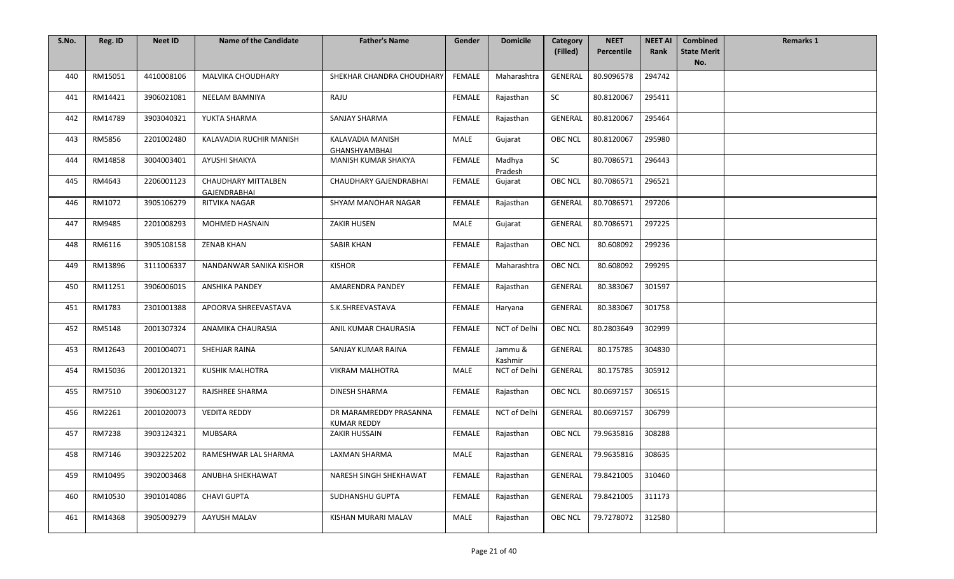| S.No. | Reg. ID | <b>Neet ID</b> | <b>Name of the Candidate</b>               | <b>Father's Name</b>                         | Gender        | <b>Domicile</b>    | <b>Category</b> | <b>NEET</b> | <b>NEET AI</b> | <b>Combined</b>           | <b>Remarks 1</b> |
|-------|---------|----------------|--------------------------------------------|----------------------------------------------|---------------|--------------------|-----------------|-------------|----------------|---------------------------|------------------|
|       |         |                |                                            |                                              |               |                    | (Filled)        | Percentile  | Rank           | <b>State Merit</b><br>No. |                  |
| 440   | RM15051 | 4410008106     | <b>MALVIKA CHOUDHARY</b>                   | SHEKHAR CHANDRA CHOUDHARY                    | <b>FEMALE</b> | Maharashtra        | GENERAL         | 80.9096578  | 294742         |                           |                  |
|       |         |                |                                            |                                              |               |                    |                 |             |                |                           |                  |
| 441   | RM14421 | 3906021081     | NEELAM BAMNIYA                             | RAJU                                         | FEMALE        | Rajasthan          | <b>SC</b>       | 80.8120067  | 295411         |                           |                  |
| 442   | RM14789 | 3903040321     | YUKTA SHARMA                               | <b>SANJAY SHARMA</b>                         | FEMALE        | Rajasthan          | <b>GENERAL</b>  | 80.8120067  | 295464         |                           |                  |
| 443   | RM5856  | 2201002480     | KALAVADIA RUCHIR MANISH                    | KALAVADIA MANISH<br><b>GHANSHYAMBHAI</b>     | MALE          | Gujarat            | <b>OBC NCL</b>  | 80.8120067  | 295980         |                           |                  |
| 444   | RM14858 | 3004003401     | AYUSHI SHAKYA                              | MANISH KUMAR SHAKYA                          | FEMALE        | Madhya<br>Pradesh  | <b>SC</b>       | 80.7086571  | 296443         |                           |                  |
| 445   | RM4643  | 2206001123     | <b>CHAUDHARY MITTALBEN</b><br>GAJENDRABHAI | CHAUDHARY GAJENDRABHAI                       | <b>FEMALE</b> | Gujarat            | OBC NCL         | 80.7086571  | 296521         |                           |                  |
| 446   | RM1072  | 3905106279     | RITVIKA NAGAR                              | SHYAM MANOHAR NAGAR                          | FEMALE        | Rajasthan          | <b>GENERAL</b>  | 80.7086571  | 297206         |                           |                  |
| 447   | RM9485  | 2201008293     | MOHMED HASNAIN                             | ZAKIR HUSEN                                  | MALE          | Gujarat            | GENERAL         | 80.7086571  | 297225         |                           |                  |
| 448   | RM6116  | 3905108158     | <b>ZENAB KHAN</b>                          | <b>SABIR KHAN</b>                            | FEMALE        | Rajasthan          | <b>OBC NCL</b>  | 80.608092   | 299236         |                           |                  |
| 449   | RM13896 | 3111006337     | NANDANWAR SANIKA KISHOR                    | <b>KISHOR</b>                                | FEMALE        | Maharashtra        | <b>OBC NCL</b>  | 80.608092   | 299295         |                           |                  |
| 450   | RM11251 | 3906006015     | <b>ANSHIKA PANDEY</b>                      | AMARENDRA PANDEY                             | <b>FEMALE</b> | Rajasthan          | <b>GENERAL</b>  | 80.383067   | 301597         |                           |                  |
| 451   | RM1783  | 2301001388     | APOORVA SHREEVASTAVA                       | S.K.SHREEVASTAVA                             | <b>FEMALE</b> | Haryana            | GENERAL         | 80.383067   | 301758         |                           |                  |
| 452   | RM5148  | 2001307324     | ANAMIKA CHAURASIA                          | ANIL KUMAR CHAURASIA                         | FEMALE        | NCT of Delhi       | <b>OBC NCL</b>  | 80.2803649  | 302999         |                           |                  |
| 453   | RM12643 | 2001004071     | SHEHJAR RAINA                              | SANJAY KUMAR RAINA                           | <b>FEMALE</b> | Jammu &<br>Kashmir | GENERAL         | 80.175785   | 304830         |                           |                  |
| 454   | RM15036 | 2001201321     | <b>KUSHIK MALHOTRA</b>                     | <b>VIKRAM MALHOTRA</b>                       | MALE          | NCT of Delhi       | <b>GENERAL</b>  | 80.175785   | 305912         |                           |                  |
| 455   | RM7510  | 3906003127     | RAJSHREE SHARMA                            | DINESH SHARMA                                | FEMALE        | Rajasthan          | <b>OBC NCL</b>  | 80.0697157  | 306515         |                           |                  |
| 456   | RM2261  | 2001020073     | <b>VEDITA REDDY</b>                        | DR MARAMREDDY PRASANNA<br><b>KUMAR REDDY</b> | <b>FEMALE</b> | NCT of Delhi       | GENERAL         | 80.0697157  | 306799         |                           |                  |
| 457   | RM7238  | 3903124321     | <b>MUBSARA</b>                             | ZAKIR HUSSAIN                                | <b>FEMALE</b> | Rajasthan          | <b>OBC NCL</b>  | 79.9635816  | 308288         |                           |                  |
| 458   | RM7146  | 3903225202     | RAMESHWAR LAL SHARMA                       | <b>LAXMAN SHARMA</b>                         | MALE          | Rajasthan          | GENERAL         | 79.9635816  | 308635         |                           |                  |
| 459   | RM10495 | 3902003468     | ANUBHA SHEKHAWAT                           | NARESH SINGH SHEKHAWAT                       | FEMALE        | Rajasthan          | <b>GENERAL</b>  | 79.8421005  | 310460         |                           |                  |
| 460   | RM10530 | 3901014086     | <b>CHAVI GUPTA</b>                         | SUDHANSHU GUPTA                              | <b>FEMALE</b> | Rajasthan          | GENERAL         | 79.8421005  | 311173         |                           |                  |
| 461   | RM14368 | 3905009279     | AAYUSH MALAV                               | KISHAN MURARI MALAV                          | MALE          | Rajasthan          | <b>OBC NCL</b>  | 79.7278072  | 312580         |                           |                  |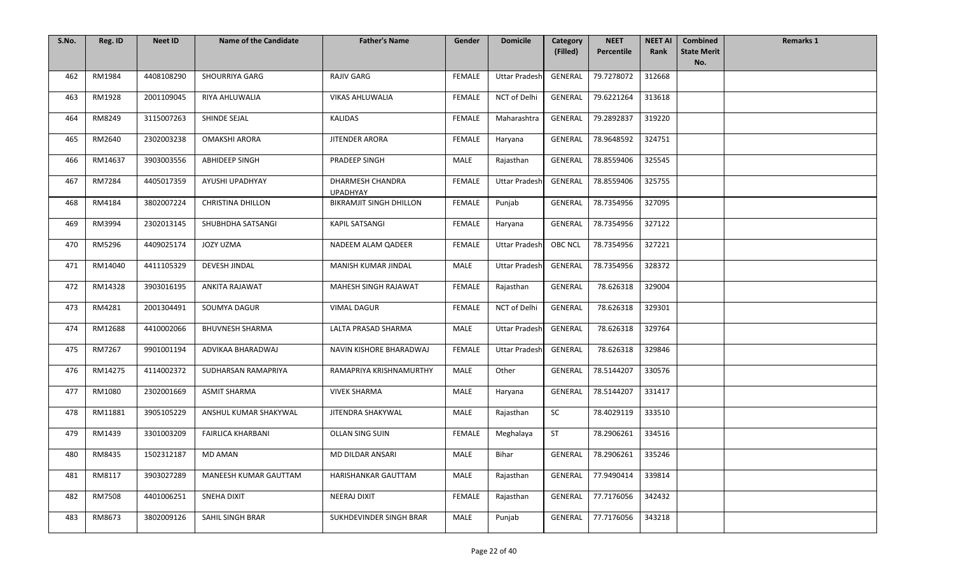| S.No. | Reg. ID | <b>Neet ID</b> | <b>Name of the Candidate</b> | <b>Father's Name</b>                | Gender        | <b>Domicile</b>      | Category       | <b>NEET</b> | <b>NEET AI</b> | <b>Combined</b>           | <b>Remarks 1</b> |
|-------|---------|----------------|------------------------------|-------------------------------------|---------------|----------------------|----------------|-------------|----------------|---------------------------|------------------|
|       |         |                |                              |                                     |               |                      | (Filled)       | Percentile  | Rank           | <b>State Merit</b><br>No. |                  |
| 462   | RM1984  | 4408108290     | <b>SHOURRIYA GARG</b>        | <b>RAJIV GARG</b>                   | FEMALE        | <b>Uttar Pradesh</b> | GENERAL        | 79.7278072  | 312668         |                           |                  |
| 463   | RM1928  | 2001109045     | RIYA AHLUWALIA               | VIKAS AHLUWALIA                     | FEMALE        | NCT of Delhi         | GENERAL        | 79.6221264  | 313618         |                           |                  |
| 464   | RM8249  | 3115007263     | SHINDE SEJAL                 | <b>KALIDAS</b>                      | <b>FEMALE</b> | Maharashtra          | GENERAL        | 79.2892837  | 319220         |                           |                  |
| 465   | RM2640  | 2302003238     | <b>OMAKSHI ARORA</b>         | JITENDER ARORA                      | <b>FEMALE</b> | Haryana              | <b>GENERAL</b> | 78.9648592  | 324751         |                           |                  |
| 466   | RM14637 | 3903003556     | <b>ABHIDEEP SINGH</b>        | PRADEEP SINGH                       | MALE          | Rajasthan            | <b>GENERAL</b> | 78.8559406  | 325545         |                           |                  |
| 467   | RM7284  | 4405017359     | AYUSHI UPADHYAY              | DHARMESH CHANDRA<br><b>UPADHYAY</b> | <b>FEMALE</b> | <b>Uttar Pradesh</b> | <b>GENERAL</b> | 78.8559406  | 325755         |                           |                  |
| 468   | RM4184  | 3802007224     | <b>CHRISTINA DHILLON</b>     | BIKRAMJIT SINGH DHILLON             | <b>FEMALE</b> | Punjab               | <b>GENERAL</b> | 78.7354956  | 327095         |                           |                  |
| 469   | RM3994  | 2302013145     | SHUBHDHA SATSANGI            | <b>KAPIL SATSANGI</b>               | FEMALE        | Haryana              | GENERAL        | 78.7354956  | 327122         |                           |                  |
| 470   | RM5296  | 4409025174     | JOZY UZMA                    | NADEEM ALAM QADEER                  | <b>FEMALE</b> | <b>Uttar Pradesh</b> | <b>OBC NCL</b> | 78.7354956  | 327221         |                           |                  |
| 471   | RM14040 | 4411105329     | DEVESH JINDAL                | MANISH KUMAR JINDAL                 | MALE          | <b>Uttar Pradesh</b> | GENERAL        | 78.7354956  | 328372         |                           |                  |
| 472   | RM14328 | 3903016195     | <b>ANKITA RAJAWAT</b>        | MAHESH SINGH RAJAWAT                | <b>FEMALE</b> | Rajasthan            | <b>GENERAL</b> | 78.626318   | 329004         |                           |                  |
| 473   | RM4281  | 2001304491     | SOUMYA DAGUR                 | <b>VIMAL DAGUR</b>                  | FEMALE        | NCT of Delhi         | GENERAL        | 78.626318   | 329301         |                           |                  |
| 474   | RM12688 | 4410002066     | <b>BHUVNESH SHARMA</b>       | LALTA PRASAD SHARMA                 | MALE          | <b>Uttar Pradesh</b> | GENERAL        | 78.626318   | 329764         |                           |                  |
| 475   | RM7267  | 9901001194     | ADVIKAA BHARADWAJ            | NAVIN KISHORE BHARADWAJ             | <b>FEMALE</b> | <b>Uttar Pradesh</b> | GENERAL        | 78.626318   | 329846         |                           |                  |
| 476   | RM14275 | 4114002372     | SUDHARSAN RAMAPRIYA          | RAMAPRIYA KRISHNAMURTHY             | MALE          | Other                | GENERAL        | 78.5144207  | 330576         |                           |                  |
| 477   | RM1080  | 2302001669     | <b>ASMIT SHARMA</b>          | <b>VIVEK SHARMA</b>                 | <b>MALE</b>   | Haryana              | GENERAL        | 78.5144207  | 331417         |                           |                  |
| 478   | RM11881 | 3905105229     | ANSHUL KUMAR SHAKYWAL        | JITENDRA SHAKYWAL                   | MALE          | Rajasthan            | SC             | 78.4029119  | 333510         |                           |                  |
| 479   | RM1439  | 3301003209     | <b>FAIRLICA KHARBANI</b>     | OLLAN SING SUIN                     | FEMALE        | Meghalaya            | <b>ST</b>      | 78.2906261  | 334516         |                           |                  |
| 480   | RM8435  | 1502312187     | <b>MD AMAN</b>               | MD DILDAR ANSARI                    | MALE          | Bihar                | GENERAL        | 78.2906261  | 335246         |                           |                  |
| 481   | RM8117  | 3903027289     | MANEESH KUMAR GAUTTAM        | HARISHANKAR GAUTTAM                 | MALE          | Rajasthan            | <b>GENERAL</b> | 77.9490414  | 339814         |                           |                  |
| 482   | RM7508  | 4401006251     | SNEHA DIXIT                  | NEERAJ DIXIT                        | <b>FEMALE</b> | Rajasthan            | GENERAL        | 77.7176056  | 342432         |                           |                  |
| 483   | RM8673  | 3802009126     | SAHIL SINGH BRAR             | SUKHDEVINDER SINGH BRAR             | MALE          | Punjab               | GENERAL        | 77.7176056  | 343218         |                           |                  |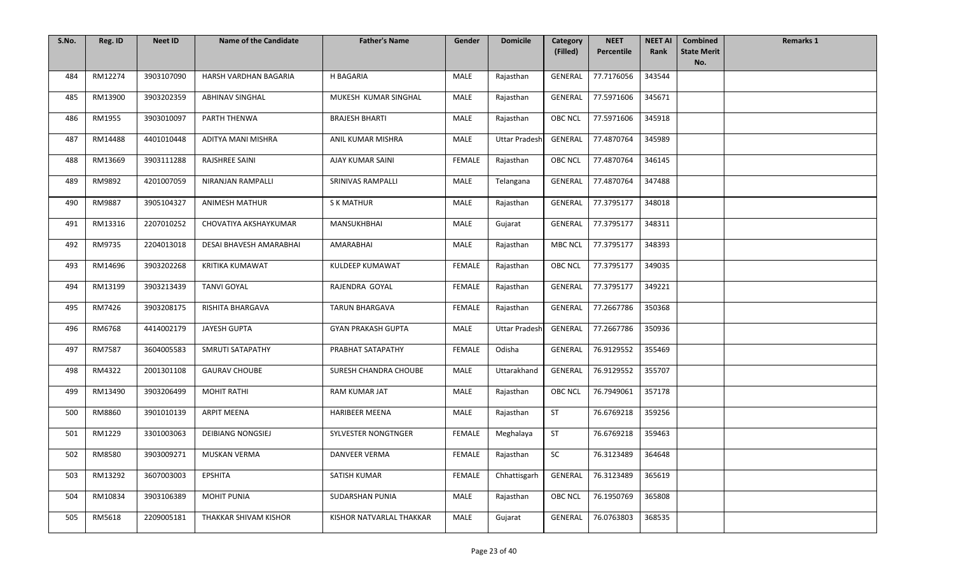| S.No. | Reg. ID | <b>Neet ID</b> | <b>Name of the Candidate</b> | <b>Father's Name</b>      | Gender        | <b>Domicile</b>      | Category<br>(Filled) | <b>NEET</b><br>Percentile | <b>NEET AI</b><br>Rank | <b>Combined</b><br><b>State Merit</b> | <b>Remarks 1</b> |
|-------|---------|----------------|------------------------------|---------------------------|---------------|----------------------|----------------------|---------------------------|------------------------|---------------------------------------|------------------|
|       |         |                |                              |                           |               |                      |                      |                           |                        | No.                                   |                  |
| 484   | RM12274 | 3903107090     | HARSH VARDHAN BAGARIA        | H BAGARIA                 | MALE          | Rajasthan            | <b>GENERAL</b>       | 77.7176056                | 343544                 |                                       |                  |
| 485   | RM13900 | 3903202359     | <b>ABHINAV SINGHAL</b>       | MUKESH KUMAR SINGHAL      | <b>MALE</b>   | Rajasthan            | GENERAL              | 77.5971606                | 345671                 |                                       |                  |
| 486   | RM1955  | 3903010097     | PARTH THENWA                 | <b>BRAJESH BHARTI</b>     | MALE          | Rajasthan            | OBC NCL              | 77.5971606                | 345918                 |                                       |                  |
| 487   | RM14488 | 4401010448     | ADITYA MANI MISHRA           | ANIL KUMAR MISHRA         | <b>MALE</b>   | <b>Uttar Pradesh</b> | GENERAL              | 77.4870764                | 345989                 |                                       |                  |
| 488   | RM13669 | 3903111288     | <b>RAJSHREE SAINI</b>        | AJAY KUMAR SAINI          | <b>FEMALE</b> | Rajasthan            | <b>OBC NCL</b>       | 77.4870764                | 346145                 |                                       |                  |
| 489   | RM9892  | 4201007059     | NIRANJAN RAMPALLI            | SRINIVAS RAMPALLI         | MALE          | Telangana            | GENERAL              | 77.4870764                | 347488                 |                                       |                  |
| 490   | RM9887  | 3905104327     | <b>ANIMESH MATHUR</b>        | <b>S K MATHUR</b>         | MALE          | Rajasthan            | GENERAL              | 77.3795177                | 348018                 |                                       |                  |
| 491   | RM13316 | 2207010252     | CHOVATIYA AKSHAYKUMAR        | MANSUKHBHAI               | MALE          | Gujarat              | <b>GENERAL</b>       | 77.3795177                | 348311                 |                                       |                  |
| 492   | RM9735  | 2204013018     | DESAI BHAVESH AMARABHAI      | AMARABHAI                 | MALE          | Rajasthan            | <b>MBC NCL</b>       | 77.3795177                | 348393                 |                                       |                  |
| 493   | RM14696 | 3903202268     | KRITIKA KUMAWAT              | KULDEEP KUMAWAT           | FEMALE        | Rajasthan            | <b>OBC NCL</b>       | 77.3795177                | 349035                 |                                       |                  |
| 494   | RM13199 | 3903213439     | <b>TANVI GOYAL</b>           | RAJENDRA GOYAL            | <b>FEMALE</b> | Rajasthan            | <b>GENERAL</b>       | 77.3795177                | 349221                 |                                       |                  |
| 495   | RM7426  | 3903208175     | RISHITA BHARGAVA             | TARUN BHARGAVA            | FEMALE        | Rajasthan            | GENERAL              | 77.2667786                | 350368                 |                                       |                  |
| 496   | RM6768  | 4414002179     | JAYESH GUPTA                 | <b>GYAN PRAKASH GUPTA</b> | MALE          | <b>Uttar Pradesh</b> | GENERAL              | 77.2667786                | 350936                 |                                       |                  |
| 497   | RM7587  | 3604005583     | SMRUTI SATAPATHY             | PRABHAT SATAPATHY         | <b>FEMALE</b> | Odisha               | <b>GENERAL</b>       | 76.9129552                | 355469                 |                                       |                  |
| 498   | RM4322  | 2001301108     | <b>GAURAV CHOUBE</b>         | SURESH CHANDRA CHOUBE     | MALE          | Uttarakhand          | GENERAL              | 76.9129552                | 355707                 |                                       |                  |
| 499   | RM13490 | 3903206499     | <b>MOHIT RATHI</b>           | RAM KUMAR JAT             | MALE          | Rajasthan            | <b>OBC NCL</b>       | 76.7949061                | 357178                 |                                       |                  |
| 500   | RM8860  | 3901010139     | <b>ARPIT MEENA</b>           | <b>HARIBEER MEENA</b>     | MALE          | Rajasthan            | <b>ST</b>            | 76.6769218                | 359256                 |                                       |                  |
| 501   | RM1229  | 3301003063     | <b>DEIBIANG NONGSIEJ</b>     | SYLVESTER NONGTNGER       | <b>FEMALE</b> | Meghalaya            | <b>ST</b>            | 76.6769218                | 359463                 |                                       |                  |
| 502   | RM8580  | 3903009271     | MUSKAN VERMA                 | DANVEER VERMA             | FEMALE        | Rajasthan            | SC                   | 76.3123489                | 364648                 |                                       |                  |
| 503   | RM13292 | 3607003003     | <b>EPSHITA</b>               | SATISH KUMAR              | FEMALE        | Chhattisgarh         | GENERAL              | 76.3123489                | 365619                 |                                       |                  |
| 504   | RM10834 | 3903106389     | <b>MOHIT PUNIA</b>           | SUDARSHAN PUNIA           | MALE          | Rajasthan            | <b>OBC NCL</b>       | 76.1950769                | 365808                 |                                       |                  |
| 505   | RM5618  | 2209005181     | THAKKAR SHIVAM KISHOR        | KISHOR NATVARLAL THAKKAR  | MALE          | Gujarat              | GENERAL              | 76.0763803                | 368535                 |                                       |                  |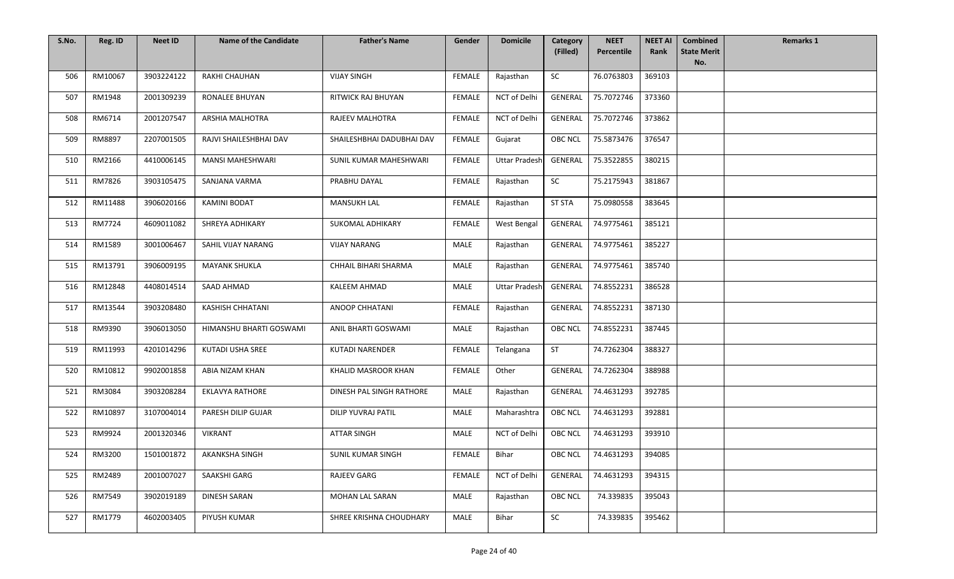| S.No. | Reg. ID | <b>Neet ID</b> | <b>Name of the Candidate</b> | <b>Father's Name</b>      | Gender        | <b>Domicile</b>      | Category<br>(Filled) | <b>NEET</b><br>Percentile | <b>NEET AI</b><br>Rank | <b>Combined</b><br><b>State Merit</b> | <b>Remarks 1</b> |
|-------|---------|----------------|------------------------------|---------------------------|---------------|----------------------|----------------------|---------------------------|------------------------|---------------------------------------|------------------|
|       |         |                |                              |                           |               |                      |                      |                           |                        | No.                                   |                  |
| 506   | RM10067 | 3903224122     | RAKHI CHAUHAN                | <b>VIJAY SINGH</b>        | FEMALE        | Rajasthan            | SC                   | 76.0763803                | 369103                 |                                       |                  |
| 507   | RM1948  | 2001309239     | RONALEE BHUYAN               | RITWICK RAJ BHUYAN        | <b>FEMALE</b> | NCT of Delhi         | GENERAL              | 75.7072746                | 373360                 |                                       |                  |
| 508   | RM6714  | 2001207547     | ARSHIA MALHOTRA              | RAJEEV MALHOTRA           | <b>FEMALE</b> | NCT of Delhi         | GENERAL              | 75.7072746                | 373862                 |                                       |                  |
| 509   | RM8897  | 2207001505     | RAJVI SHAILESHBHAI DAV       | SHAILESHBHAI DADUBHAI DAV | <b>FEMALE</b> | Gujarat              | <b>OBC NCL</b>       | 75.5873476                | 376547                 |                                       |                  |
| 510   | RM2166  | 4410006145     | <b>MANSI MAHESHWARI</b>      | SUNIL KUMAR MAHESHWARI    | <b>FEMALE</b> | <b>Uttar Pradesh</b> | GENERAL              | 75.3522855                | 380215                 |                                       |                  |
| 511   | RM7826  | 3903105475     | SANJANA VARMA                | PRABHU DAYAL              | FEMALE        | Rajasthan            | SC                   | 75.2175943                | 381867                 |                                       |                  |
| 512   | RM11488 | 3906020166     | <b>KAMINI BODAT</b>          | <b>MANSUKH LAL</b>        | FEMALE        | Rajasthan            | <b>ST STA</b>        | 75.0980558                | 383645                 |                                       |                  |
| 513   | RM7724  | 4609011082     | SHREYA ADHIKARY              | SUKOMAL ADHIKARY          | FEMALE        | West Bengal          | GENERAL              | 74.9775461                | 385121                 |                                       |                  |
| 514   | RM1589  | 3001006467     | SAHIL VIJAY NARANG           | <b>VIJAY NARANG</b>       | MALE          | Rajasthan            | <b>GENERAL</b>       | 74.9775461                | 385227                 |                                       |                  |
| 515   | RM13791 | 3906009195     | <b>MAYANK SHUKLA</b>         | CHHAIL BIHARI SHARMA      | MALE          | Rajasthan            | <b>GENERAL</b>       | 74.9775461                | 385740                 |                                       |                  |
| 516   | RM12848 | 4408014514     | SAAD AHMAD                   | KALEEM AHMAD              | MALE          | <b>Uttar Pradesh</b> | GENERAL              | 74.8552231                | 386528                 |                                       |                  |
| 517   | RM13544 | 3903208480     | <b>KASHISH CHHATANI</b>      | ANOOP CHHATANI            | <b>FEMALE</b> | Rajasthan            | <b>GENERAL</b>       | 74.8552231                | 387130                 |                                       |                  |
| 518   | RM9390  | 3906013050     | HIMANSHU BHARTI GOSWAMI      | ANIL BHARTI GOSWAMI       | MALE          | Rajasthan            | <b>OBC NCL</b>       | 74.8552231                | 387445                 |                                       |                  |
| 519   | RM11993 | 4201014296     | KUTADI USHA SREE             | <b>KUTADI NARENDER</b>    | <b>FEMALE</b> | Telangana            | <b>ST</b>            | 74.7262304                | 388327                 |                                       |                  |
| 520   | RM10812 | 9902001858     | ABIA NIZAM KHAN              | KHALID MASROOR KHAN       | <b>FEMALE</b> | Other                | GENERAL              | 74.7262304                | 388988                 |                                       |                  |
| 521   | RM3084  | 3903208284     | <b>EKLAVYA RATHORE</b>       | DINESH PAL SINGH RATHORE  | MALE          | Rajasthan            | <b>GENERAL</b>       | 74.4631293                | 392785                 |                                       |                  |
| 522   | RM10897 | 3107004014     | PARESH DILIP GUJAR           | <b>DILIP YUVRAJ PATIL</b> | MALE          | Maharashtra          | OBC NCL              | 74.4631293                | 392881                 |                                       |                  |
| 523   | RM9924  | 2001320346     | <b>VIKRANT</b>               | <b>ATTAR SINGH</b>        | MALE          | NCT of Delhi         | <b>OBC NCL</b>       | 74.4631293                | 393910                 |                                       |                  |
| 524   | RM3200  | 1501001872     | AKANKSHA SINGH               | <b>SUNIL KUMAR SINGH</b>  | FEMALE        | Bihar                | OBC NCL              | 74.4631293                | 394085                 |                                       |                  |
| 525   | RM2489  | 2001007027     | SAAKSHI GARG                 | RAJEEV GARG               | <b>FEMALE</b> | NCT of Delhi         | GENERAL              | 74.4631293                | 394315                 |                                       |                  |
| 526   | RM7549  | 3902019189     | <b>DINESH SARAN</b>          | MOHAN LAL SARAN           | MALE          | Rajasthan            | <b>OBC NCL</b>       | 74.339835                 | 395043                 |                                       |                  |
| 527   | RM1779  | 4602003405     | PIYUSH KUMAR                 | SHREE KRISHNA CHOUDHARY   | MALE          | Bihar                | <b>SC</b>            | 74.339835                 | 395462                 |                                       |                  |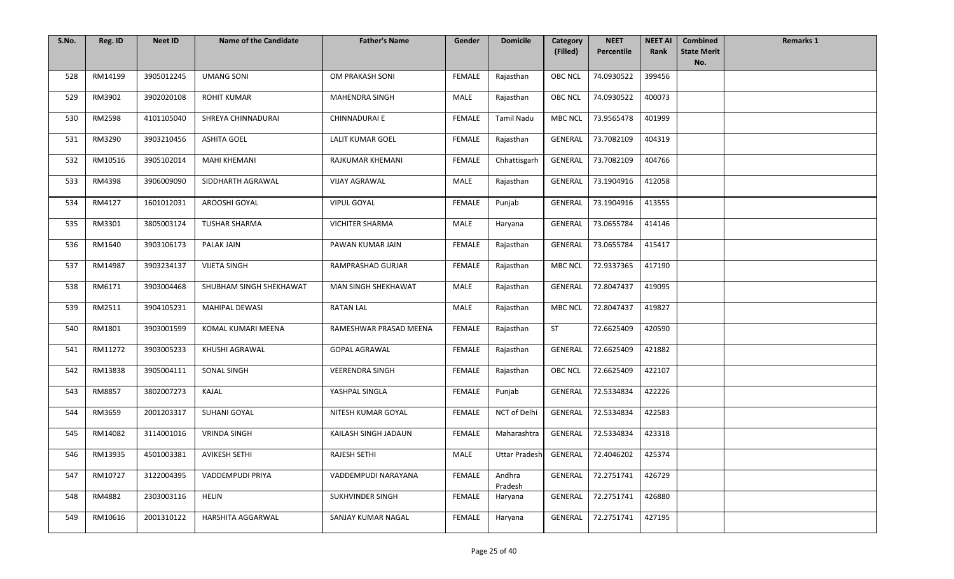| S.No. | Reg. ID | <b>Neet ID</b> | <b>Name of the Candidate</b> | <b>Father's Name</b>    | Gender        | <b>Domicile</b>      | Category       | <b>NEET</b>        | <b>NEET AI</b> | <b>Combined</b>           | <b>Remarks 1</b> |
|-------|---------|----------------|------------------------------|-------------------------|---------------|----------------------|----------------|--------------------|----------------|---------------------------|------------------|
|       |         |                |                              |                         |               |                      | (Filled)       | Percentile         | Rank           | <b>State Merit</b><br>No. |                  |
| 528   | RM14199 | 3905012245     | <b>UMANG SONI</b>            | OM PRAKASH SONI         | FEMALE        | Rajasthan            | <b>OBC NCL</b> | 74.0930522         | 399456         |                           |                  |
| 529   | RM3902  | 3902020108     | <b>ROHIT KUMAR</b>           | MAHENDRA SINGH          | MALE          | Rajasthan            | <b>OBC NCL</b> | 74.0930522         | 400073         |                           |                  |
| 530   | RM2598  | 4101105040     | SHREYA CHINNADURAI           | CHINNADURAI E           | FEMALE        | <b>Tamil Nadu</b>    | <b>MBC NCL</b> | 73.9565478         | 401999         |                           |                  |
| 531   | RM3290  | 3903210456     | <b>ASHITA GOEL</b>           | <b>LALIT KUMAR GOEL</b> | <b>FEMALE</b> | Rajasthan            | <b>GENERAL</b> | 73.7082109         | 404319         |                           |                  |
| 532   | RM10516 | 3905102014     | <b>MAHI KHEMANI</b>          | RAJKUMAR KHEMANI        | <b>FEMALE</b> | Chhattisgarh         | GENERAL        | 73.7082109         | 404766         |                           |                  |
| 533   | RM4398  | 3906009090     | SIDDHARTH AGRAWAL            | <b>VIJAY AGRAWAL</b>    | MALE          | Rajasthan            | GENERAL        | 73.1904916         | 412058         |                           |                  |
| 534   | RM4127  | 1601012031     | AROOSHI GOYAL                | <b>VIPUL GOYAL</b>      | <b>FEMALE</b> | Punjab               | <b>GENERAL</b> | 73.1904916         | 413555         |                           |                  |
| 535   | RM3301  | 3805003124     | <b>TUSHAR SHARMA</b>         | <b>VICHITER SHARMA</b>  | MALE          | Haryana              | <b>GENERAL</b> | 73.0655784         | 414146         |                           |                  |
| 536   | RM1640  | 3903106173     | <b>PALAK JAIN</b>            | PAWAN KUMAR JAIN        | <b>FEMALE</b> | Rajasthan            | <b>GENERAL</b> | 73.0655784         | 415417         |                           |                  |
| 537   | RM14987 | 3903234137     | <b>VIJETA SINGH</b>          | RAMPRASHAD GURJAR       | <b>FEMALE</b> | Rajasthan            | <b>MBC NCL</b> | 72.9337365         | 417190         |                           |                  |
| 538   | RM6171  | 3903004468     | SHUBHAM SINGH SHEKHAWAT      | MAN SINGH SHEKHAWAT     | MALE          | Rajasthan            | <b>GENERAL</b> | 72.8047437         | 419095         |                           |                  |
| 539   | RM2511  | 3904105231     | MAHIPAL DEWASI               | <b>RATAN LAL</b>        | MALE          | Rajasthan            | <b>MBC NCL</b> | 72.8047437         | 419827         |                           |                  |
| 540   | RM1801  | 3903001599     | KOMAL KUMARI MEENA           | RAMESHWAR PRASAD MEENA  | FEMALE        | Rajasthan            | <b>ST</b>      | 72.6625409         | 420590         |                           |                  |
| 541   | RM11272 | 3903005233     | KHUSHI AGRAWAL               | <b>GOPAL AGRAWAL</b>    | FEMALE        | Rajasthan            | <b>GENERAL</b> | 72.6625409         | 421882         |                           |                  |
| 542   | RM13838 | 3905004111     | SONAL SINGH                  | <b>VEERENDRA SINGH</b>  | <b>FEMALE</b> | Rajasthan            | <b>OBC NCL</b> | 72.6625409         | 422107         |                           |                  |
| 543   | RM8857  | 3802007273     | KAJAL                        | YASHPAL SINGLA          | FEMALE        | Punjab               | <b>GENERAL</b> | 72.5334834         | 422226         |                           |                  |
| 544   | RM3659  | 2001203317     | SUHANI GOYAL                 | NITESH KUMAR GOYAL      | FEMALE        | NCT of Delhi         | GENERAL        | 72.5334834         | 422583         |                           |                  |
| 545   | RM14082 | 3114001016     | <b>VRINDA SINGH</b>          | KAILASH SINGH JADAUN    | <b>FEMALE</b> | Maharashtra          | GENERAL        | 72.5334834         | 423318         |                           |                  |
| 546   | RM13935 | 4501003381     | <b>AVIKESH SETHI</b>         | <b>RAJESH SETHI</b>     | MALE          | <b>Uttar Pradesh</b> |                | GENERAL 72.4046202 | 425374         |                           |                  |
| 547   | RM10727 | 3122004395     | VADDEMPUDI PRIYA             | VADDEMPUDI NARAYANA     | FEMALE        | Andhra<br>Pradesh    | <b>GENERAL</b> | 72.2751741         | 426729         |                           |                  |
| 548   | RM4882  | 2303003116     | <b>HELIN</b>                 | SUKHVINDER SINGH        | <b>FEMALE</b> | Haryana              | <b>GENERAL</b> | 72.2751741         | 426880         |                           |                  |
| 549   | RM10616 | 2001310122     | HARSHITA AGGARWAL            | SANJAY KUMAR NAGAL      | FEMALE        | Haryana              | GENERAL        | 72.2751741         | 427195         |                           |                  |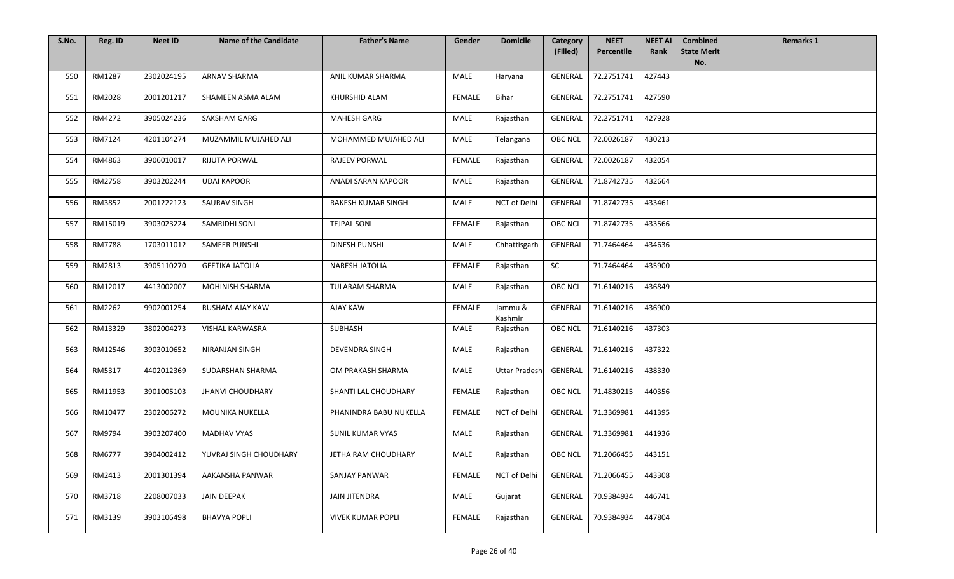| S.No. | Reg. ID       | <b>Neet ID</b> | <b>Name of the Candidate</b> | <b>Father's Name</b>     | Gender        | <b>Domicile</b>      | Category<br>(Filled) | <b>NEET</b><br>Percentile | <b>NEET AI</b><br>Rank | <b>Combined</b><br><b>State Merit</b> | <b>Remarks 1</b> |
|-------|---------------|----------------|------------------------------|--------------------------|---------------|----------------------|----------------------|---------------------------|------------------------|---------------------------------------|------------------|
|       |               |                |                              |                          |               |                      |                      |                           |                        | No.                                   |                  |
| 550   | RM1287        | 2302024195     | <b>ARNAV SHARMA</b>          | ANIL KUMAR SHARMA        | MALE          | Haryana              | GENERAL              | 72.2751741                | 427443                 |                                       |                  |
| 551   | RM2028        | 2001201217     | SHAMEEN ASMA ALAM            | KHURSHID ALAM            | <b>FEMALE</b> | Bihar                | GENERAL              | 72.2751741                | 427590                 |                                       |                  |
| 552   | RM4272        | 3905024236     | SAKSHAM GARG                 | <b>MAHESH GARG</b>       | MALE          | Rajasthan            | <b>GENERAL</b>       | 72.2751741                | 427928                 |                                       |                  |
| 553   | RM7124        | 4201104274     | MUZAMMIL MUJAHED ALI         | MOHAMMED MUJAHED ALI     | MALE          | Telangana            | <b>OBC NCL</b>       | 72.0026187                | 430213                 |                                       |                  |
| 554   | RM4863        | 3906010017     | <b>RIJUTA PORWAL</b>         | RAJEEV PORWAL            | <b>FEMALE</b> | Rajasthan            | <b>GENERAL</b>       | 72.0026187                | 432054                 |                                       |                  |
| 555   | RM2758        | 3903202244     | <b>UDAI KAPOOR</b>           | ANADI SARAN KAPOOR       | MALE          | Rajasthan            | <b>GENERAL</b>       | 71.8742735                | 432664                 |                                       |                  |
| 556   | RM3852        | 2001222123     | <b>SAURAV SINGH</b>          | RAKESH KUMAR SINGH       | <b>MALE</b>   | NCT of Delhi         | <b>GENERAL</b>       | 71.8742735                | 433461                 |                                       |                  |
| 557   | RM15019       | 3903023224     | SAMRIDHI SONI                | <b>TEJPAL SONI</b>       | <b>FEMALE</b> | Rajasthan            | OBC NCL              | 71.8742735                | 433566                 |                                       |                  |
| 558   | <b>RM7788</b> | 1703011012     | <b>SAMEER PUNSHI</b>         | <b>DINESH PUNSHI</b>     | <b>MALE</b>   | Chhattisgarh         | GENERAL              | 71.7464464                | 434636                 |                                       |                  |
| 559   | RM2813        | 3905110270     | <b>GEETIKA JATOLIA</b>       | <b>NARESH JATOLIA</b>    | <b>FEMALE</b> | Rajasthan            | SC                   | 71.7464464                | 435900                 |                                       |                  |
| 560   | RM12017       | 4413002007     | <b>MOHINISH SHARMA</b>       | <b>TULARAM SHARMA</b>    | MALE          | Rajasthan            | <b>OBC NCL</b>       | 71.6140216                | 436849                 |                                       |                  |
| 561   | RM2262        | 9902001254     | RUSHAM AJAY KAW              | <b>AJAY KAW</b>          | FEMALE        | Jammu &<br>Kashmir   | GENERAL              | 71.6140216                | 436900                 |                                       |                  |
| 562   | RM13329       | 3802004273     | VISHAL KARWASRA              | SUBHASH                  | MALE          | Rajasthan            | <b>OBC NCL</b>       | 71.6140216                | 437303                 |                                       |                  |
| 563   | RM12546       | 3903010652     | NIRANJAN SINGH               | <b>DEVENDRA SINGH</b>    | MALE          | Rajasthan            | <b>GENERAL</b>       | 71.6140216                | 437322                 |                                       |                  |
| 564   | RM5317        | 4402012369     | SUDARSHAN SHARMA             | OM PRAKASH SHARMA        | MALE          | <b>Uttar Pradesh</b> | GENERAL              | 71.6140216                | 438330                 |                                       |                  |
| 565   | RM11953       | 3901005103     | <b>JHANVI CHOUDHARY</b>      | SHANTI LAL CHOUDHARY     | <b>FEMALE</b> | Rajasthan            | <b>OBC NCL</b>       | 71.4830215                | 440356                 |                                       |                  |
| 566   | RM10477       | 2302006272     | MOUNIKA NUKELLA              | PHANINDRA BABU NUKELLA   | <b>FEMALE</b> | NCT of Delhi         | GENERAL              | 71.3369981                | 441395                 |                                       |                  |
| 567   | RM9794        | 3903207400     | <b>MADHAV VYAS</b>           | SUNIL KUMAR VYAS         | MALE          | Rajasthan            | GENERAL              | 71.3369981                | 441936                 |                                       |                  |
| 568   | RM6777        | 3904002412     | YUVRAJ SINGH CHOUDHARY       | JETHA RAM CHOUDHARY      | MALE          | Rajasthan            | OBC NCL              | 71.2066455                | 443151                 |                                       |                  |
| 569   | RM2413        | 2001301394     | AAKANSHA PANWAR              | SANJAY PANWAR            | FEMALE        | NCT of Delhi         | <b>GENERAL</b>       | 71.2066455                | 443308                 |                                       |                  |
| 570   | RM3718        | 2208007033     | JAIN DEEPAK                  | JAIN JITENDRA            | MALE          | Gujarat              | GENERAL              | 70.9384934                | 446741                 |                                       |                  |
| 571   | RM3139        | 3903106498     | <b>BHAVYA POPLI</b>          | <b>VIVEK KUMAR POPLI</b> | FEMALE        | Rajasthan            | GENERAL              | 70.9384934                | 447804                 |                                       |                  |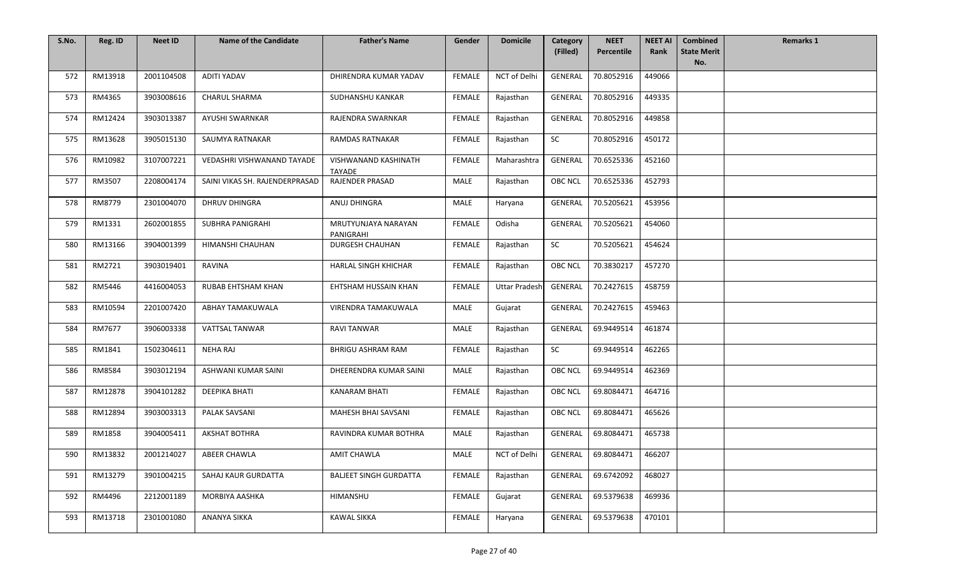| S.No. | Reg. ID | <b>Neet ID</b> | <b>Name of the Candidate</b>   | <b>Father's Name</b>             | Gender        | <b>Domicile</b>      | Category<br>(Filled) | <b>NEET</b><br>Percentile | <b>NEET AI</b><br>Rank | <b>Combined</b><br><b>State Merit</b> | <b>Remarks 1</b> |
|-------|---------|----------------|--------------------------------|----------------------------------|---------------|----------------------|----------------------|---------------------------|------------------------|---------------------------------------|------------------|
|       |         |                |                                |                                  |               |                      |                      |                           |                        | No.                                   |                  |
| 572   | RM13918 | 2001104508     | <b>ADITI YADAV</b>             | DHIRENDRA KUMAR YADAV            | <b>FEMALE</b> | NCT of Delhi         | GENERAL              | 70.8052916                | 449066                 |                                       |                  |
| 573   | RM4365  | 3903008616     | CHARUL SHARMA                  | SUDHANSHU KANKAR                 | FEMALE        | Rajasthan            | GENERAL              | 70.8052916                | 449335                 |                                       |                  |
| 574   | RM12424 | 3903013387     | AYUSHI SWARNKAR                | RAJENDRA SWARNKAR                | <b>FEMALE</b> | Rajasthan            | <b>GENERAL</b>       | 70.8052916                | 449858                 |                                       |                  |
| 575   | RM13628 | 3905015130     | SAUMYA RATNAKAR                | <b>RAMDAS RATNAKAR</b>           | <b>FEMALE</b> | Rajasthan            | SC                   | 70.8052916                | 450172                 |                                       |                  |
| 576   | RM10982 | 3107007221     | VEDASHRI VISHWANAND TAYADE     | VISHWANAND KASHINATH<br>TAYADE   | <b>FEMALE</b> | Maharashtra          | <b>GENERAL</b>       | 70.6525336                | 452160                 |                                       |                  |
| 577   | RM3507  | 2208004174     | SAINI VIKAS SH. RAJENDERPRASAD | <b>RAJENDER PRASAD</b>           | MALE          | Rajasthan            | <b>OBC NCL</b>       | 70.6525336                | 452793                 |                                       |                  |
| 578   | RM8779  | 2301004070     | <b>DHRUV DHINGRA</b>           | ANUJ DHINGRA                     | MALE          | Haryana              | <b>GENERAL</b>       | 70.5205621                | 453956                 |                                       |                  |
| 579   | RM1331  | 2602001855     | <b>SUBHRA PANIGRAHI</b>        | MRUTYUNJAYA NARAYAN<br>PANIGRAHI | <b>FEMALE</b> | Odisha               | GENERAL              | 70.5205621                | 454060                 |                                       |                  |
| 580   | RM13166 | 3904001399     | HIMANSHI CHAUHAN               | <b>DURGESH CHAUHAN</b>           | <b>FEMALE</b> | Rajasthan            | SC                   | 70.5205621                | 454624                 |                                       |                  |
| 581   | RM2721  | 3903019401     | <b>RAVINA</b>                  | <b>HARLAL SINGH KHICHAR</b>      | <b>FEMALE</b> | Rajasthan            | <b>OBC NCL</b>       | 70.3830217                | 457270                 |                                       |                  |
| 582   | RM5446  | 4416004053     | <b>RUBAB EHTSHAM KHAN</b>      | EHTSHAM HUSSAIN KHAN             | <b>FEMALE</b> | <b>Uttar Pradesh</b> | <b>GENERAL</b>       | 70.2427615                | 458759                 |                                       |                  |
| 583   | RM10594 | 2201007420     | ABHAY TAMAKUWALA               | VIRENDRA TAMAKUWALA              | MALE          | Gujarat              | GENERAL              | 70.2427615                | 459463                 |                                       |                  |
| 584   | RM7677  | 3906003338     | <b>VATTSAL TANWAR</b>          | <b>RAVI TANWAR</b>               | MALE          | Rajasthan            | GENERAL              | 69.9449514                | 461874                 |                                       |                  |
| 585   | RM1841  | 1502304611     | NEHA RAJ                       | <b>BHRIGU ASHRAM RAM</b>         | FEMALE        | Rajasthan            | SC                   | 69.9449514                | 462265                 |                                       |                  |
| 586   | RM8584  | 3903012194     | ASHWANI KUMAR SAINI            | DHEERENDRA KUMAR SAINI           | MALE          | Rajasthan            | OBC NCL              | 69.9449514                | 462369                 |                                       |                  |
| 587   | RM12878 | 3904101282     | DEEPIKA BHATI                  | <b>KANARAM BHATI</b>             | FEMALE        | Rajasthan            | <b>OBC NCL</b>       | 69.8084471                | 464716                 |                                       |                  |
| 588   | RM12894 | 3903003313     | PALAK SAVSANI                  | <b>MAHESH BHAI SAVSANI</b>       | <b>FEMALE</b> | Rajasthan            | OBC NCL              | 69.8084471                | 465626                 |                                       |                  |
| 589   | RM1858  | 3904005411     | <b>AKSHAT BOTHRA</b>           | RAVINDRA KUMAR BOTHRA            | MALE          | Rajasthan            | <b>GENERAL</b>       | 69.8084471                | 465738                 |                                       |                  |
| 590   | RM13832 | 2001214027     | ABEER CHAWLA                   | AMIT CHAWLA                      | MALE          | NCT of Delhi         | GENERAL              | 69.8084471                | 466207                 |                                       |                  |
| 591   | RM13279 | 3901004215     | SAHAJ KAUR GURDATTA            | <b>BALJEET SINGH GURDATTA</b>    | FEMALE        | Rajasthan            | GENERAL              | 69.6742092                | 468027                 |                                       |                  |
| 592   | RM4496  | 2212001189     | MORBIYA AASHKA                 | HIMANSHU                         | FEMALE        | Gujarat              | <b>GENERAL</b>       | 69.5379638                | 469936                 |                                       |                  |
| 593   | RM13718 | 2301001080     | ANANYA SIKKA                   | <b>KAWAL SIKKA</b>               | FEMALE        | Haryana              | GENERAL              | 69.5379638                | 470101                 |                                       |                  |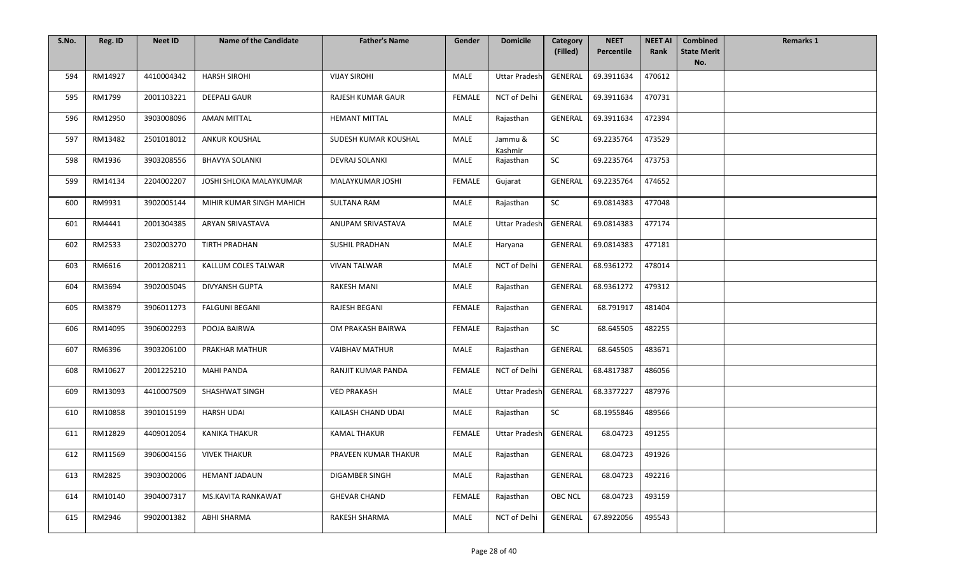| S.No. | Reg. ID | <b>Neet ID</b> | <b>Name of the Candidate</b> | <b>Father's Name</b>  | Gender        | <b>Domicile</b>      | Category<br>(Filled) | <b>NEET</b><br>Percentile | <b>NEET AI</b><br>Rank | <b>Combined</b><br><b>State Merit</b> | <b>Remarks 1</b> |
|-------|---------|----------------|------------------------------|-----------------------|---------------|----------------------|----------------------|---------------------------|------------------------|---------------------------------------|------------------|
|       |         |                |                              |                       |               |                      |                      |                           |                        | No.                                   |                  |
| 594   | RM14927 | 4410004342     | <b>HARSH SIROHI</b>          | <b>VIJAY SIROHI</b>   | MALE          | <b>Uttar Pradesh</b> | GENERAL              | 69.3911634                | 470612                 |                                       |                  |
| 595   | RM1799  | 2001103221     | DEEPALI GAUR                 | RAJESH KUMAR GAUR     | <b>FEMALE</b> | NCT of Delhi         | GENERAL              | 69.3911634                | 470731                 |                                       |                  |
| 596   | RM12950 | 3903008096     | <b>AMAN MITTAL</b>           | <b>HEMANT MITTAL</b>  | MALE          | Rajasthan            | <b>GENERAL</b>       | 69.3911634                | 472394                 |                                       |                  |
| 597   | RM13482 | 2501018012     | <b>ANKUR KOUSHAL</b>         | SUDESH KUMAR KOUSHAL  | <b>MALE</b>   | Jammu &<br>Kashmir   | SC                   | 69.2235764                | 473529                 |                                       |                  |
| 598   | RM1936  | 3903208556     | <b>BHAVYA SOLANKI</b>        | DEVRAJ SOLANKI        | MALE          | Rajasthan            | SC                   | 69.2235764                | 473753                 |                                       |                  |
| 599   | RM14134 | 2204002207     | JOSHI SHLOKA MALAYKUMAR      | MALAYKUMAR JOSHI      | <b>FEMALE</b> | Gujarat              | <b>GENERAL</b>       | 69.2235764                | 474652                 |                                       |                  |
| 600   | RM9931  | 3902005144     | MIHIR KUMAR SINGH MAHICH     | <b>SULTANA RAM</b>    | <b>MALE</b>   | Rajasthan            | SC                   | 69.0814383                | 477048                 |                                       |                  |
| 601   | RM4441  | 2001304385     | <b>ARYAN SRIVASTAVA</b>      | ANUPAM SRIVASTAVA     | MALE          | <b>Uttar Pradesh</b> | GENERAL              | 69.0814383                | 477174                 |                                       |                  |
| 602   | RM2533  | 2302003270     | TIRTH PRADHAN                | <b>SUSHIL PRADHAN</b> | MALE          | Haryana              | GENERAL              | 69.0814383                | 477181                 |                                       |                  |
| 603   | RM6616  | 2001208211     | KALLUM COLES TALWAR          | <b>VIVAN TALWAR</b>   | MALE          | NCT of Delhi         | <b>GENERAL</b>       | 68.9361272                | 478014                 |                                       |                  |
| 604   | RM3694  | 3902005045     | <b>DIVYANSH GUPTA</b>        | <b>RAKESH MANI</b>    | MALE          | Rajasthan            | GENERAL              | 68.9361272                | 479312                 |                                       |                  |
| 605   | RM3879  | 3906011273     | <b>FALGUNI BEGANI</b>        | RAJESH BEGANI         | FEMALE        | Rajasthan            | GENERAL              | 68.791917                 | 481404                 |                                       |                  |
| 606   | RM14095 | 3906002293     | POOJA BAIRWA                 | OM PRAKASH BAIRWA     | FEMALE        | Rajasthan            | SC                   | 68.645505                 | 482255                 |                                       |                  |
| 607   | RM6396  | 3903206100     | PRAKHAR MATHUR               | <b>VAIBHAV MATHUR</b> | MALE          | Rajasthan            | GENERAL              | 68.645505                 | 483671                 |                                       |                  |
| 608   | RM10627 | 2001225210     | <b>MAHI PANDA</b>            | RANJIT KUMAR PANDA    | <b>FEMALE</b> | NCT of Delhi         | GENERAL              | 68.4817387                | 486056                 |                                       |                  |
| 609   | RM13093 | 4410007509     | <b>SHASHWAT SINGH</b>        | <b>VED PRAKASH</b>    | MALE          | <b>Uttar Pradesh</b> | GENERAL              | 68.3377227                | 487976                 |                                       |                  |
| 610   | RM10858 | 3901015199     | <b>HARSH UDAI</b>            | KAILASH CHAND UDAI    | MALE          | Rajasthan            | SC                   | 68.1955846                | 489566                 |                                       |                  |
| 611   | RM12829 | 4409012054     | <b>KANIKA THAKUR</b>         | <b>KAMAL THAKUR</b>   | <b>FEMALE</b> | <b>Uttar Pradesh</b> | GENERAL              | 68.04723                  | 491255                 |                                       |                  |
| 612   | RM11569 | 3906004156     | <b>VIVEK THAKUR</b>          | PRAVEEN KUMAR THAKUR  | MALE          | Rajasthan            | GENERAL              | 68.04723                  | 491926                 |                                       |                  |
| 613   | RM2825  | 3903002006     | <b>HEMANT JADAUN</b>         | DIGAMBER SINGH        | MALE          | Rajasthan            | GENERAL              | 68.04723                  | 492216                 |                                       |                  |
| 614   | RM10140 | 3904007317     | MS.KAVITA RANKAWAT           | <b>GHEVAR CHAND</b>   | <b>FEMALE</b> | Rajasthan            | <b>OBC NCL</b>       | 68.04723                  | 493159                 |                                       |                  |
| 615   | RM2946  | 9902001382     | ABHI SHARMA                  | RAKESH SHARMA         | MALE          | NCT of Delhi         | GENERAL              | 67.8922056                | 495543                 |                                       |                  |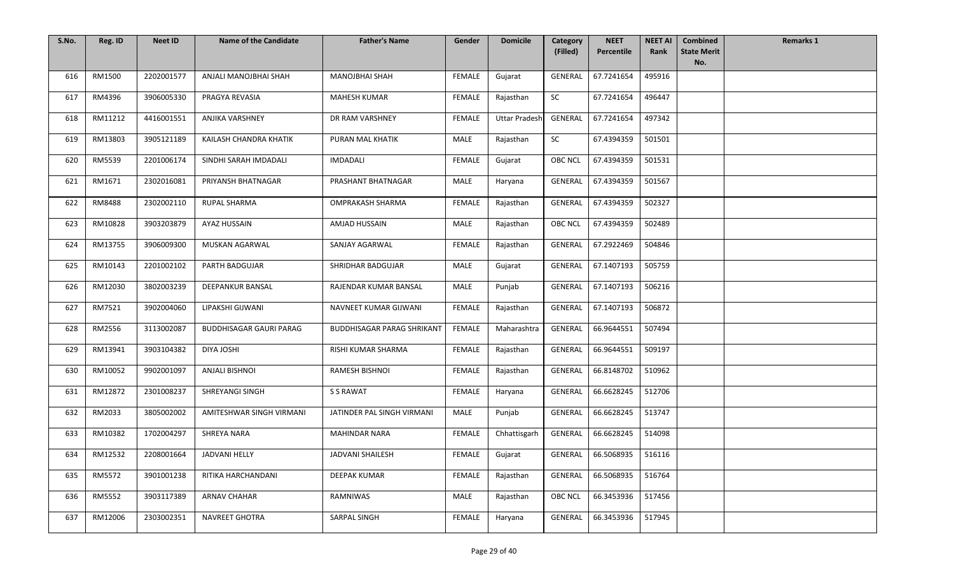| S.No. | Reg. ID | <b>Neet ID</b> | <b>Name of the Candidate</b>   | <b>Father's Name</b>              | Gender        | <b>Domicile</b>      | Category<br>(Filled) | <b>NEET</b><br>Percentile | <b>NEET AI</b><br>Rank | <b>Combined</b><br><b>State Merit</b> | <b>Remarks 1</b> |
|-------|---------|----------------|--------------------------------|-----------------------------------|---------------|----------------------|----------------------|---------------------------|------------------------|---------------------------------------|------------------|
|       |         |                |                                |                                   |               |                      |                      |                           |                        | No.                                   |                  |
| 616   | RM1500  | 2202001577     | ANJALI MANOJBHAI SHAH          | <b>MANOJBHAI SHAH</b>             | FEMALE        | Gujarat              | <b>GENERAL</b>       | 67.7241654                | 495916                 |                                       |                  |
| 617   | RM4396  | 3906005330     | PRAGYA REVASIA                 | MAHESH KUMAR                      | FEMALE        | Rajasthan            | SC                   | 67.7241654                | 496447                 |                                       |                  |
| 618   | RM11212 | 4416001551     | <b>ANJIKA VARSHNEY</b>         | DR RAM VARSHNEY                   | <b>FEMALE</b> | <b>Uttar Pradesh</b> | <b>GENERAL</b>       | 67.7241654                | 497342                 |                                       |                  |
| 619   | RM13803 | 3905121189     | KAILASH CHANDRA KHATIK         | PURAN MAL KHATIK                  | MALE          | Rajasthan            | SC                   | 67.4394359                | 501501                 |                                       |                  |
| 620   | RM5539  | 2201006174     | SINDHI SARAH IMDADALI          | <b>IMDADALI</b>                   | <b>FEMALE</b> | Gujarat              | <b>OBC NCL</b>       | 67.4394359                | 501531                 |                                       |                  |
| 621   | RM1671  | 2302016081     | PRIYANSH BHATNAGAR             | PRASHANT BHATNAGAR                | MALE          | Haryana              | <b>GENERAL</b>       | 67.4394359                | 501567                 |                                       |                  |
| 622   | RM8488  | 2302002110     | <b>RUPAL SHARMA</b>            | <b>OMPRAKASH SHARMA</b>           | FEMALE        | Rajasthan            | <b>GENERAL</b>       | 67.4394359                | 502327                 |                                       |                  |
| 623   | RM10828 | 3903203879     | AYAZ HUSSAIN                   | <b>AMJAD HUSSAIN</b>              | MALE          | Rajasthan            | <b>OBC NCL</b>       | 67.4394359                | 502489                 |                                       |                  |
| 624   | RM13755 | 3906009300     | MUSKAN AGARWAL                 | SANJAY AGARWAL                    | <b>FEMALE</b> | Rajasthan            | <b>GENERAL</b>       | 67.2922469                | 504846                 |                                       |                  |
| 625   | RM10143 | 2201002102     | PARTH BADGUJAR                 | SHRIDHAR BADGUJAR                 | MALE          | Gujarat              | <b>GENERAL</b>       | 67.1407193                | 505759                 |                                       |                  |
| 626   | RM12030 | 3802003239     | <b>DEEPANKUR BANSAL</b>        | RAJENDAR KUMAR BANSAL             | MALE          | Punjab               | <b>GENERAL</b>       | 67.1407193                | 506216                 |                                       |                  |
| 627   | RM7521  | 3902004060     | LIPAKSHI GIJWANI               | NAVNEET KUMAR GIJWANI             | FEMALE        | Rajasthan            | GENERAL              | 67.1407193                | 506872                 |                                       |                  |
| 628   | RM2556  | 3113002087     | <b>BUDDHISAGAR GAURI PARAG</b> | <b>BUDDHISAGAR PARAG SHRIKANT</b> | FEMALE        | Maharashtra          | GENERAL              | 66.9644551                | 507494                 |                                       |                  |
| 629   | RM13941 | 3903104382     | <b>DIYA JOSHI</b>              | RISHI KUMAR SHARMA                | FEMALE        | Rajasthan            | GENERAL              | 66.9644551                | 509197                 |                                       |                  |
| 630   | RM10052 | 9902001097     | <b>ANJALI BISHNOI</b>          | <b>RAMESH BISHNOI</b>             | <b>FEMALE</b> | Rajasthan            | <b>GENERAL</b>       | 66.8148702                | 510962                 |                                       |                  |
| 631   | RM12872 | 2301008237     | SHREYANGI SINGH                | S S RAWAT                         | FEMALE        | Haryana              | <b>GENERAL</b>       | 66.6628245                | 512706                 |                                       |                  |
| 632   | RM2033  | 3805002002     | AMITESHWAR SINGH VIRMANI       | JATINDER PAL SINGH VIRMANI        | MALE          | Punjab               | GENERAL              | 66.6628245                | 513747                 |                                       |                  |
| 633   | RM10382 | 1702004297     | SHREYA NARA                    | <b>MAHINDAR NARA</b>              | FEMALE        | Chhattisgarh         | GENERAL              | 66.6628245                | 514098                 |                                       |                  |
| 634   | RM12532 | 2208001664     | <b>JADVANI HELLY</b>           | JADVANI SHAILESH                  | FEMALE        | Gujarat              |                      | GENERAL 66.5068935        | 516116                 |                                       |                  |
| 635   | RM5572  | 3901001238     | RITIKA HARCHANDANI             | DEEPAK KUMAR                      | FEMALE        | Rajasthan            | GENERAL              | 66.5068935                | 516764                 |                                       |                  |
| 636   | RM5552  | 3903117389     | <b>ARNAV CHAHAR</b>            | <b>RAMNIWAS</b>                   | MALE          | Rajasthan            | <b>OBC NCL</b>       | 66.3453936                | 517456                 |                                       |                  |
| 637   | RM12006 | 2303002351     | NAVREET GHOTRA                 | SARPAL SINGH                      | FEMALE        | Haryana              | GENERAL              | 66.3453936                | 517945                 |                                       |                  |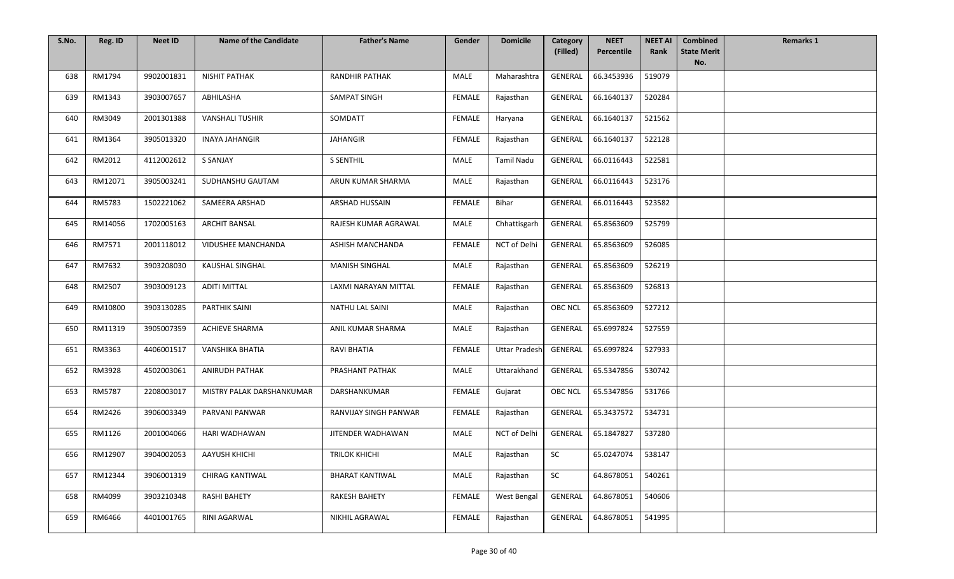| S.No. | Reg. ID | <b>Neet ID</b> | <b>Name of the Candidate</b> | <b>Father's Name</b>    | Gender        | <b>Domicile</b>      | Category       | <b>NEET</b> | <b>NEET AI</b> | <b>Combined</b>           | <b>Remarks 1</b> |
|-------|---------|----------------|------------------------------|-------------------------|---------------|----------------------|----------------|-------------|----------------|---------------------------|------------------|
|       |         |                |                              |                         |               |                      | (Filled)       | Percentile  | Rank           | <b>State Merit</b><br>No. |                  |
| 638   | RM1794  | 9902001831     | <b>NISHIT PATHAK</b>         | <b>RANDHIR PATHAK</b>   | MALE          | Maharashtra          | <b>GENERAL</b> | 66.3453936  | 519079         |                           |                  |
| 639   | RM1343  | 3903007657     | ABHILASHA                    | SAMPAT SINGH            | FEMALE        | Rajasthan            | GENERAL        | 66.1640137  | 520284         |                           |                  |
| 640   | RM3049  | 2001301388     | <b>VANSHALI TUSHIR</b>       | SOMDATT                 | FEMALE        | Haryana              | <b>GENERAL</b> | 66.1640137  | 521562         |                           |                  |
| 641   | RM1364  | 3905013320     | <b>INAYA JAHANGIR</b>        | <b>JAHANGIR</b>         | <b>FEMALE</b> | Rajasthan            | <b>GENERAL</b> | 66.1640137  | 522128         |                           |                  |
| 642   | RM2012  | 4112002612     | S SANJAY                     | <b>S SENTHIL</b>        | MALE          | Tamil Nadu           | GENERAL        | 66.0116443  | 522581         |                           |                  |
| 643   | RM12071 | 3905003241     | SUDHANSHU GAUTAM             | ARUN KUMAR SHARMA       | MALE          | Rajasthan            | GENERAL        | 66.0116443  | 523176         |                           |                  |
| 644   | RM5783  | 1502221062     | SAMEERA ARSHAD               | <b>ARSHAD HUSSAIN</b>   | <b>FEMALE</b> | Bihar                | <b>GENERAL</b> | 66.0116443  | 523582         |                           |                  |
| 645   | RM14056 | 1702005163     | <b>ARCHIT BANSAL</b>         | RAJESH KUMAR AGRAWAL    | MALE          | Chhattisgarh         | GENERAL        | 65.8563609  | 525799         |                           |                  |
| 646   | RM7571  | 2001118012     | <b>VIDUSHEE MANCHANDA</b>    | <b>ASHISH MANCHANDA</b> | <b>FEMALE</b> | NCT of Delhi         | <b>GENERAL</b> | 65.8563609  | 526085         |                           |                  |
| 647   | RM7632  | 3903208030     | KAUSHAL SINGHAL              | <b>MANISH SINGHAL</b>   | MALE          | Rajasthan            | <b>GENERAL</b> | 65.8563609  | 526219         |                           |                  |
| 648   | RM2507  | 3903009123     | <b>ADITI MITTAL</b>          | LAXMI NARAYAN MITTAL    | <b>FEMALE</b> | Rajasthan            | <b>GENERAL</b> | 65.8563609  | 526813         |                           |                  |
| 649   | RM10800 | 3903130285     | PARTHIK SAINI                | NATHU LAL SAINI         | MALE          | Rajasthan            | OBC NCL        | 65.8563609  | 527212         |                           |                  |
| 650   | RM11319 | 3905007359     | <b>ACHIEVE SHARMA</b>        | ANIL KUMAR SHARMA       | MALE          | Rajasthan            | GENERAL        | 65.6997824  | 527559         |                           |                  |
| 651   | RM3363  | 4406001517     | <b>VANSHIKA BHATIA</b>       | <b>RAVI BHATIA</b>      | <b>FEMALE</b> | <b>Uttar Pradesh</b> | GENERAL        | 65.6997824  | 527933         |                           |                  |
| 652   | RM3928  | 4502003061     | <b>ANIRUDH PATHAK</b>        | PRASHANT PATHAK         | MALE          | Uttarakhand          | GENERAL        | 65.5347856  | 530742         |                           |                  |
| 653   | RM5787  | 2208003017     | MISTRY PALAK DARSHANKUMAR    | DARSHANKUMAR            | FEMALE        | Gujarat              | <b>OBC NCL</b> | 65.5347856  | 531766         |                           |                  |
| 654   | RM2426  | 3906003349     | PARVANI PANWAR               | RANVIJAY SINGH PANWAR   | FEMALE        | Rajasthan            | GENERAL        | 65.3437572  | 534731         |                           |                  |
| 655   | RM1126  | 2001004066     | HARI WADHAWAN                | JITENDER WADHAWAN       | MALE          | NCT of Delhi         | GENERAL        | 65.1847827  | 537280         |                           |                  |
| 656   | RM12907 | 3904002053     | <b>AAYUSH KHICHI</b>         | <b>TRILOK KHICHI</b>    | MALE          | Rajasthan            | SC             | 65.0247074  | 538147         |                           |                  |
| 657   | RM12344 | 3906001319     | <b>CHIRAG KANTIWAL</b>       | <b>BHARAT KANTIWAL</b>  | MALE          | Rajasthan            | SC             | 64.8678051  | 540261         |                           |                  |
| 658   | RM4099  | 3903210348     | <b>RASHI BAHETY</b>          | <b>RAKESH BAHETY</b>    | <b>FEMALE</b> | West Bengal          | GENERAL        | 64.8678051  | 540606         |                           |                  |
| 659   | RM6466  | 4401001765     | RINI AGARWAL                 | NIKHIL AGRAWAL          | FEMALE        | Rajasthan            | GENERAL        | 64.8678051  | 541995         |                           |                  |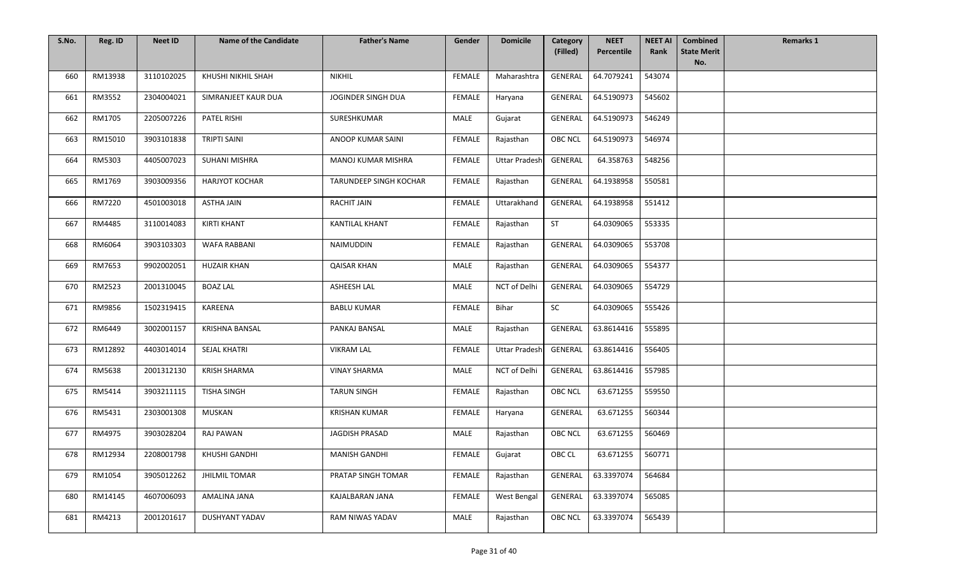| S.No. | Reg. ID | <b>Neet ID</b> | <b>Name of the Candidate</b> | <b>Father's Name</b>   | Gender        | <b>Domicile</b>      | Category       | <b>NEET</b>      | <b>NEET AI</b> | <b>Combined</b>           | <b>Remarks 1</b> |
|-------|---------|----------------|------------------------------|------------------------|---------------|----------------------|----------------|------------------|----------------|---------------------------|------------------|
|       |         |                |                              |                        |               |                      | (Filled)       | Percentile       | Rank           | <b>State Merit</b><br>No. |                  |
| 660   | RM13938 | 3110102025     | KHUSHI NIKHIL SHAH           | <b>NIKHIL</b>          | FEMALE        | Maharashtra          | GENERAL        | 64.7079241       | 543074         |                           |                  |
| 661   | RM3552  | 2304004021     | SIMRANJEET KAUR DUA          | JOGINDER SINGH DUA     | <b>FEMALE</b> | Haryana              | <b>GENERAL</b> | 64.5190973       | 545602         |                           |                  |
| 662   | RM1705  | 2205007226     | PATEL RISHI                  | SURESHKUMAR            | MALE          | Gujarat              | GENERAL        | 64.5190973       | 546249         |                           |                  |
| 663   | RM15010 | 3903101838     | <b>TRIPTI SAINI</b>          | ANOOP KUMAR SAINI      | <b>FEMALE</b> | Rajasthan            | <b>OBC NCL</b> | 64.5190973       | 546974         |                           |                  |
| 664   | RM5303  | 4405007023     | <b>SUHANI MISHRA</b>         | MANOJ KUMAR MISHRA     | FEMALE        | <b>Uttar Pradesh</b> | GENERAL        | 64.358763        | 548256         |                           |                  |
| 665   | RM1769  | 3903009356     | <b>HARJYOT KOCHAR</b>        | TARUNDEEP SINGH KOCHAR | FEMALE        | Rajasthan            | GENERAL        | 64.1938958       | 550581         |                           |                  |
| 666   | RM7220  | 4501003018     | <b>ASTHA JAIN</b>            | <b>RACHIT JAIN</b>     | FEMALE        | Uttarakhand          | GENERAL        | 64.1938958       | 551412         |                           |                  |
| 667   | RM4485  | 3110014083     | <b>KIRTI KHANT</b>           | <b>KANTILAL KHANT</b>  | FEMALE        | Rajasthan            | ST             | 64.0309065       | 553335         |                           |                  |
| 668   | RM6064  | 3903103303     | <b>WAFA RABBANI</b>          | NAIMUDDIN              | <b>FEMALE</b> | Rajasthan            | <b>GENERAL</b> | 64.0309065       | 553708         |                           |                  |
| 669   | RM7653  | 9902002051     | <b>HUZAIR KHAN</b>           | <b>QAISAR KHAN</b>     | MALE          | Rajasthan            | GENERAL        | 64.0309065       | 554377         |                           |                  |
| 670   | RM2523  | 2001310045     | <b>BOAZ LAL</b>              | ASHEESH LAL            | MALE          | NCT of Delhi         | GENERAL        | 64.0309065       | 554729         |                           |                  |
| 671   | RM9856  | 1502319415     | KAREENA                      | <b>BABLU KUMAR</b>     | FEMALE        | Bihar                | SC             | 64.0309065       | 555426         |                           |                  |
| 672   | RM6449  | 3002001157     | <b>KRISHNA BANSAL</b>        | PANKAJ BANSAL          | MALE          | Rajasthan            | <b>GENERAL</b> | 63.8614416       | 555895         |                           |                  |
| 673   | RM12892 | 4403014014     | SEJAL KHATRI                 | <b>VIKRAM LAL</b>      | <b>FEMALE</b> | <b>Uttar Pradesh</b> | GENERAL        | 63.8614416       | 556405         |                           |                  |
| 674   | RM5638  | 2001312130     | <b>KRISH SHARMA</b>          | <b>VINAY SHARMA</b>    | MALE          | NCT of Delhi         | GENERAL        | 63.8614416       | 557985         |                           |                  |
| 675   | RM5414  | 3903211115     | <b>TISHA SINGH</b>           | <b>TARUN SINGH</b>     | <b>FEMALE</b> | Rajasthan            | <b>OBC NCL</b> | 63.671255        | 559550         |                           |                  |
| 676   | RM5431  | 2303001308     | MUSKAN                       | <b>KRISHAN KUMAR</b>   | FEMALE        | Haryana              | GENERAL        | 63.671255        | 560344         |                           |                  |
| 677   | RM4975  | 3903028204     | RAJ PAWAN                    | JAGDISH PRASAD         | MALE          | Rajasthan            | OBC NCL        | 63.671255        | 560469         |                           |                  |
| 678   | RM12934 | 2208001798     | KHUSHI GANDHI                | <b>MANISH GANDHI</b>   | FEMALE        | Gujarat              | OBC CL         | 63.671255 560771 |                |                           |                  |
| 679   | RM1054  | 3905012262     | <b>JHILMIL TOMAR</b>         | PRATAP SINGH TOMAR     | FEMALE        | Rajasthan            | GENERAL        | 63.3397074       | 564684         |                           |                  |
| 680   | RM14145 | 4607006093     | AMALINA JANA                 | KAJALBARAN JANA        | <b>FEMALE</b> | West Bengal          | GENERAL        | 63.3397074       | 565085         |                           |                  |
| 681   | RM4213  | 2001201617     | DUSHYANT YADAV               | RAM NIWAS YADAV        | MALE          | Rajasthan            | <b>OBC NCL</b> | 63.3397074       | 565439         |                           |                  |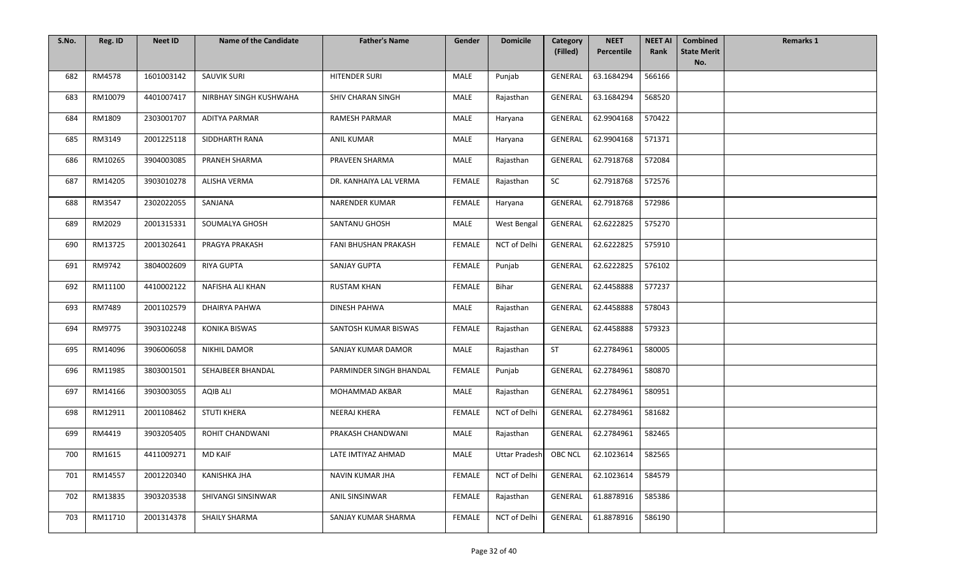| S.No. | Reg. ID | <b>Neet ID</b> | <b>Name of the Candidate</b> | <b>Father's Name</b>        | Gender        | <b>Domicile</b>     | Category<br>(Filled) | <b>NEET</b><br>Percentile | <b>NEET AI</b><br>Rank | <b>Combined</b><br><b>State Merit</b> | <b>Remarks 1</b> |
|-------|---------|----------------|------------------------------|-----------------------------|---------------|---------------------|----------------------|---------------------------|------------------------|---------------------------------------|------------------|
|       |         |                |                              |                             |               |                     |                      |                           |                        | No.                                   |                  |
| 682   | RM4578  | 1601003142     | <b>SAUVIK SURI</b>           | <b>HITENDER SURI</b>        | MALE          | Punjab              | GENERAL              | 63.1684294                | 566166                 |                                       |                  |
| 683   | RM10079 | 4401007417     | NIRBHAY SINGH KUSHWAHA       | SHIV CHARAN SINGH           | <b>MALE</b>   | Rajasthan           | GENERAL              | 63.1684294                | 568520                 |                                       |                  |
| 684   | RM1809  | 2303001707     | <b>ADITYA PARMAR</b>         | <b>RAMESH PARMAR</b>        | MALE          | Haryana             | <b>GENERAL</b>       | 62.9904168                | 570422                 |                                       |                  |
| 685   | RM3149  | 2001225118     | SIDDHARTH RANA               | <b>ANIL KUMAR</b>           | <b>MALE</b>   | Haryana             | <b>GENERAL</b>       | 62.9904168                | 571371                 |                                       |                  |
| 686   | RM10265 | 3904003085     | PRANEH SHARMA                | PRAVEEN SHARMA              | MALE          | Rajasthan           | GENERAL              | 62.7918768                | 572084                 |                                       |                  |
| 687   | RM14205 | 3903010278     | <b>ALISHA VERMA</b>          | DR. KANHAIYA LAL VERMA      | FEMALE        | Rajasthan           | SC                   | 62.7918768                | 572576                 |                                       |                  |
| 688   | RM3547  | 2302022055     | SANJANA                      | <b>NARENDER KUMAR</b>       | FEMALE        | Haryana             | <b>GENERAL</b>       | 62.7918768                | 572986                 |                                       |                  |
| 689   | RM2029  | 2001315331     | SOUMALYA GHOSH               | SANTANU GHOSH               | MALE          | West Bengal         | GENERAL              | 62.6222825                | 575270                 |                                       |                  |
| 690   | RM13725 | 2001302641     | PRAGYA PRAKASH               | <b>FANI BHUSHAN PRAKASH</b> | <b>FEMALE</b> | <b>NCT of Delhi</b> | <b>GENERAL</b>       | 62.6222825                | 575910                 |                                       |                  |
| 691   | RM9742  | 3804002609     | <b>RIYA GUPTA</b>            | <b>SANJAY GUPTA</b>         | FEMALE        | Punjab              | <b>GENERAL</b>       | 62.6222825                | 576102                 |                                       |                  |
| 692   | RM11100 | 4410002122     | NAFISHA ALI KHAN             | <b>RUSTAM KHAN</b>          | <b>FEMALE</b> | Bihar               | <b>GENERAL</b>       | 62.4458888                | 577237                 |                                       |                  |
| 693   | RM7489  | 2001102579     | DHAIRYA PAHWA                | DINESH PAHWA                | MALE          | Rajasthan           | GENERAL              | 62.4458888                | 578043                 |                                       |                  |
| 694   | RM9775  | 3903102248     | <b>KONIKA BISWAS</b>         | SANTOSH KUMAR BISWAS        | FEMALE        | Rajasthan           | GENERAL              | 62.4458888                | 579323                 |                                       |                  |
| 695   | RM14096 | 3906006058     | <b>NIKHIL DAMOR</b>          | SANJAY KUMAR DAMOR          | <b>MALE</b>   | Rajasthan           | <b>ST</b>            | 62.2784961                | 580005                 |                                       |                  |
| 696   | RM11985 | 3803001501     | SEHAJBEER BHANDAL            | PARMINDER SINGH BHANDAL     | <b>FEMALE</b> | Punjab              | <b>GENERAL</b>       | 62.2784961                | 580870                 |                                       |                  |
| 697   | RM14166 | 3903003055     | <b>AQIB ALI</b>              | MOHAMMAD AKBAR              | MALE          | Rajasthan           | GENERAL              | 62.2784961                | 580951                 |                                       |                  |
| 698   | RM12911 | 2001108462     | <b>STUTI KHERA</b>           | NEERAJ KHERA                | <b>FEMALE</b> | NCT of Delhi        | GENERAL              | 62.2784961                | 581682                 |                                       |                  |
| 699   | RM4419  | 3903205405     | ROHIT CHANDWANI              | PRAKASH CHANDWANI           | MALE          | Rajasthan           | GENERAL              | 62.2784961                | 582465                 |                                       |                  |
| 700   | RM1615  | 4411009271     | MD KAIF                      | LATE IMTIYAZ AHMAD          | MALE          | Uttar Pradesh       | <b>OBC NCL</b>       | 62.1023614                | 582565                 |                                       |                  |
| 701   | RM14557 | 2001220340     | <b>KANISHKA JHA</b>          | NAVIN KUMAR JHA             | FEMALE        | NCT of Delhi        | GENERAL              | 62.1023614                | 584579                 |                                       |                  |
| 702   | RM13835 | 3903203538     | SHIVANGI SINSINWAR           | ANIL SINSINWAR              | FEMALE        | Rajasthan           | <b>GENERAL</b>       | 61.8878916                | 585386                 |                                       |                  |
| 703   | RM11710 | 2001314378     | SHAILY SHARMA                | SANJAY KUMAR SHARMA         | FEMALE        | NCT of Delhi        | GENERAL              | 61.8878916                | 586190                 |                                       |                  |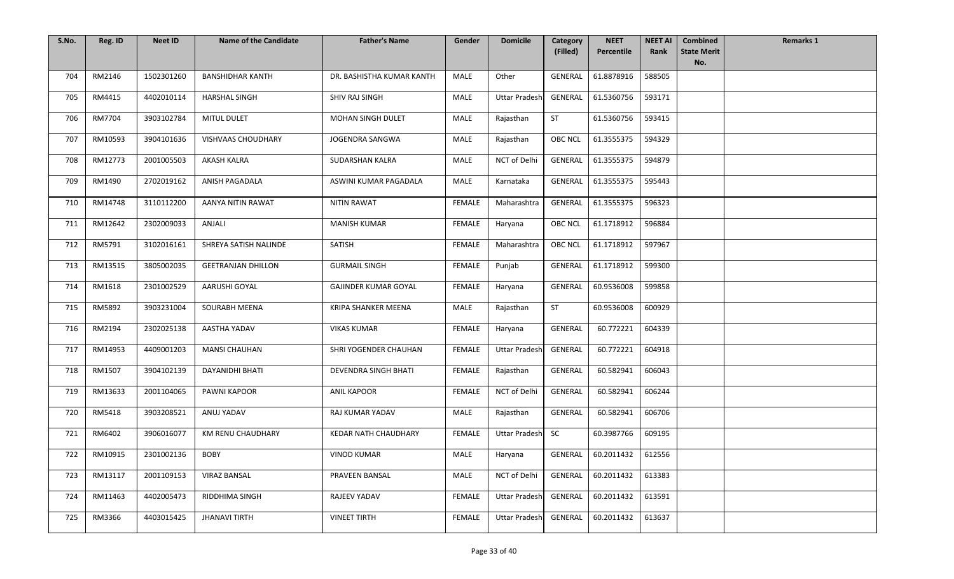| S.No. | Reg. ID | <b>Neet ID</b> | <b>Name of the Candidate</b> | <b>Father's Name</b>        | Gender        | <b>Domicile</b>      | Category<br>(Filled) | <b>NEET</b><br>Percentile | <b>NEET AI</b><br>Rank | <b>Combined</b><br><b>State Merit</b> | <b>Remarks 1</b> |
|-------|---------|----------------|------------------------------|-----------------------------|---------------|----------------------|----------------------|---------------------------|------------------------|---------------------------------------|------------------|
|       |         |                |                              |                             |               |                      |                      |                           |                        | No.                                   |                  |
| 704   | RM2146  | 1502301260     | <b>BANSHIDHAR KANTH</b>      | DR. BASHISTHA KUMAR KANTH   | <b>MALE</b>   | Other                | GENERAL              | 61.8878916                | 588505                 |                                       |                  |
| 705   | RM4415  | 4402010114     | <b>HARSHAL SINGH</b>         | SHIV RAJ SINGH              | MALE          | <b>Uttar Pradesh</b> | GENERAL              | 61.5360756                | 593171                 |                                       |                  |
| 706   | RM7704  | 3903102784     | MITUL DULET                  | <b>MOHAN SINGH DULET</b>    | MALE          | Rajasthan            | ST                   | 61.5360756                | 593415                 |                                       |                  |
| 707   | RM10593 | 3904101636     | <b>VISHVAAS CHOUDHARY</b>    | JOGENDRA SANGWA             | MALE          | Rajasthan            | OBC NCL              | 61.3555375                | 594329                 |                                       |                  |
| 708   | RM12773 | 2001005503     | AKASH KALRA                  | SUDARSHAN KALRA             | MALE          | NCT of Delhi         | <b>GENERAL</b>       | 61.3555375                | 594879                 |                                       |                  |
| 709   | RM1490  | 2702019162     | ANISH PAGADALA               | ASWINI KUMAR PAGADALA       | MALE          | Karnataka            | <b>GENERAL</b>       | 61.3555375                | 595443                 |                                       |                  |
| 710   | RM14748 | 3110112200     | AANYA NITIN RAWAT            | <b>NITIN RAWAT</b>          | FEMALE        | Maharashtra          | GENERAL              | 61.3555375                | 596323                 |                                       |                  |
| 711   | RM12642 | 2302009033     | ANJALI                       | <b>MANISH KUMAR</b>         | FEMALE        | Haryana              | OBC NCL              | 61.1718912                | 596884                 |                                       |                  |
| 712   | RM5791  | 3102016161     | SHREYA SATISH NALINDE        | SATISH                      | FEMALE        | Maharashtra          | <b>OBC NCL</b>       | 61.1718912                | 597967                 |                                       |                  |
| 713   | RM13515 | 3805002035     | <b>GEETRANJAN DHILLON</b>    | <b>GURMAIL SINGH</b>        | <b>FEMALE</b> | Punjab               | GENERAL              | 61.1718912                | 599300                 |                                       |                  |
| 714   | RM1618  | 2301002529     | AARUSHI GOYAL                | <b>GAJINDER KUMAR GOYAL</b> | FEMALE        | Haryana              | <b>GENERAL</b>       | 60.9536008                | 599858                 |                                       |                  |
| 715   | RM5892  | 3903231004     | SOURABH MEENA                | <b>KRIPA SHANKER MEENA</b>  | MALE          | Rajasthan            | ST                   | 60.9536008                | 600929                 |                                       |                  |
| 716   | RM2194  | 2302025138     | AASTHA YADAV                 | <b>VIKAS KUMAR</b>          | FEMALE        | Haryana              | <b>GENERAL</b>       | 60.772221                 | 604339                 |                                       |                  |
| 717   | RM14953 | 4409001203     | <b>MANSI CHAUHAN</b>         | SHRI YOGENDER CHAUHAN       | FEMALE        | <b>Uttar Pradesh</b> | GENERAL              | 60.772221                 | 604918                 |                                       |                  |
| 718   | RM1507  | 3904102139     | DAYANIDHI BHATI              | DEVENDRA SINGH BHATI        | FEMALE        | Rajasthan            | GENERAL              | 60.582941                 | 606043                 |                                       |                  |
| 719   | RM13633 | 2001104065     | PAWNI KAPOOR                 | <b>ANIL KAPOOR</b>          | <b>FEMALE</b> | NCT of Delhi         | GENERAL              | 60.582941                 | 606244                 |                                       |                  |
| 720   | RM5418  | 3903208521     | ANUJ YADAV                   | RAJ KUMAR YADAV             | MALE          | Rajasthan            | GENERAL              | 60.582941                 | 606706                 |                                       |                  |
| 721   | RM6402  | 3906016077     | KM RENU CHAUDHARY            | KEDAR NATH CHAUDHARY        | FEMALE        | <b>Uttar Pradesh</b> | SC                   | 60.3987766                | 609195                 |                                       |                  |
| 722   | RM10915 | 2301002136     | <b>BOBY</b>                  | <b>VINOD KUMAR</b>          | MALE          | Haryana              | GENERAL              | 60.2011432                | 612556                 |                                       |                  |
| 723   | RM13117 | 2001109153     | <b>VIRAZ BANSAL</b>          | PRAVEEN BANSAL              | MALE          | NCT of Delhi         | <b>GENERAL</b>       | 60.2011432                | 613383                 |                                       |                  |
| 724   | RM11463 | 4402005473     | RIDDHIMA SINGH               | RAJEEV YADAV                | <b>FEMALE</b> | <b>Uttar Pradesh</b> | GENERAL              | 60.2011432                | 613591                 |                                       |                  |
| 725   | RM3366  | 4403015425     | <b>JHANAVI TIRTH</b>         | <b>VINEET TIRTH</b>         | FEMALE        | <b>Uttar Pradesh</b> | GENERAL              | 60.2011432                | 613637                 |                                       |                  |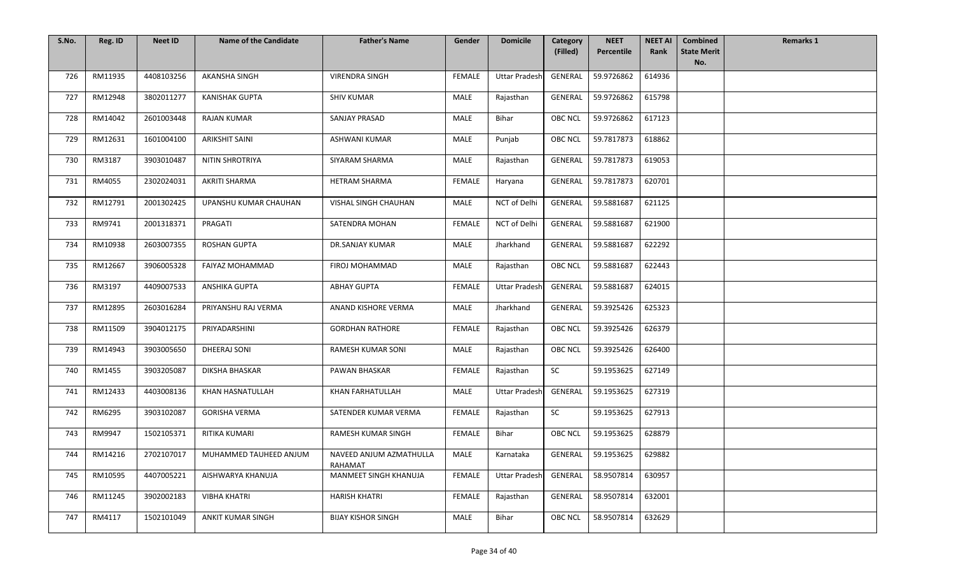| S.No. | Reg. ID | <b>Neet ID</b> | <b>Name of the Candidate</b> | <b>Father's Name</b>               | Gender        | <b>Domicile</b>      | Category       | <b>NEET</b>        | <b>NEET AI</b> | <b>Combined</b>           | <b>Remarks 1</b> |
|-------|---------|----------------|------------------------------|------------------------------------|---------------|----------------------|----------------|--------------------|----------------|---------------------------|------------------|
|       |         |                |                              |                                    |               |                      | (Filled)       | Percentile         | Rank           | <b>State Merit</b><br>No. |                  |
| 726   | RM11935 | 4408103256     | <b>AKANSHA SINGH</b>         | <b>VIRENDRA SINGH</b>              | <b>FEMALE</b> | <b>Uttar Pradesh</b> | GENERAL        | 59.9726862         | 614936         |                           |                  |
| 727   | RM12948 | 3802011277     | <b>KANISHAK GUPTA</b>        | <b>SHIV KUMAR</b>                  | <b>MALE</b>   | Rajasthan            | GENERAL        | 59.9726862         | 615798         |                           |                  |
| 728   | RM14042 | 2601003448     | <b>RAJAN KUMAR</b>           | SANJAY PRASAD                      | MALE          | <b>Bihar</b>         | <b>OBC NCL</b> | 59.9726862         | 617123         |                           |                  |
| 729   | RM12631 | 1601004100     | <b>ARIKSHIT SAINI</b>        | <b>ASHWANI KUMAR</b>               | MALE          | Punjab               | <b>OBC NCL</b> | 59.7817873         | 618862         |                           |                  |
| 730   | RM3187  | 3903010487     | NITIN SHROTRIYA              | SIYARAM SHARMA                     | MALE          | Rajasthan            | GENERAL        | 59.7817873         | 619053         |                           |                  |
| 731   | RM4055  | 2302024031     | AKRITI SHARMA                | <b>HETRAM SHARMA</b>               | <b>FEMALE</b> | Haryana              | <b>GENERAL</b> | 59.7817873         | 620701         |                           |                  |
| 732   | RM12791 | 2001302425     | UPANSHU KUMAR CHAUHAN        | VISHAL SINGH CHAUHAN               | MALE          | NCT of Delhi         | GENERAL        | 59.5881687         | 621125         |                           |                  |
| 733   | RM9741  | 2001318371     | PRAGATI                      | SATENDRA MOHAN                     | <b>FEMALE</b> | NCT of Delhi         | GENERAL        | 59.5881687         | 621900         |                           |                  |
| 734   | RM10938 | 2603007355     | <b>ROSHAN GUPTA</b>          | DR.SANJAY KUMAR                    | <b>MALE</b>   | Jharkhand            | <b>GENERAL</b> | 59.5881687         | 622292         |                           |                  |
| 735   | RM12667 | 3906005328     | FAIYAZ MOHAMMAD              | FIROJ MOHAMMAD                     | MALE          | Rajasthan            | <b>OBC NCL</b> | 59.5881687         | 622443         |                           |                  |
| 736   | RM3197  | 4409007533     | ANSHIKA GUPTA                | <b>ABHAY GUPTA</b>                 | <b>FEMALE</b> | <b>Uttar Pradesh</b> | GENERAL        | 59.5881687         | 624015         |                           |                  |
| 737   | RM12895 | 2603016284     | PRIYANSHU RAJ VERMA          | ANAND KISHORE VERMA                | MALE          | Jharkhand            | GENERAL        | 59.3925426         | 625323         |                           |                  |
| 738   | RM11509 | 3904012175     | PRIYADARSHINI                | <b>GORDHAN RATHORE</b>             | FEMALE        | Rajasthan            | <b>OBC NCL</b> | 59.3925426         | 626379         |                           |                  |
| 739   | RM14943 | 3903005650     | DHEERAJ SONI                 | <b>RAMESH KUMAR SONI</b>           | MALE          | Rajasthan            | <b>OBC NCL</b> | 59.3925426         | 626400         |                           |                  |
| 740   | RM1455  | 3903205087     | DIKSHA BHASKAR               | PAWAN BHASKAR                      | <b>FEMALE</b> | Rajasthan            | <b>SC</b>      | 59.1953625         | 627149         |                           |                  |
| 741   | RM12433 | 4403008136     | KHAN HASNATULLAH             | KHAN FARHATULLAH                   | MALE          | <b>Uttar Pradesh</b> | GENERAL        | 59.1953625         | 627319         |                           |                  |
| 742   | RM6295  | 3903102087     | <b>GORISHA VERMA</b>         | SATENDER KUMAR VERMA               | <b>FEMALE</b> | Rajasthan            | SC             | 59.1953625         | 627913         |                           |                  |
| 743   | RM9947  | 1502105371     | RITIKA KUMARI                | RAMESH KUMAR SINGH                 | FEMALE        | Bihar                | <b>OBC NCL</b> | 59.1953625         | 628879         |                           |                  |
| 744   | RM14216 | 2702107017     | MUHAMMED TAUHEED ANJUM       | NAVEED ANJUM AZMATHULLA<br>RAHAMAT | MALE          | Karnataka            |                | GENERAL 59.1953625 | 629882         |                           |                  |
| 745   | RM10595 | 4407005221     | AISHWARYA KHANUJA            | MANMEET SINGH KHANUJA              | FEMALE        | <b>Uttar Pradesh</b> | GENERAL        | 58.9507814         | 630957         |                           |                  |
| 746   | RM11245 | 3902002183     | <b>VIBHA KHATRI</b>          | <b>HARISH KHATRI</b>               | FEMALE        | Rajasthan            | <b>GENERAL</b> | 58.9507814         | 632001         |                           |                  |
| 747   | RM4117  | 1502101049     | ANKIT KUMAR SINGH            | <b>BIJAY KISHOR SINGH</b>          | MALE          | Bihar                | <b>OBC NCL</b> | 58.9507814         | 632629         |                           |                  |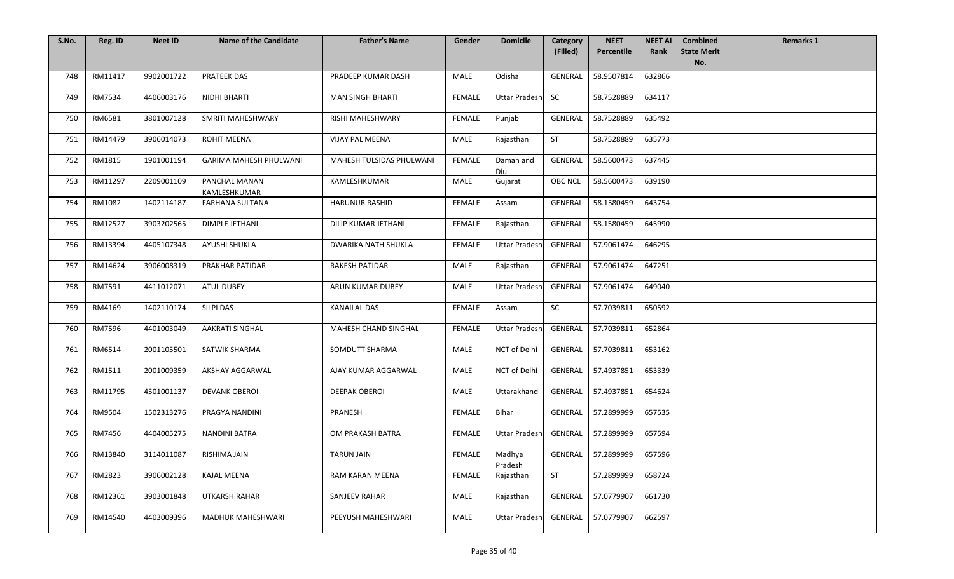| S.No. | Reg. ID | <b>Neet ID</b> | <b>Name of the Candidate</b>  | <b>Father's Name</b>     | Gender        | <b>Domicile</b>      | Category<br>(Filled) | <b>NEET</b><br>Percentile | <b>NEET AI</b><br>Rank | <b>Combined</b><br><b>State Merit</b> | <b>Remarks 1</b> |
|-------|---------|----------------|-------------------------------|--------------------------|---------------|----------------------|----------------------|---------------------------|------------------------|---------------------------------------|------------------|
|       |         |                |                               |                          |               |                      |                      |                           |                        | No.                                   |                  |
| 748   | RM11417 | 9902001722     | <b>PRATEEK DAS</b>            | PRADEEP KUMAR DASH       | MALE          | Odisha               | GENERAL              | 58.9507814                | 632866                 |                                       |                  |
| 749   | RM7534  | 4406003176     | NIDHI BHARTI                  | <b>MAN SINGH BHARTI</b>  | FEMALE        | <b>Uttar Pradesh</b> | <b>SC</b>            | 58.7528889                | 634117                 |                                       |                  |
| 750   | RM6581  | 3801007128     | SMRITI MAHESHWARY             | RISHI MAHESHWARY         | <b>FEMALE</b> | Punjab               | GENERAL              | 58.7528889                | 635492                 |                                       |                  |
| 751   | RM14479 | 3906014073     | <b>ROHIT MEENA</b>            | VIJAY PAL MEENA          | MALE          | Rajasthan            | ST                   | 58.7528889                | 635773                 |                                       |                  |
| 752   | RM1815  | 1901001194     | GARIMA MAHESH PHULWANI        | MAHESH TULSIDAS PHULWANI | <b>FEMALE</b> | Daman and<br>Diu     | GENERAL              | 58.5600473                | 637445                 |                                       |                  |
| 753   | RM11297 | 2209001109     | PANCHAL MANAN<br>KAMLESHKUMAR | KAMLESHKUMAR             | MALE          | Gujarat              | OBC NCL              | 58.5600473                | 639190                 |                                       |                  |
| 754   | RM1082  | 1402114187     | <b>FARHANA SULTANA</b>        | <b>HARUNUR RASHID</b>    | FEMALE        | Assam                | GENERAL              | 58.1580459                | 643754                 |                                       |                  |
| 755   | RM12527 | 3903202565     | DIMPLE JETHANI                | DILIP KUMAR JETHANI      | FEMALE        | Rajasthan            | GENERAL              | 58.1580459                | 645990                 |                                       |                  |
| 756   | RM13394 | 4405107348     | AYUSHI SHUKLA                 | DWARIKA NATH SHUKLA      | <b>FEMALE</b> | <b>Uttar Pradesh</b> | GENERAL              | 57.9061474                | 646295                 |                                       |                  |
| 757   | RM14624 | 3906008319     | PRAKHAR PATIDAR               | <b>RAKESH PATIDAR</b>    | MALE          | Rajasthan            | GENERAL              | 57.9061474                | 647251                 |                                       |                  |
| 758   | RM7591  | 4411012071     | <b>ATUL DUBEY</b>             | ARUN KUMAR DUBEY         | MALE          | <b>Uttar Pradesh</b> | GENERAL              | 57.9061474                | 649040                 |                                       |                  |
| 759   | RM4169  | 1402110174     | SILPI DAS                     | <b>KANAILAL DAS</b>      | <b>FEMALE</b> | Assam                | <b>SC</b>            | 57.7039811                | 650592                 |                                       |                  |
| 760   | RM7596  | 4401003049     | <b>AAKRATI SINGHAL</b>        | MAHESH CHAND SINGHAL     | FEMALE        | <b>Uttar Pradesh</b> | GENERAL              | 57.7039811                | 652864                 |                                       |                  |
| 761   | RM6514  | 2001105501     | SATWIK SHARMA                 | SOMDUTT SHARMA           | MALE          | NCT of Delhi         | GENERAL              | 57.7039811                | 653162                 |                                       |                  |
| 762   | RM1511  | 2001009359     | AKSHAY AGGARWAL               | AJAY KUMAR AGGARWAL      | MALE          | NCT of Delhi         | GENERAL              | 57.4937851                | 653339                 |                                       |                  |
| 763   | RM11795 | 4501001137     | <b>DEVANK OBEROI</b>          | <b>DEEPAK OBEROI</b>     | MALE          | Uttarakhand          | <b>GENERAL</b>       | 57.4937851                | 654624                 |                                       |                  |
| 764   | RM9504  | 1502313276     | PRAGYA NANDINI                | PRANESH                  | FEMALE        | Bihar                | <b>GENERAL</b>       | 57.2899999                | 657535                 |                                       |                  |
| 765   | RM7456  | 4404005275     | <b>NANDINI BATRA</b>          | OM PRAKASH BATRA         | <b>FEMALE</b> | <b>Uttar Pradesh</b> | GENERAL              | 57.2899999                | 657594                 |                                       |                  |
| 766   | RM13840 | 3114011087     | RISHIMA JAIN                  | <b>TARUN JAIN</b>        | FEMALE        | Madhya<br>Pradesh    | GENERAL              | 57.2899999                | 657596                 |                                       |                  |
| 767   | RM2823  | 3906002128     | <b>KAJAL MEENA</b>            | RAM KARAN MEENA          | FEMALE        | Rajasthan            | <b>ST</b>            | 57.2899999                | 658724                 |                                       |                  |
| 768   | RM12361 | 3903001848     | UTKARSH RAHAR                 | SANJEEV RAHAR            | MALE          | Rajasthan            | GENERAL              | 57.0779907                | 661730                 |                                       |                  |
| 769   | RM14540 | 4403009396     | MADHUK MAHESHWARI             | PEEYUSH MAHESHWARI       | MALE          | <b>Uttar Pradesh</b> | GENERAL              | 57.0779907                | 662597                 |                                       |                  |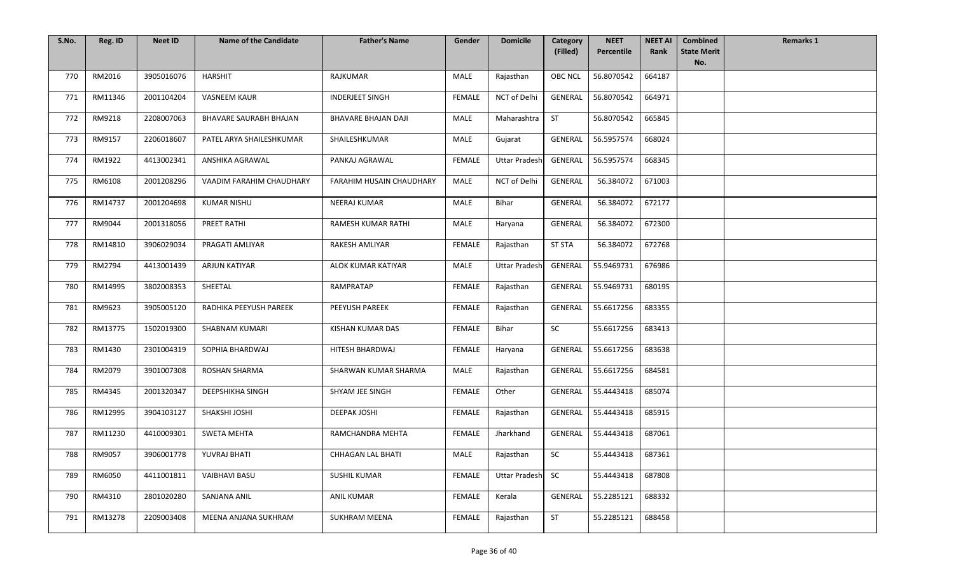| S.No. | Reg. ID | <b>Neet ID</b> | <b>Name of the Candidate</b>  | <b>Father's Name</b>       | Gender        | <b>Domicile</b>      | Category<br>(Filled) | <b>NEET</b><br>Percentile | <b>NEET AI</b><br>Rank | <b>Combined</b><br><b>State Merit</b> | <b>Remarks 1</b> |
|-------|---------|----------------|-------------------------------|----------------------------|---------------|----------------------|----------------------|---------------------------|------------------------|---------------------------------------|------------------|
|       |         |                |                               |                            |               |                      |                      |                           |                        | No.                                   |                  |
| 770   | RM2016  | 3905016076     | <b>HARSHIT</b>                | RAJKUMAR                   | MALE          | Rajasthan            | <b>OBC NCL</b>       | 56.8070542                | 664187                 |                                       |                  |
| 771   | RM11346 | 2001104204     | <b>VASNEEM KAUR</b>           | <b>INDERJEET SINGH</b>     | FEMALE        | NCT of Delhi         | GENERAL              | 56.8070542                | 664971                 |                                       |                  |
| 772   | RM9218  | 2208007063     | <b>BHAVARE SAURABH BHAJAN</b> | <b>BHAVARE BHAJAN DAJI</b> | MALE          | Maharashtra          | ST                   | 56.8070542                | 665845                 |                                       |                  |
| 773   | RM9157  | 2206018607     | PATEL ARYA SHAILESHKUMAR      | SHAILESHKUMAR              | <b>MALE</b>   | Gujarat              | <b>GENERAL</b>       | 56.5957574                | 668024                 |                                       |                  |
| 774   | RM1922  | 4413002341     | ANSHIKA AGRAWAL               | PANKAJ AGRAWAL             | FEMALE        | <b>Uttar Pradesh</b> | GENERAL              | 56.5957574                | 668345                 |                                       |                  |
| 775   | RM6108  | 2001208296     | VAADIM FARAHIM CHAUDHARY      | FARAHIM HUSAIN CHAUDHARY   | MALE          | NCT of Delhi         | GENERAL              | 56.384072                 | 671003                 |                                       |                  |
| 776   | RM14737 | 2001204698     | <b>KUMAR NISHU</b>            | NEERAJ KUMAR               | MALE          | Bihar                | <b>GENERAL</b>       | 56.384072                 | 672177                 |                                       |                  |
| 777   | RM9044  | 2001318056     | <b>PREET RATHI</b>            | RAMESH KUMAR RATHI         | MALE          | Haryana              | <b>GENERAL</b>       | 56.384072                 | 672300                 |                                       |                  |
| 778   | RM14810 | 3906029034     | PRAGATI AMLIYAR               | <b>RAKESH AMLIYAR</b>      | <b>FEMALE</b> | Rajasthan            | <b>ST STA</b>        | 56.384072                 | 672768                 |                                       |                  |
| 779   | RM2794  | 4413001439     | <b>ARJUN KATIYAR</b>          | ALOK KUMAR KATIYAR         | MALE          | <b>Uttar Pradesh</b> | GENERAL              | 55.9469731                | 676986                 |                                       |                  |
| 780   | RM14995 | 3802008353     | SHEETAL                       | RAMPRATAP                  | <b>FEMALE</b> | Rajasthan            | GENERAL              | 55.9469731                | 680195                 |                                       |                  |
| 781   | RM9623  | 3905005120     | RADHIKA PEEYUSH PAREEK        | PEEYUSH PAREEK             | <b>FEMALE</b> | Rajasthan            | GENERAL              | 55.6617256                | 683355                 |                                       |                  |
| 782   | RM13775 | 1502019300     | <b>SHABNAM KUMARI</b>         | KISHAN KUMAR DAS           | FEMALE        | Bihar                | SC                   | 55.6617256                | 683413                 |                                       |                  |
| 783   | RM1430  | 2301004319     | SOPHIA BHARDWAJ               | HITESH BHARDWAJ            | FEMALE        | Haryana              | GENERAL              | 55.6617256                | 683638                 |                                       |                  |
| 784   | RM2079  | 3901007308     | <b>ROSHAN SHARMA</b>          | SHARWAN KUMAR SHARMA       | MALE          | Rajasthan            | <b>GENERAL</b>       | 55.6617256                | 684581                 |                                       |                  |
| 785   | RM4345  | 2001320347     | DEEPSHIKHA SINGH              | SHYAM JEE SINGH            | FEMALE        | Other                | <b>GENERAL</b>       | 55.4443418                | 685074                 |                                       |                  |
| 786   | RM12995 | 3904103127     | SHAKSHI JOSHI                 | <b>DEEPAK JOSHI</b>        | FEMALE        | Rajasthan            | GENERAL              | 55.4443418                | 685915                 |                                       |                  |
| 787   | RM11230 | 4410009301     | <b>SWETA MEHTA</b>            | RAMCHANDRA MEHTA           | <b>FEMALE</b> | Jharkhand            | GENERAL              | 55.4443418                | 687061                 |                                       |                  |
| 788   | RM9057  | 3906001778     | YUVRAJ BHATI                  | <b>CHHAGAN LAL BHATI</b>   | MALE          | Rajasthan            | <b>SC</b>            | 55.4443418                | 687361                 |                                       |                  |
| 789   | RM6050  | 4411001811     | <b>VAIBHAVI BASU</b>          | <b>SUSHIL KUMAR</b>        | FEMALE        | <b>Uttar Pradesh</b> | <b>SC</b>            | 55.4443418                | 687808                 |                                       |                  |
| 790   | RM4310  | 2801020280     | SANJANA ANIL                  | ANIL KUMAR                 | FEMALE        | Kerala               | GENERAL              | 55.2285121                | 688332                 |                                       |                  |
| 791   | RM13278 | 2209003408     | MEENA ANJANA SUKHRAM          | <b>SUKHRAM MEENA</b>       | FEMALE        | Rajasthan            | <b>ST</b>            | 55.2285121                | 688458                 |                                       |                  |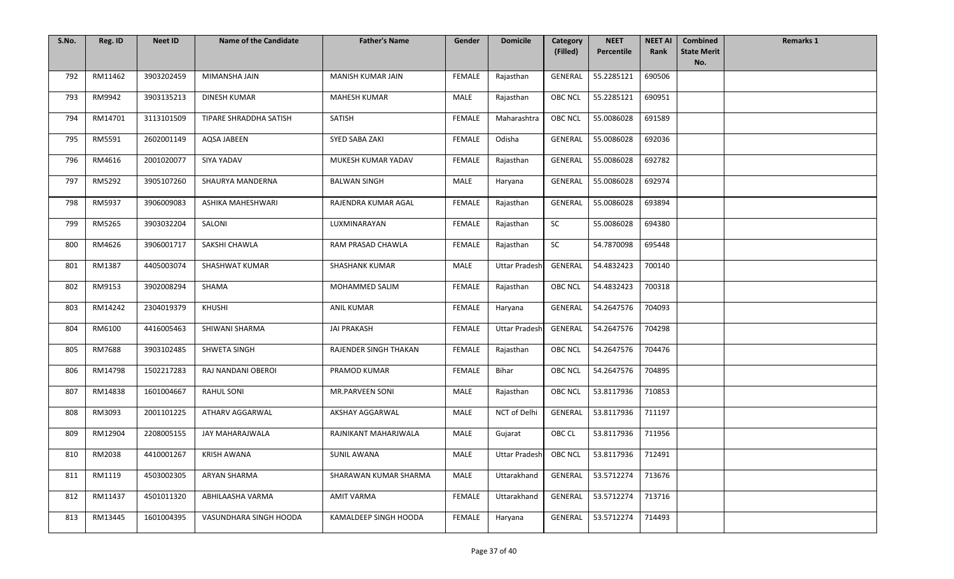| S.No. | Reg. ID | <b>Neet ID</b> | <b>Name of the Candidate</b> | <b>Father's Name</b>  | Gender        | <b>Domicile</b>      | Category<br>(Filled) | <b>NEET</b><br>Percentile | <b>NEET AI</b><br>Rank | <b>Combined</b><br><b>State Merit</b> | <b>Remarks 1</b> |
|-------|---------|----------------|------------------------------|-----------------------|---------------|----------------------|----------------------|---------------------------|------------------------|---------------------------------------|------------------|
|       |         |                |                              |                       |               |                      |                      |                           |                        | No.                                   |                  |
| 792   | RM11462 | 3903202459     | MIMANSHA JAIN                | MANISH KUMAR JAIN     | FEMALE        | Rajasthan            | <b>GENERAL</b>       | 55.2285121                | 690506                 |                                       |                  |
| 793   | RM9942  | 3903135213     | <b>DINESH KUMAR</b>          | MAHESH KUMAR          | MALE          | Rajasthan            | <b>OBC NCL</b>       | 55.2285121                | 690951                 |                                       |                  |
| 794   | RM14701 | 3113101509     | TIPARE SHRADDHA SATISH       | SATISH                | FEMALE        | Maharashtra          | <b>OBC NCL</b>       | 55.0086028                | 691589                 |                                       |                  |
| 795   | RM5591  | 2602001149     | <b>AQSA JABEEN</b>           | SYED SABA ZAKI        | <b>FEMALE</b> | Odisha               | <b>GENERAL</b>       | 55.0086028                | 692036                 |                                       |                  |
| 796   | RM4616  | 2001020077     | SIYA YADAV                   | MUKESH KUMAR YADAV    | <b>FEMALE</b> | Rajasthan            | GENERAL              | 55.0086028                | 692782                 |                                       |                  |
| 797   | RM5292  | 3905107260     | SHAURYA MANDERNA             | <b>BALWAN SINGH</b>   | MALE          | Haryana              | <b>GENERAL</b>       | 55.0086028                | 692974                 |                                       |                  |
| 798   | RM5937  | 3906009083     | ASHIKA MAHESHWARI            | RAJENDRA KUMAR AGAL   | FEMALE        | Rajasthan            | <b>GENERAL</b>       | 55.0086028                | 693894                 |                                       |                  |
| 799   | RM5265  | 3903032204     | SALONI                       | LUXMINARAYAN          | <b>FEMALE</b> | Rajasthan            | SC                   | 55.0086028                | 694380                 |                                       |                  |
| 800   | RM4626  | 3906001717     | SAKSHI CHAWLA                | RAM PRASAD CHAWLA     | <b>FEMALE</b> | Rajasthan            | SC                   | 54.7870098                | 695448                 |                                       |                  |
| 801   | RM1387  | 4405003074     | SHASHWAT KUMAR               | <b>SHASHANK KUMAR</b> | MALE          | <b>Uttar Pradesh</b> | GENERAL              | 54.4832423                | 700140                 |                                       |                  |
| 802   | RM9153  | 3902008294     | SHAMA                        | MOHAMMED SALIM        | <b>FEMALE</b> | Rajasthan            | <b>OBC NCL</b>       | 54.4832423                | 700318                 |                                       |                  |
| 803   | RM14242 | 2304019379     | KHUSHI                       | <b>ANIL KUMAR</b>     | FEMALE        | Haryana              | GENERAL              | 54.2647576                | 704093                 |                                       |                  |
| 804   | RM6100  | 4416005463     | SHIWANI SHARMA               | <b>JAI PRAKASH</b>    | FEMALE        | <b>Uttar Pradesh</b> | GENERAL              | 54.2647576                | 704298                 |                                       |                  |
| 805   | RM7688  | 3903102485     | SHWETA SINGH                 | RAJENDER SINGH THAKAN | FEMALE        | Rajasthan            | <b>OBC NCL</b>       | 54.2647576                | 704476                 |                                       |                  |
| 806   | RM14798 | 1502217283     | RAJ NANDANI OBEROI           | PRAMOD KUMAR          | FEMALE        | Bihar                | <b>OBC NCL</b>       | 54.2647576                | 704895                 |                                       |                  |
| 807   | RM14838 | 1601004667     | <b>RAHUL SONI</b>            | MR.PARVEEN SONI       | MALE          | Rajasthan            | <b>OBC NCL</b>       | 53.8117936                | 710853                 |                                       |                  |
| 808   | RM3093  | 2001101225     | ATHARV AGGARWAL              | AKSHAY AGGARWAL       | MALE          | NCT of Delhi         | GENERAL              | 53.8117936                | 711197                 |                                       |                  |
| 809   | RM12904 | 2208005155     | JAY MAHARAJWALA              | RAJNIKANT MAHARJWALA  | MALE          | Gujarat              | OBC CL               | 53.8117936                | 711956                 |                                       |                  |
| 810   | RM2038  | 4410001267     | <b>KRISH AWANA</b>           | <b>SUNIL AWANA</b>    | MALE          | Uttar Pradesh        | <b>OBC NCL</b>       | 53.8117936                | 712491                 |                                       |                  |
| 811   | RM1119  | 4503002305     | ARYAN SHARMA                 | SHARAWAN KUMAR SHARMA | <b>MALE</b>   | Uttarakhand          | GENERAL              | 53.5712274                | 713676                 |                                       |                  |
| 812   | RM11437 | 4501011320     | ABHILAASHA VARMA             | <b>AMIT VARMA</b>     | <b>FEMALE</b> | Uttarakhand          | GENERAL              | 53.5712274                | 713716                 |                                       |                  |
| 813   | RM13445 | 1601004395     | VASUNDHARA SINGH HOODA       | KAMALDEEP SINGH HOODA | FEMALE        | Haryana              | GENERAL              | 53.5712274                | 714493                 |                                       |                  |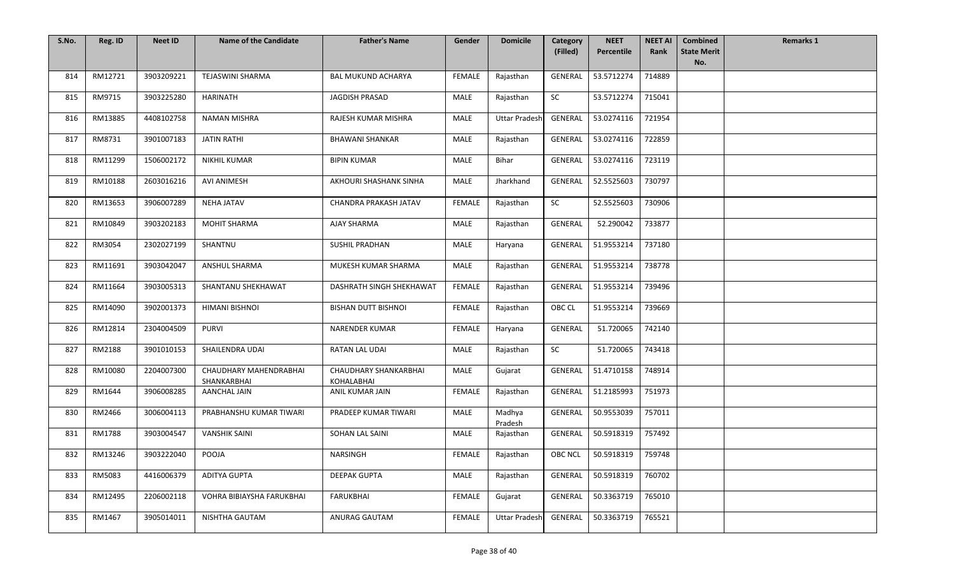| S.No. | Reg. ID | <b>Neet ID</b> | <b>Name of the Candidate</b>          | <b>Father's Name</b>                | Gender        | <b>Domicile</b>      | <b>Category</b><br>(Filled) | <b>NEET</b><br>Percentile | <b>NEET AI</b><br>Rank | <b>Combined</b><br><b>State Merit</b> | <b>Remarks 1</b> |
|-------|---------|----------------|---------------------------------------|-------------------------------------|---------------|----------------------|-----------------------------|---------------------------|------------------------|---------------------------------------|------------------|
|       |         |                |                                       |                                     |               |                      |                             |                           |                        | No.                                   |                  |
| 814   | RM12721 | 3903209221     | <b>TEJASWINI SHARMA</b>               | <b>BAL MUKUND ACHARYA</b>           | <b>FEMALE</b> | Rajasthan            | GENERAL                     | 53.5712274                | 714889                 |                                       |                  |
| 815   | RM9715  | 3903225280     | <b>HARINATH</b>                       | JAGDISH PRASAD                      | MALE          | Rajasthan            | <b>SC</b>                   | 53.5712274                | 715041                 |                                       |                  |
| 816   | RM13885 | 4408102758     | <b>NAMAN MISHRA</b>                   | RAJESH KUMAR MISHRA                 | MALE          | <b>Uttar Pradesh</b> | <b>GENERAL</b>              | 53.0274116                | 721954                 |                                       |                  |
| 817   | RM8731  | 3901007183     | <b>JATIN RATHI</b>                    | <b>BHAWANI SHANKAR</b>              | MALE          | Rajasthan            | GENERAL                     | 53.0274116                | 722859                 |                                       |                  |
| 818   | RM11299 | 1506002172     | <b>NIKHIL KUMAR</b>                   | <b>BIPIN KUMAR</b>                  | MALE          | Bihar                | GENERAL                     | 53.0274116                | 723119                 |                                       |                  |
| 819   | RM10188 | 2603016216     | <b>AVI ANIMESH</b>                    | AKHOURI SHASHANK SINHA              | MALE          | Jharkhand            | <b>GENERAL</b>              | 52.5525603                | 730797                 |                                       |                  |
| 820   | RM13653 | 3906007289     | <b>NEHA JATAV</b>                     | CHANDRA PRAKASH JATAV               | FEMALE        | Rajasthan            | SC                          | 52.5525603                | 730906                 |                                       |                  |
| 821   | RM10849 | 3903202183     | <b>MOHIT SHARMA</b>                   | AJAY SHARMA                         | MALE          | Rajasthan            | GENERAL                     | 52.290042                 | 733877                 |                                       |                  |
| 822   | RM3054  | 2302027199     | SHANTNU                               | <b>SUSHIL PRADHAN</b>               | MALE          | Haryana              | <b>GENERAL</b>              | 51.9553214                | 737180                 |                                       |                  |
| 823   | RM11691 | 3903042047     | ANSHUL SHARMA                         | MUKESH KUMAR SHARMA                 | MALE          | Rajasthan            | <b>GENERAL</b>              | 51.9553214                | 738778                 |                                       |                  |
| 824   | RM11664 | 3903005313     | SHANTANU SHEKHAWAT                    | DASHRATH SINGH SHEKHAWAT            | <b>FEMALE</b> | Rajasthan            | <b>GENERAL</b>              | 51.9553214                | 739496                 |                                       |                  |
| 825   | RM14090 | 3902001373     | HIMANI BISHNOI                        | <b>BISHAN DUTT BISHNOI</b>          | FEMALE        | Rajasthan            | OBC CL                      | 51.9553214                | 739669                 |                                       |                  |
| 826   | RM12814 | 2304004509     | <b>PURVI</b>                          | <b>NARENDER KUMAR</b>               | FEMALE        | Haryana              | <b>GENERAL</b>              | 51.720065                 | 742140                 |                                       |                  |
| 827   | RM2188  | 3901010153     | SHAILENDRA UDAI                       | RATAN LAL UDAI                      | MALE          | Rajasthan            | <b>SC</b>                   | 51.720065                 | 743418                 |                                       |                  |
| 828   | RM10080 | 2204007300     | CHAUDHARY MAHENDRABHAI<br>SHANKARBHAI | CHAUDHARY SHANKARBHAI<br>KOHALABHAI | MALE          | Gujarat              | GENERAL                     | 51.4710158                | 748914                 |                                       |                  |
| 829   | RM1644  | 3906008285     | <b>AANCHAL JAIN</b>                   | ANIL KUMAR JAIN                     | FEMALE        | Rajasthan            | <b>GENERAL</b>              | 51.2185993                | 751973                 |                                       |                  |
| 830   | RM2466  | 3006004113     | PRABHANSHU KUMAR TIWARI               | PRADEEP KUMAR TIWARI                | <b>MALE</b>   | Madhya<br>Pradesh    | GENERAL                     | 50.9553039                | 757011                 |                                       |                  |
| 831   | RM1788  | 3903004547     | <b>VANSHIK SAINI</b>                  | SOHAN LAL SAINI                     | MALE          | Rajasthan            | <b>GENERAL</b>              | 50.5918319                | 757492                 |                                       |                  |
| 832   | RM13246 | 3903222040     | POOJA                                 | NARSINGH                            | FEMALE        | Rajasthan            | OBC NCL                     | 50.5918319                | 759748                 |                                       |                  |
| 833   | RM5083  | 4416006379     | ADITYA GUPTA                          | <b>DEEPAK GUPTA</b>                 | MALE          | Rajasthan            | <b>GENERAL</b>              | 50.5918319                | 760702                 |                                       |                  |
| 834   | RM12495 | 2206002118     | VOHRA BIBIAYSHA FARUKBHAI             | <b>FARUKBHAI</b>                    | FEMALE        | Gujarat              | <b>GENERAL</b>              | 50.3363719                | 765010                 |                                       |                  |
| 835   | RM1467  | 3905014011     | NISHTHA GAUTAM                        | ANURAG GAUTAM                       | FEMALE        | <b>Uttar Pradesh</b> | GENERAL                     | 50.3363719                | 765521                 |                                       |                  |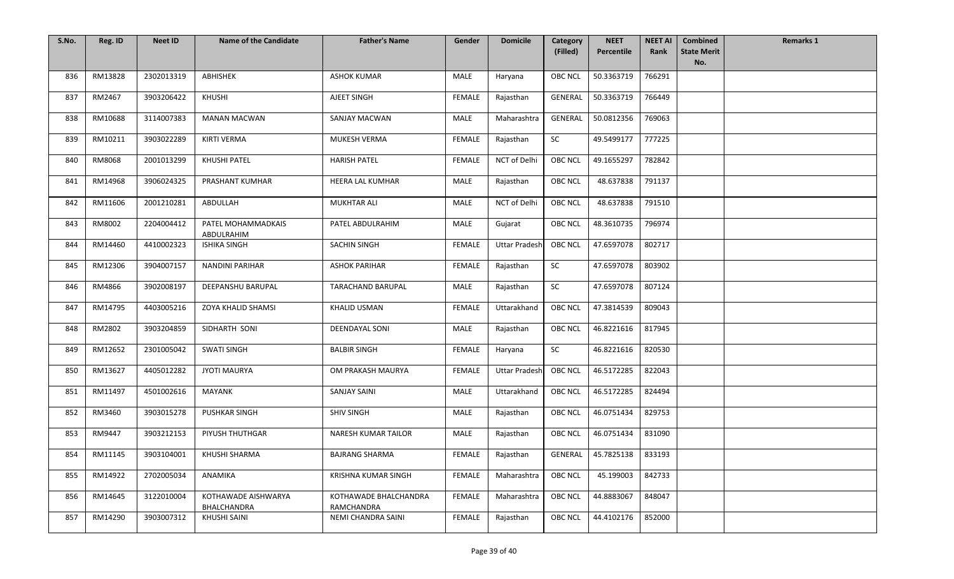| S.No. | Reg. ID | <b>Neet ID</b> | <b>Name of the Candidate</b>              | <b>Father's Name</b>                | Gender        | <b>Domicile</b>      | Category       | <b>NEET</b> | <b>NEET AI</b> | <b>Combined</b>           | <b>Remarks 1</b> |
|-------|---------|----------------|-------------------------------------------|-------------------------------------|---------------|----------------------|----------------|-------------|----------------|---------------------------|------------------|
|       |         |                |                                           |                                     |               |                      | (Filled)       | Percentile  | Rank           | <b>State Merit</b><br>No. |                  |
| 836   | RM13828 | 2302013319     | ABHISHEK                                  | <b>ASHOK KUMAR</b>                  | MALE          | Haryana              | <b>OBC NCL</b> | 50.3363719  | 766291         |                           |                  |
| 837   | RM2467  | 3903206422     | KHUSHI                                    | AJEET SINGH                         | FEMALE        | Rajasthan            | GENERAL        | 50.3363719  | 766449         |                           |                  |
| 838   | RM10688 | 3114007383     | <b>MANAN MACWAN</b>                       | <b>SANJAY MACWAN</b>                | MALE          | Maharashtra          | <b>GENERAL</b> | 50.0812356  | 769063         |                           |                  |
| 839   | RM10211 | 3903022289     | <b>KIRTI VERMA</b>                        | MUKESH VERMA                        | <b>FEMALE</b> | Rajasthan            | SC             | 49.5499177  | 777225         |                           |                  |
| 840   | RM8068  | 2001013299     | <b>KHUSHI PATEL</b>                       | <b>HARISH PATEL</b>                 | <b>FEMALE</b> | NCT of Delhi         | <b>OBC NCL</b> | 49.1655297  | 782842         |                           |                  |
| 841   | RM14968 | 3906024325     | PRASHANT KUMHAR                           | <b>HEERA LAL KUMHAR</b>             | MALE          | Rajasthan            | <b>OBC NCL</b> | 48.637838   | 791137         |                           |                  |
| 842   | RM11606 | 2001210281     | ABDULLAH                                  | MUKHTAR ALI                         | MALE          | NCT of Delhi         | <b>OBC NCL</b> | 48.637838   | 791510         |                           |                  |
| 843   | RM8002  | 2204004412     | PATEL MOHAMMADKAIS<br>ABDULRAHIM          | PATEL ABDULRAHIM                    | MALE          | Gujarat              | <b>OBC NCL</b> | 48.3610735  | 796974         |                           |                  |
| 844   | RM14460 | 4410002323     | <b>ISHIKA SINGH</b>                       | <b>SACHIN SINGH</b>                 | <b>FEMALE</b> | <b>Uttar Pradesh</b> | <b>OBC NCL</b> | 47.6597078  | 802717         |                           |                  |
| 845   | RM12306 | 3904007157     | <b>NANDINI PARIHAR</b>                    | <b>ASHOK PARIHAR</b>                | FEMALE        | Rajasthan            | SC             | 47.6597078  | 803902         |                           |                  |
| 846   | RM4866  | 3902008197     | DEEPANSHU BARUPAL                         | TARACHAND BARUPAL                   | MALE          | Rajasthan            | SC             | 47.6597078  | 807124         |                           |                  |
| 847   | RM14795 | 4403005216     | ZOYA KHALID SHAMSI                        | <b>KHALID USMAN</b>                 | FEMALE        | Uttarakhand          | <b>OBC NCL</b> | 47.3814539  | 809043         |                           |                  |
| 848   | RM2802  | 3903204859     | SIDHARTH SONI                             | DEENDAYAL SONI                      | MALE          | Rajasthan            | <b>OBC NCL</b> | 46.8221616  | 817945         |                           |                  |
| 849   | RM12652 | 2301005042     | <b>SWATI SINGH</b>                        | <b>BALBIR SINGH</b>                 | <b>FEMALE</b> | Haryana              | SC             | 46.8221616  | 820530         |                           |                  |
| 850   | RM13627 | 4405012282     | <b>JYOTI MAURYA</b>                       | OM PRAKASH MAURYA                   | FEMALE        | <b>Uttar Pradesh</b> | <b>OBC NCL</b> | 46.5172285  | 822043         |                           |                  |
| 851   | RM11497 | 4501002616     | <b>MAYANK</b>                             | <b>SANJAY SAINI</b>                 | MALE          | Uttarakhand          | <b>OBC NCL</b> | 46.5172285  | 824494         |                           |                  |
| 852   | RM3460  | 3903015278     | <b>PUSHKAR SINGH</b>                      | <b>SHIV SINGH</b>                   | MALE          | Rajasthan            | OBC NCL        | 46.0751434  | 829753         |                           |                  |
| 853   | RM9447  | 3903212153     | PIYUSH THUTHGAR                           | <b>NARESH KUMAR TAILOR</b>          | MALE          | Rajasthan            | <b>OBC NCL</b> | 46.0751434  | 831090         |                           |                  |
| 854   | RM11145 | 3903104001     | KHUSHI SHARMA                             | <b>BAJRANG SHARMA</b>               | FEMALE        | Rajasthan            | GENERAL        | 45.7825138  | 833193         |                           |                  |
| 855   | RM14922 | 2702005034     | ANAMIKA                                   | KRISHNA KUMAR SINGH                 | FEMALE        | Maharashtra          | <b>OBC NCL</b> | 45.199003   | 842733         |                           |                  |
| 856   | RM14645 | 3122010004     | KOTHAWADE AISHWARYA<br><b>BHALCHANDRA</b> | KOTHAWADE BHALCHANDRA<br>RAMCHANDRA | <b>FEMALE</b> | Maharashtra          | <b>OBC NCL</b> | 44.8883067  | 848047         |                           |                  |
| 857   | RM14290 | 3903007312     | KHUSHI SAINI                              | NEMI CHANDRA SAINI                  | FEMALE        | Rajasthan            | OBC NCL        | 44.4102176  | 852000         |                           |                  |